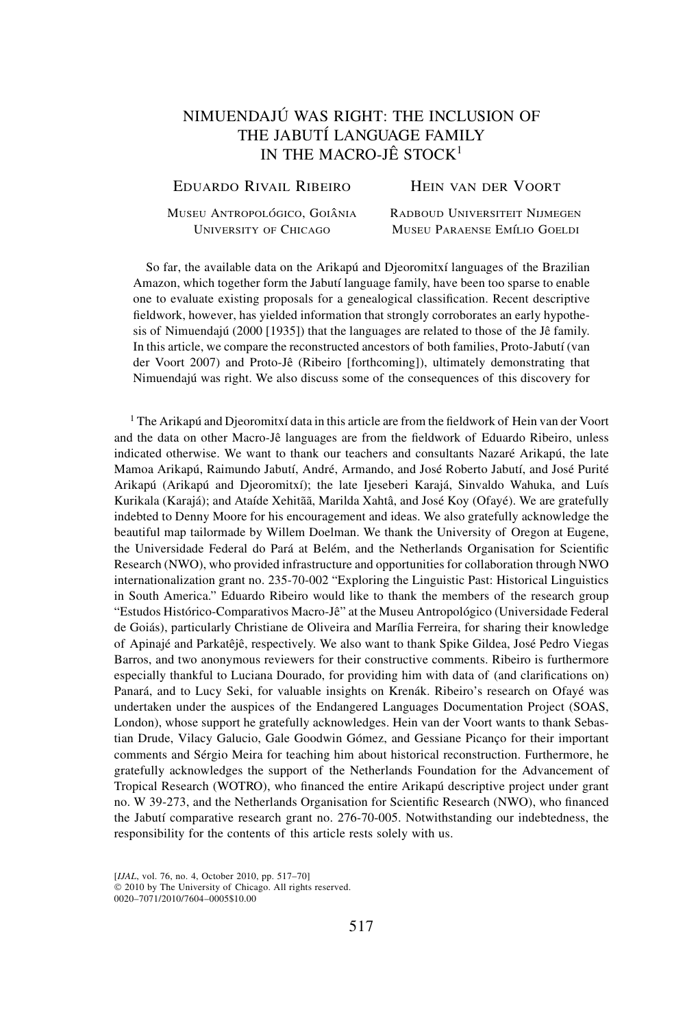# NIMUENDAJÚ WAS RIGHT: THE INCLUSION OF THE JABUTÍ LANGUAGE FAMILY IN THE MACRO-JÊ STOCK<sup>1</sup>

#### Eduardo Rivail Ribeiro Hein van der Voort

Museu Antropológico, Goiânia Radboud Universiteit Nijmegen University of Chicago Museu Paraense Emílio Goeldi

So far, the available data on the Arikapú and Djeoromitxí languages of the Brazilian Amazon, which together form the Jabutí language family, have been too sparse to enable one to evaluate existing proposals for a genealogical classification. Recent descriptive fieldwork, however, has yielded information that strongly corroborates an early hypothesis of Nimuendajú (2000 [1935]) that the languages are related to those of the Jê family. In this article, we compare the reconstructed ancestors of both families, Proto-Jabutí (van der Voort 2007) and Proto-Jê (Ribeiro [forthcoming]), ultimately demonstrating that Nimuendajú was right. We also discuss some of the consequences of this discovery for

<sup>1</sup> The Arikapú and Djeoromitxí data in this article are from the fieldwork of Hein van der Voort and the data on other Macro-Jê languages are from the fieldwork of Eduardo Ribeiro, unless indicated otherwise. We want to thank our teachers and consultants Nazaré Arikapú, the late Mamoa Arikapú, Raimundo Jabutí, André, Armando, and José Roberto Jabutí, and José Purité Arikapú (Arikapú and Djeoromitxí); the late Ijeseberi Karajá, Sinvaldo Wahuka, and Luís Kurikala (Karajá); and Ataíde Xehitãã, Marilda Xahtâ, and José Koy (Ofayé). We are gratefully indebted to Denny Moore for his encouragement and ideas. We also gratefully acknowledge the beautiful map tailormade by Willem Doelman. We thank the University of Oregon at Eugene, the Universidade Federal do Pará at Belém, and the Netherlands Organisation for Scientific Research (NWO), who provided infrastructure and opportunities for collaboration through NWO internationalization grant no. 235-70-002 "Exploring the Linguistic Past: Historical Linguistics in South America." Eduardo Ribeiro would like to thank the members of the research group "Estudos Histórico-Comparativos Macro-Jê" at the Museu Antropológico (Universidade Federal de Goiás), particularly Christiane de Oliveira and Marília Ferreira, for sharing their knowledge of Apinajé and Parkatêjê, respectively. We also want to thank Spike Gildea, José Pedro Viegas Barros, and two anonymous reviewers for their constructive comments. Ribeiro is furthermore especially thankful to Luciana Dourado, for providing him with data of (and clarifications on) Panará, and to Lucy Seki, for valuable insights on Krenák. Ribeiro's research on Ofayé was undertaken under the auspices of the Endangered Languages Documentation Project (SOAS, London), whose support he gratefully acknowledges. Hein van der Voort wants to thank Sebastian Drude, Vilacy Galucio, Gale Goodwin Gómez, and Gessiane Picanço for their important comments and Sérgio Meira for teaching him about historical reconstruction. Furthermore, he gratefully acknowledges the support of the Netherlands Foundation for the Advancement of Tropical Research (WOTRO), who financed the entire Arikapú descriptive project under grant no. W 39-273, and the Netherlands Organisation for Scientific Research (NWO), who financed the Jabutí comparative research grant no. 276-70-005. Notwithstanding our indebtedness, the responsibility for the contents of this article rests solely with us.

<sup>[</sup>*IJAL*, vol. 76, no. 4, October 2010, pp. 517–70]

 $© 2010$  by The University of Chicago. All rights reserved.

<sup>0020–7071/2010/7604–0005\$10.00</sup>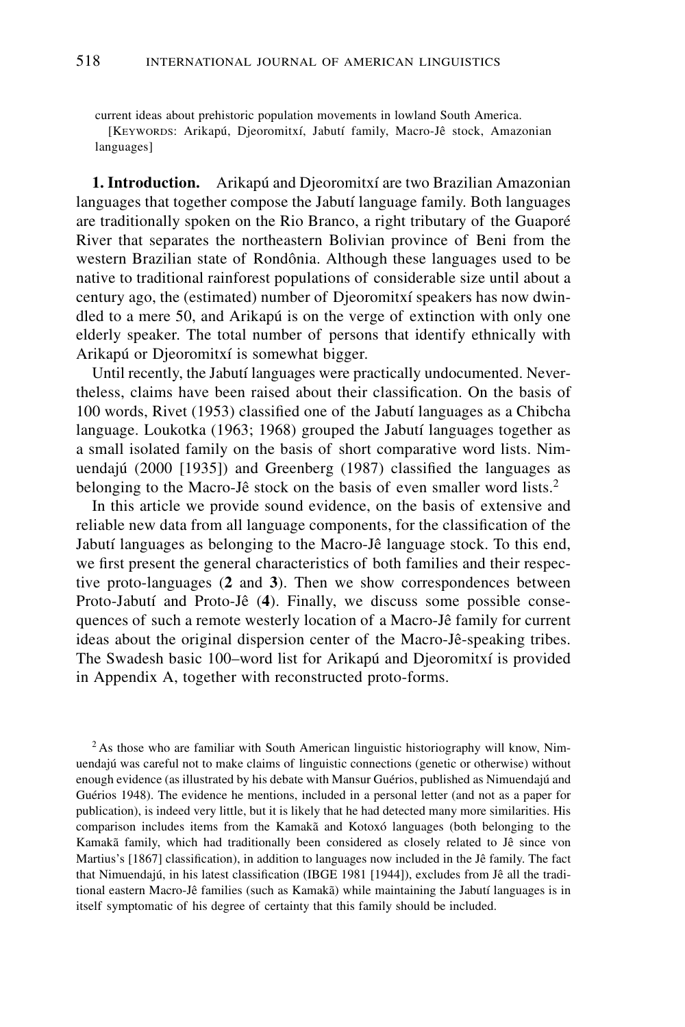current ideas about prehistoric population movements in lowland South America.

[KEYWORDS: Arikapú, Djeoromitxí, Jabutí family, Macro-Jê stock, Amazonian languages]

**1. Introduction.** Arikapú and Djeoromitxí are two Brazilian Amazonian languages that together compose the Jabutí language family. Both languages are traditionally spoken on the Rio Branco, a right tributary of the Guaporé River that separates the northeastern Bolivian province of Beni from the western Brazilian state of Rondônia. Although these languages used to be native to traditional rainforest populations of considerable size until about a century ago, the (estimated) number of Djeoromitxí speakers has now dwindled to a mere 50, and Arikapú is on the verge of extinction with only one elderly speaker. The total number of persons that identify ethnically with Arikapú or Djeoromitxí is somewhat bigger.

Until recently, the Jabutí languages were practically undocumented. Nevertheless, claims have been raised about their classification. On the basis of 100 words, Rivet (1953) classified one of the Jabutí languages as a Chibcha language. Loukotka (1963; 1968) grouped the Jabutí languages together as a small isolated family on the basis of short comparative word lists. Nimuendajú (2000 [1935]) and Greenberg (1987) classified the languages as belonging to the Macro-Jê stock on the basis of even smaller word lists.<sup>2</sup>

In this article we provide sound evidence, on the basis of extensive and reliable new data from all language components, for the classification of the Jabutí languages as belonging to the Macro-Jê language stock. To this end, we first present the general characteristics of both families and their respective proto-languages (**2** and **3**). Then we show correspondences between Proto-Jabutí and Proto-Jê (**4**). Finally, we discuss some possible consequences of such a remote westerly location of a Macro-Jê family for current ideas about the original dispersion center of the Macro-Jê-speaking tribes. The Swadesh basic 100–word list for Arikapú and Djeoromitxí is provided in Appendix A, together with reconstructed proto-forms.

<sup>2</sup> As those who are familiar with South American linguistic historiography will know, Nimuendajú was careful not to make claims of linguistic connections (genetic or otherwise) without enough evidence (as illustrated by his debate with Mansur Guérios, published as Nimuendajú and Guérios 1948). The evidence he mentions, included in a personal letter (and not as a paper for publication), is indeed very little, but it is likely that he had detected many more similarities. His comparison includes items from the Kamakã and Kotoxó languages (both belonging to the Kamakã family, which had traditionally been considered as closely related to Jê since von Martius's [1867] classification), in addition to languages now included in the Jê family. The fact that Nimuendajú, in his latest classification (IBGE 1981 [1944]), excludes from Jê all the traditional eastern Macro-Jê families (such as Kamakã) while maintaining the Jabutí languages is in itself symptomatic of his degree of certainty that this family should be included.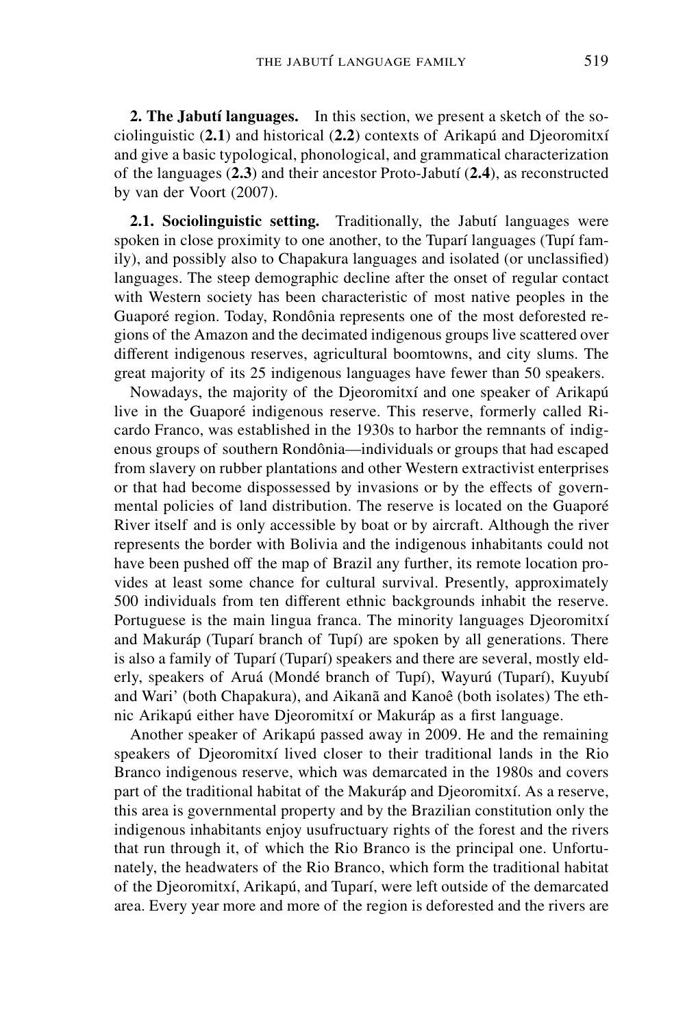**2. The Jabutí languages.** In this section, we present a sketch of the sociolinguistic (**2.1**) and historical (**2.2**) contexts of Arikapú and Djeoromitxí and give a basic typological, phonological, and grammatical characterization of the languages (**2.3**) and their ancestor Proto-Jabutí (**2.4**), as reconstructed by van der Voort (2007).

**2.1. Sociolinguistic setting.** Traditionally, the Jabutí languages were spoken in close proximity to one another, to the Tuparí languages (Tupí family), and possibly also to Chapakura languages and isolated (or unclassified) languages. The steep demographic decline after the onset of regular contact with Western society has been characteristic of most native peoples in the Guaporé region. Today, Rondônia represents one of the most deforested regions of the Amazon and the decimated indigenous groups live scattered over different indigenous reserves, agricultural boomtowns, and city slums. The great majority of its 25 indigenous languages have fewer than 50 speakers.

Nowadays, the majority of the Djeoromitxí and one speaker of Arikapú live in the Guaporé indigenous reserve. This reserve, formerly called Ricardo Franco, was established in the 1930s to harbor the remnants of indigenous groups of southern Rondônia—individuals or groups that had escaped from slavery on rubber plantations and other Western extractivist enterprises or that had become dispossessed by invasions or by the effects of governmental policies of land distribution. The reserve is located on the Guaporé River itself and is only accessible by boat or by aircraft. Although the river represents the border with Bolivia and the indigenous inhabitants could not have been pushed off the map of Brazil any further, its remote location provides at least some chance for cultural survival. Presently, approximately 500 individuals from ten different ethnic backgrounds inhabit the reserve. Portuguese is the main lingua franca. The minority languages Djeoromitxí and Makuráp (Tuparí branch of Tupí) are spoken by all generations. There is also a family of Tuparí (Tuparí) speakers and there are several, mostly elderly, speakers of Aruá (Mondé branch of Tupí), Wayurú (Tuparí), Kuyubí and Wari' (both Chapakura), and Aikanã and Kanoê (both isolates) The ethnic Arikapú either have Djeoromitxí or Makuráp as a first language.

Another speaker of Arikapú passed away in 2009. He and the remaining speakers of Djeoromitxí lived closer to their traditional lands in the Rio Branco indigenous reserve, which was demarcated in the 1980s and covers part of the traditional habitat of the Makuráp and Djeoromitxí. As a reserve, this area is governmental property and by the Brazilian constitution only the indigenous inhabitants enjoy usufructuary rights of the forest and the rivers that run through it, of which the Rio Branco is the principal one. Unfortunately, the headwaters of the Rio Branco, which form the traditional habitat of the Djeoromitxí, Arikapú, and Tuparí, were left outside of the demarcated area. Every year more and more of the region is deforested and the rivers are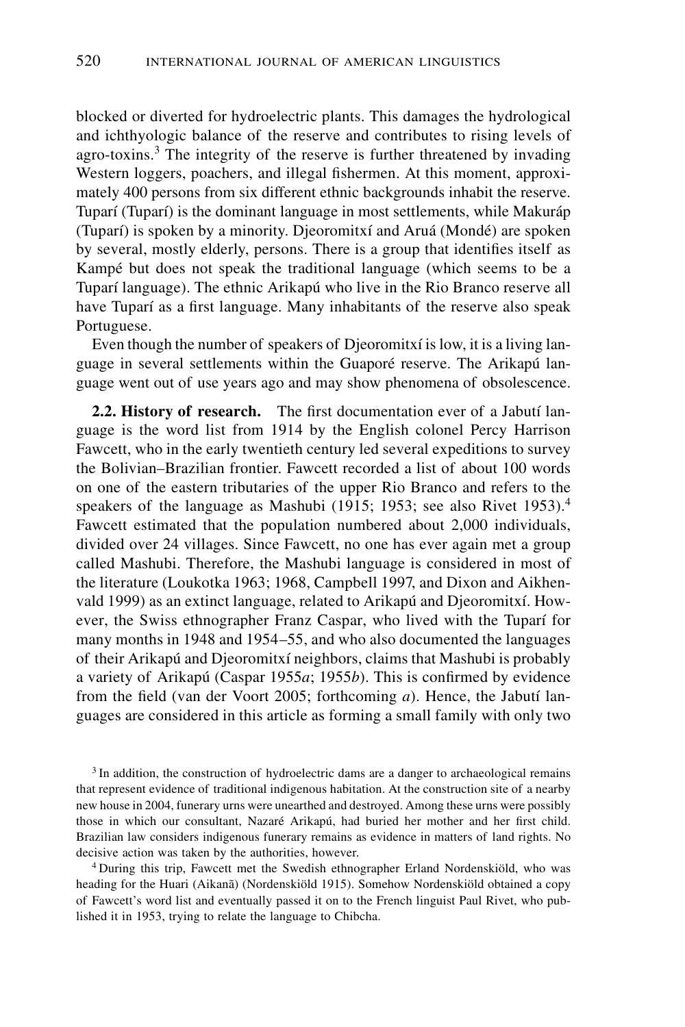blocked or diverted for hydroelectric plants. This damages the hydrological and ichthyologic balance of the reserve and contributes to rising levels of agro-toxins.3 The integrity of the reserve is further threatened by invading Western loggers, poachers, and illegal fishermen. At this moment, approximately 400 persons from six different ethnic backgrounds inhabit the reserve. Tuparí (Tuparí) is the dominant language in most settlements, while Makuráp (Tuparí) is spoken by a minority. Djeoromitxí and Aruá (Mondé) are spoken by several, mostly elderly, persons. There is a group that identifies itself as Kampé but does not speak the traditional language (which seems to be a Tuparí language). The ethnic Arikapú who live in the Rio Branco reserve all have Tuparí as a first language. Many inhabitants of the reserve also speak Portuguese.

Even though the number of speakers of Djeoromitxí is low, it is a living language in several settlements within the Guaporé reserve. The Arikapú language went out of use years ago and may show phenomena of obsolescence.

**2.2. History of research.** The first documentation ever of a Jabutí language is the word list from 1914 by the English colonel Percy Harrison Fawcett, who in the early twentieth century led several expeditions to survey the Bolivian–Brazilian frontier. Fawcett recorded a list of about 100 words on one of the eastern tributaries of the upper Rio Branco and refers to the speakers of the language as Mashubi (1915; 1953; see also Rivet 1953).<sup>4</sup> Fawcett estimated that the population numbered about 2,000 individuals, divided over 24 villages. Since Fawcett, no one has ever again met a group called Mashubi. Therefore, the Mashubi language is considered in most of the literature (Loukotka 1963; 1968, Campbell 1997, and Dixon and Aikhenvald 1999) as an extinct language, related to Arikapú and Djeoromitxí. However, the Swiss ethnographer Franz Caspar, who lived with the Tuparí for many months in 1948 and 1954–55, and who also documented the languages of their Arikapú and Djeoromitxí neighbors, claims that Mashubi is probably a variety of Arikapú (Caspar 1955*a*; 1955*b*). This is confirmed by evidence from the field (van der Voort 2005; forthcoming *a*). Hence, the Jabutí languages are considered in this article as forming a small family with only two

<sup>3</sup> In addition, the construction of hydroelectric dams are a danger to archaeological remains that represent evidence of traditional indigenous habitation. At the construction site of a nearby new house in 2004, funerary urns were unearthed and destroyed. Among these urns were possibly those in which our consultant, Nazaré Arikapú, had buried her mother and her first child. Brazilian law considers indigenous funerary remains as evidence in matters of land rights. No decisive action was taken by the authorities, however.<br><sup>4</sup> During this trip, Fawcett met the Swedish ethnographer Erland Nordenskiöld, who was

heading for the Huari (Aikanã) (Nordenskiöld 1915). Somehow Nordenskiöld obtained a copy of Fawcett's word list and eventually passed it on to the French linguist Paul Rivet, who published it in 1953, trying to relate the language to Chibcha.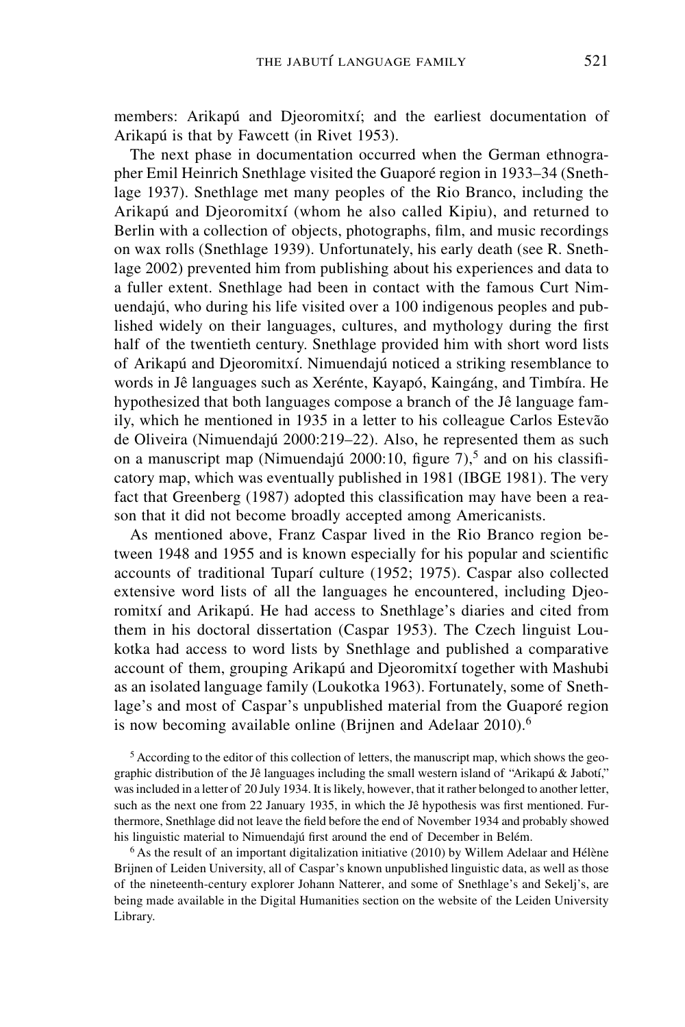members: Arikapú and Djeoromitxí; and the earliest documentation of Arikapú is that by Fawcett (in Rivet 1953).

The next phase in documentation occurred when the German ethnographer Emil Heinrich Snethlage visited the Guaporé region in 1933–34 (Snethlage 1937). Snethlage met many peoples of the Rio Branco, including the Arikapú and Djeoromitxí (whom he also called Kipiu), and returned to Berlin with a collection of objects, photographs, film, and music recordings on wax rolls (Snethlage 1939). Unfortunately, his early death (see R. Snethlage 2002) prevented him from publishing about his experiences and data to a fuller extent. Snethlage had been in contact with the famous Curt Nimuendajú, who during his life visited over a 100 indigenous peoples and published widely on their languages, cultures, and mythology during the first half of the twentieth century. Snethlage provided him with short word lists of Arikapú and Djeoromitxí. Nimuendajú noticed a striking resemblance to words in Jê languages such as Xerénte, Kayapó, Kaingáng, and Timbíra. He hypothesized that both languages compose a branch of the Jê language family, which he mentioned in 1935 in a letter to his colleague Carlos Estevão de Oliveira (Nimuendajú 2000:219–22). Also, he represented them as such on a manuscript map (Nimuendajú 2000:10, figure 7),<sup>5</sup> and on his classificatory map, which was eventually published in 1981 (IBGE 1981). The very fact that Greenberg (1987) adopted this classification may have been a reason that it did not become broadly accepted among Americanists.

As mentioned above, Franz Caspar lived in the Rio Branco region between 1948 and 1955 and is known especially for his popular and scientific accounts of traditional Tuparí culture (1952; 1975). Caspar also collected extensive word lists of all the languages he encountered, including Djeoromitxí and Arikapú. He had access to Snethlage's diaries and cited from them in his doctoral dissertation (Caspar 1953). The Czech linguist Loukotka had access to word lists by Snethlage and published a comparative account of them, grouping Arikapú and Djeoromitxí together with Mashubi as an isolated language family (Loukotka 1963). Fortunately, some of Snethlage's and most of Caspar's unpublished material from the Guaporé region is now becoming available online (Brijnen and Adelaar  $2010$ ).<sup>6</sup>

 $<sup>5</sup>$  According to the editor of this collection of letters, the manuscript map, which shows the geo-</sup> graphic distribution of the Jê languages including the small western island of "Arikapú & Jabotí," was included in a letter of 20 July 1934. It is likely, however, that it rather belonged to another letter, such as the next one from 22 January 1935, in which the Jê hypothesis was first mentioned. Furthermore, Snethlage did not leave the field before the end of November 1934 and probably showed his linguistic material to Nimuendajú first around the end of December in Belém.

 $6$  As the result of an important digitalization initiative (2010) by Willem Adelaar and Hélène Brijnen of Leiden University, all of Caspar's known unpublished linguistic data, as well as those of the nineteenth-century explorer Johann Natterer, and some of Snethlage's and Sekelj's, are being made available in the Digital Humanities section on the website of the Leiden University Library.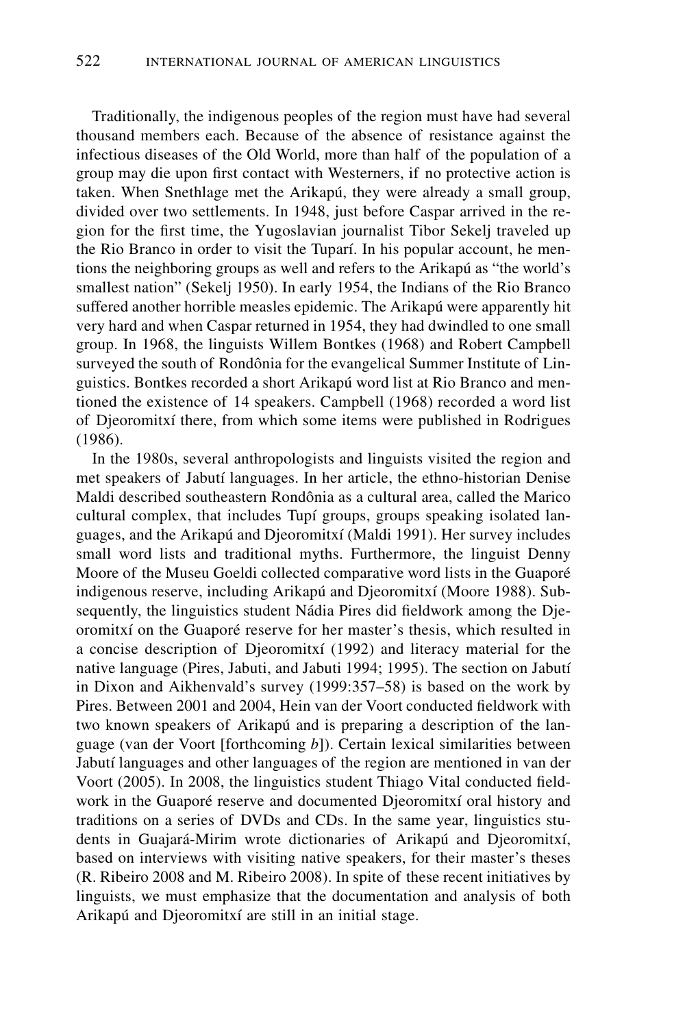Traditionally, the indigenous peoples of the region must have had several thousand members each. Because of the absence of resistance against the infectious diseases of the Old World, more than half of the population of a group may die upon first contact with Westerners, if no protective action is taken. When Snethlage met the Arikapú, they were already a small group, divided over two settlements. In 1948, just before Caspar arrived in the region for the first time, the Yugoslavian journalist Tibor Sekelj traveled up the Rio Branco in order to visit the Tuparí. In his popular account, he mentions the neighboring groups as well and refers to the Arikapú as "the world's smallest nation" (Sekelj 1950). In early 1954, the Indians of the Rio Branco suffered another horrible measles epidemic. The Arikapú were apparently hit very hard and when Caspar returned in 1954, they had dwindled to one small group. In 1968, the linguists Willem Bontkes (1968) and Robert Campbell surveyed the south of Rondônia for the evangelical Summer Institute of Linguistics. Bontkes recorded a short Arikapú word list at Rio Branco and mentioned the existence of 14 speakers. Campbell (1968) recorded a word list of Djeoromitxí there, from which some items were published in Rodrigues (1986).

In the 1980s, several anthropologists and linguists visited the region and met speakers of Jabutí languages. In her article, the ethno-historian Denise Maldi described southeastern Rondônia as a cultural area, called the Marico cultural complex, that includes Tupí groups, groups speaking isolated languages, and the Arikapú and Djeoromitxí (Maldi 1991). Her survey includes small word lists and traditional myths. Furthermore, the linguist Denny Moore of the Museu Goeldi collected comparative word lists in the Guaporé indigenous reserve, including Arikapú and Djeoromitxí (Moore 1988). Subsequently, the linguistics student Nádia Pires did fieldwork among the Djeoromitxí on the Guaporé reserve for her master's thesis, which resulted in a concise description of Djeoromitxí (1992) and literacy material for the native language (Pires, Jabuti, and Jabuti 1994; 1995). The section on Jabutí in Dixon and Aikhenvald's survey (1999:357–58) is based on the work by Pires. Between 2001 and 2004, Hein van der Voort conducted fieldwork with two known speakers of Arikapú and is preparing a description of the language (van der Voort [forthcoming *b*]). Certain lexical similarities between Jabutí languages and other languages of the region are mentioned in van der Voort (2005). In 2008, the linguistics student Thiago Vital conducted fieldwork in the Guaporé reserve and documented Djeoromitxí oral history and traditions on a series of DVDs and CDs. In the same year, linguistics students in Guajará-Mirim wrote dictionaries of Arikapú and Djeoromitxí, based on interviews with visiting native speakers, for their master's theses (R. Ribeiro 2008 and M. Ribeiro 2008). In spite of these recent initiatives by linguists, we must emphasize that the documentation and analysis of both Arikapú and Djeoromitxí are still in an initial stage.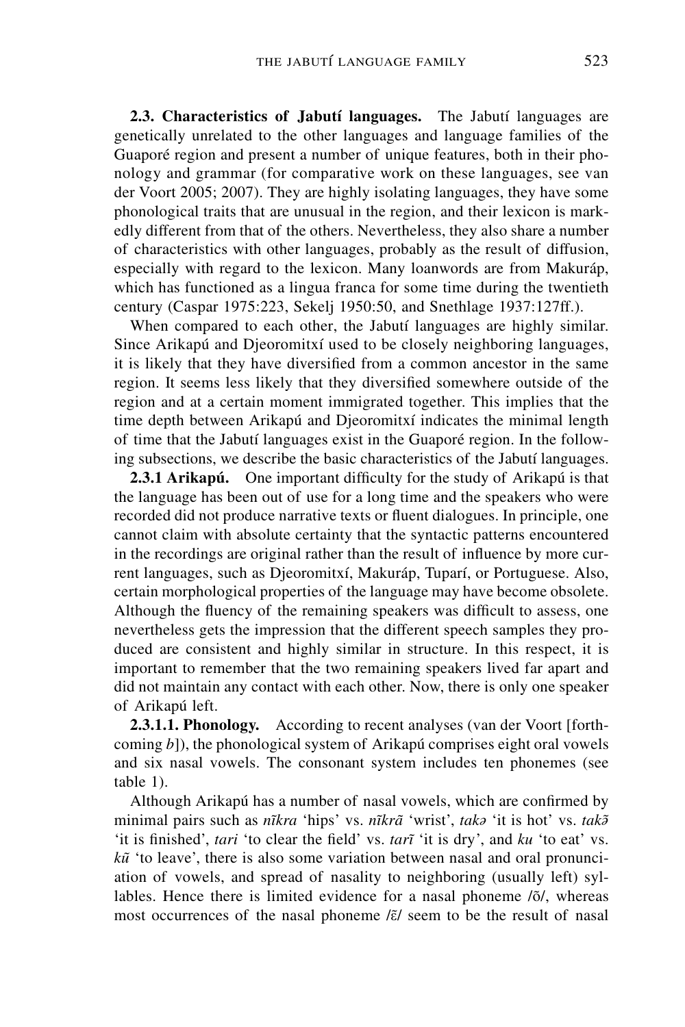**2.3. Characteristics of Jabutí languages.** The Jabutí languages are genetically unrelated to the other languages and language families of the Guaporé region and present a number of unique features, both in their phonology and grammar (for comparative work on these languages, see van der Voort 2005; 2007). They are highly isolating languages, they have some phonological traits that are unusual in the region, and their lexicon is markedly different from that of the others. Nevertheless, they also share a number of characteristics with other languages, probably as the result of diffusion, especially with regard to the lexicon. Many loanwords are from Makuráp, which has functioned as a lingua franca for some time during the twentieth century (Caspar 1975:223, Sekelj 1950:50, and Snethlage 1937:127ff.).

When compared to each other, the Jabutí languages are highly similar. Since Arikapú and Djeoromitxí used to be closely neighboring languages, it is likely that they have diversified from a common ancestor in the same region. It seems less likely that they diversified somewhere outside of the region and at a certain moment immigrated together. This implies that the time depth between Arikapú and Djeoromitxí indicates the minimal length of time that the Jabutí languages exist in the Guaporé region. In the following subsections, we describe the basic characteristics of the Jabutí languages.

**2.3.1 Arikapú.** One important difficulty for the study of Arikapú is that the language has been out of use for a long time and the speakers who were recorded did not produce narrative texts or fluent dialogues. In principle, one cannot claim with absolute certainty that the syntactic patterns encountered in the recordings are original rather than the result of influence by more current languages, such as Djeoromitxí, Makuráp, Tuparí, or Portuguese. Also, certain morphological properties of the language may have become obsolete. Although the fluency of the remaining speakers was difficult to assess, one nevertheless gets the impression that the different speech samples they produced are consistent and highly similar in structure. In this respect, it is important to remember that the two remaining speakers lived far apart and did not maintain any contact with each other. Now, there is only one speaker of Arikapú left.

**2.3.1.1. Phonology.** According to recent analyses (van der Voort [forthcoming *b*]), the phonological system of Arikapú comprises eight oral vowels and six nasal vowels. The consonant system includes ten phonemes (see table 1).

Although Arikapú has a number of nasal vowels, which are confirmed by minimal pairs such as *n*i*kra* 'hips' vs. *n*i*krã* 'wrist', *tak´* 'it is hot' vs. *tak´\$* 'it is finished', *tari* 'to clear the field' vs. *tar*i 'it is dry', and *ku* 'to eat' vs.  $k\tilde{u}$  'to leave', there is also some variation between nasal and oral pronunciation of vowels, and spread of nasality to neighboring (usually left) syllables. Hence there is limited evidence for a nasal phoneme /õ/, whereas most occurrences of the nasal phoneme / $\tilde{\epsilon}$ / seem to be the result of nasal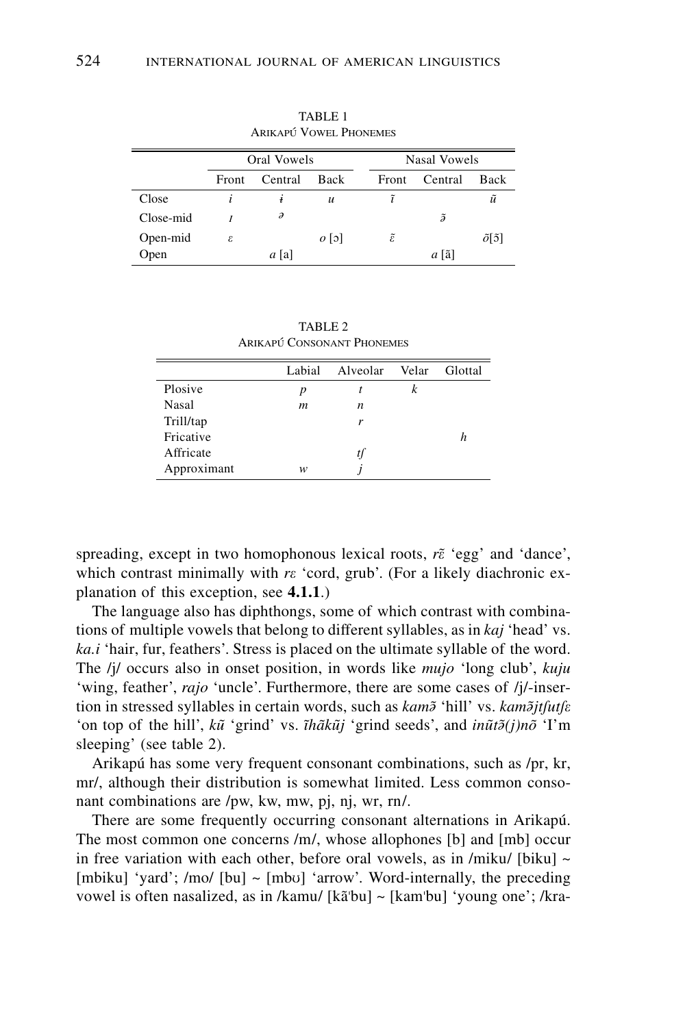| ARIKAPÚ VOWEL PHONEMES |             |         |                  |       |              |                        |  |
|------------------------|-------------|---------|------------------|-------|--------------|------------------------|--|
|                        | Oral Vowels |         |                  |       | Nasal Vowels |                        |  |
|                        | Front       | Central | Back             | Front | Central      | Back                   |  |
| Close                  |             |         | $\boldsymbol{u}$ |       |              | ũ                      |  |
| Close-mid              |             | ә       |                  |       | ã            |                        |  |
| Open-mid               | ε           |         | $\sigma$ [5]     | ã.    |              | $\tilde{o}[\tilde{3}]$ |  |
| Open                   |             | a[a]    |                  |       | $a$ [ã]      |                        |  |

TABLE 1

| TABLE 2                    |
|----------------------------|
| ARIKAPÚ CONSONANT PHONEMES |

|             | Labial           | Alveolar Velar |   | Glottal |
|-------------|------------------|----------------|---|---------|
| Plosive     | $\boldsymbol{p}$ |                | k |         |
| Nasal       | m                | n              |   |         |
| Trill/tap   |                  | r              |   |         |
| Fricative   |                  |                |   | h       |
| Affricate   |                  | tļ             |   |         |
| Approximant | w                |                |   |         |

spreading, except in two homophonous lexical roots,  $r\tilde{\epsilon}$  'egg' and 'dance', which contrast minimally with  $r\epsilon$  'cord, grub'. (For a likely diachronic explanation of this exception, see **4.1.1**.)

The language also has diphthongs, some of which contrast with combinations of multiple vowels that belong to different syllables, as in *kaj* 'head' vs. *ka.i* 'hair, fur, feathers'. Stress is placed on the ultimate syllable of the word. The /j/ occurs also in onset position, in words like *mujo* 'long club', *kuju* 'wing, feather', *rajo* 'uncle'. Furthermore, there are some cases of /j/-insertion in stressed syllables in certain words, such as *kam*<sup> $\delta$ </sup> 'hill' vs. *kam* $\delta$ *itfutf*ε 'on top of the hill', *ku\$* 'grind' vs. i*hãku\$j* 'grind seeds', and *inu\$t´\$(j)nõ* 'I'm sleeping' (see table 2).

Arikapú has some very frequent consonant combinations, such as /pr, kr, mr/, although their distribution is somewhat limited. Less common consonant combinations are /pw, kw, mw, pj, nj, wr, rn/.

There are some frequently occurring consonant alternations in Arikapú. The most common one concerns /m/, whose allophones [b] and [mb] occur in free variation with each other, before oral vowels, as in /miku/ [biku]  $\sim$ [mbiku] 'yard'; /mo/ [bu]  $\sim$  [mbo] 'arrow'. Word-internally, the preceding vowel is often nasalized, as in /kamu/ [kãˈbu] ~ [kamˈbu] 'young one'; /kra-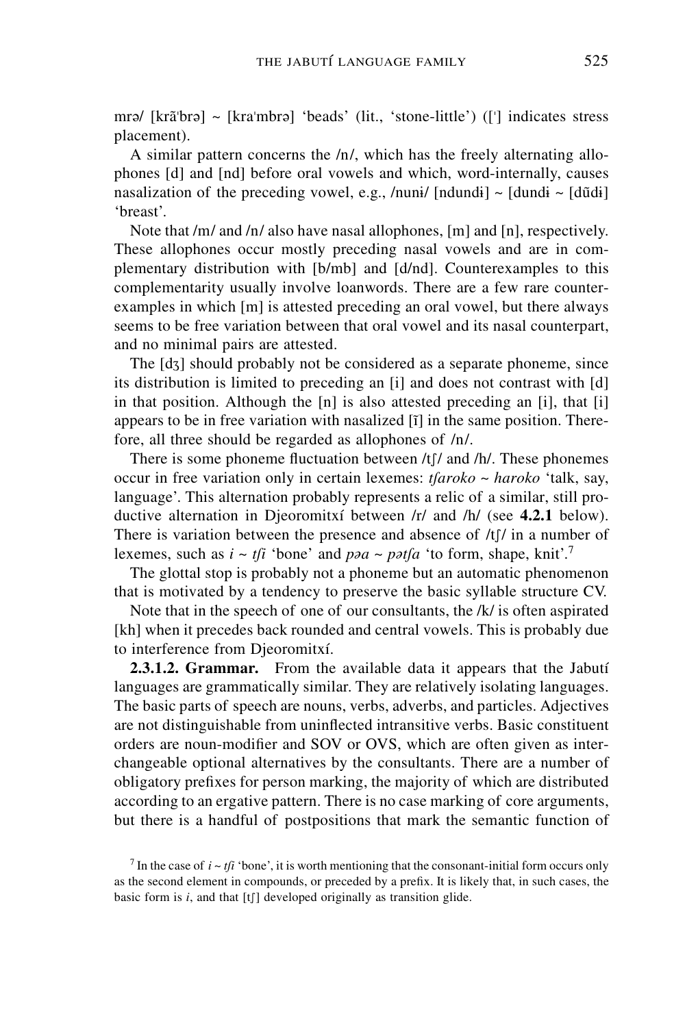mrə/ [krãˈbrə] ~ [kraˈmbrə] 'beads' (lit., 'stone-little') ([<sup>'</sup>] indicates stress placement).

A similar pattern concerns the /n/, which has the freely alternating allophones [d] and [nd] before oral vowels and which, word-internally, causes nasalization of the preceding vowel, e.g., /nuni/  $[ndundi] \sim [düdi]$ 'breast'.

Note that /m/ and /n/ also have nasal allophones, [m] and [n], respectively. These allophones occur mostly preceding nasal vowels and are in complementary distribution with [b/mb] and [d/nd]. Counterexamples to this complementarity usually involve loanwords. There are a few rare counterexamples in which [m] is attested preceding an oral vowel, but there always seems to be free variation between that oral vowel and its nasal counterpart, and no minimal pairs are attested.

The  $[d_3]$  should probably not be considered as a separate phoneme, since its distribution is limited to preceding an [i] and does not contrast with [d] in that position. Although the [n] is also attested preceding an [i], that [i] appears to be in free variation with nasalized [i] in the same position. Therefore, all three should be regarded as allophones of /n/.

There is some phoneme fluctuation between  $/t$  [ $/$  and  $/h/$ . These phonemes occur in free variation only in certain lexemes: *taroko ~ haroko* 'talk, say, language'. This alternation probably represents a relic of a similar, still productive alternation in Djeoromitxí between /r/ and /h/ (see **4.2.1** below). There is variation between the presence and absence of  $/t$  in a number of lexemes, such as  $i \sim t/i$  'bone' and  $p a a \sim p a t/a$  'to form, shape, knit'.<sup>7</sup>

The glottal stop is probably not a phoneme but an automatic phenomenon that is motivated by a tendency to preserve the basic syllable structure CV.

Note that in the speech of one of our consultants, the /k/ is often aspirated [kh] when it precedes back rounded and central vowels. This is probably due to interference from Djeoromitxí.

**2.3.1.2. Grammar.** From the available data it appears that the Jabutí languages are grammatically similar. They are relatively isolating languages. The basic parts of speech are nouns, verbs, adverbs, and particles. Adjectives are not distinguishable from uninflected intransitive verbs. Basic constituent orders are noun-modifier and SOV or OVS, which are often given as interchangeable optional alternatives by the consultants. There are a number of obligatory prefixes for person marking, the majority of which are distributed according to an ergative pattern. There is no case marking of core arguments, but there is a handful of postpositions that mark the semantic function of

<sup>&</sup>lt;sup>7</sup> In the case of  $i \sim t/i$  'bone', it is worth mentioning that the consonant-initial form occurs only as the second element in compounds, or preceded by a prefix. It is likely that, in such cases, the basic form is  $i$ , and that  $[t]$  developed originally as transition glide.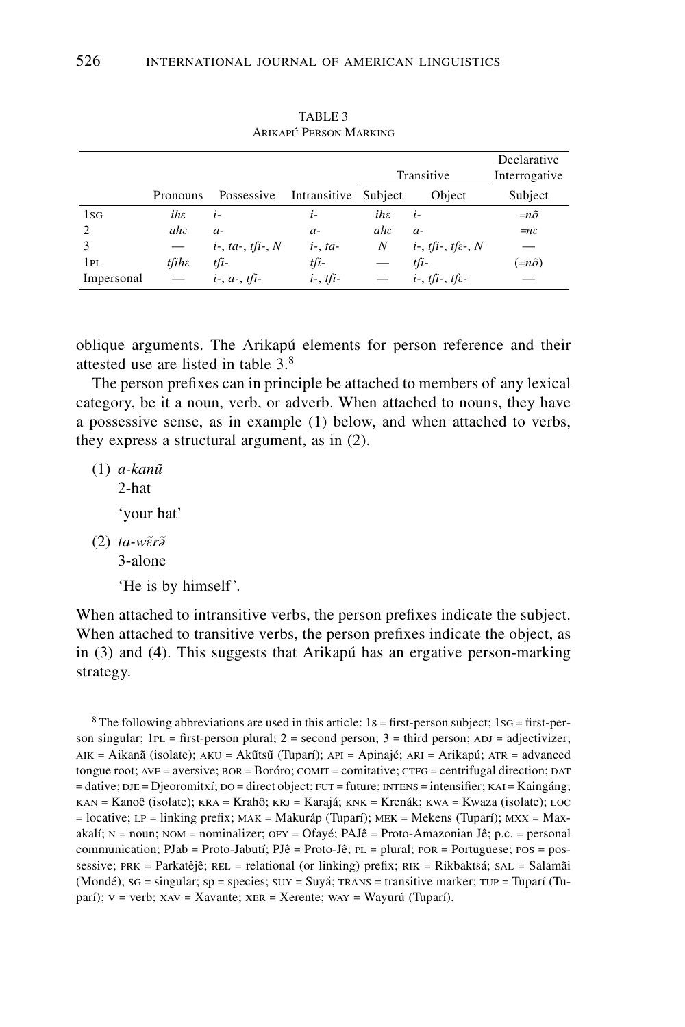| ARIKAPÚ PERSON MARKING |                       |                       |                      |                          |                                        |                   |  |
|------------------------|-----------------------|-----------------------|----------------------|--------------------------|----------------------------------------|-------------------|--|
|                        |                       |                       |                      | Transitive               | Declarative<br>Interrogative           |                   |  |
|                        | Pronouns              | Possessive            | Intransitive Subject |                          | Object                                 | Subject           |  |
| 1 <sub>SG</sub>        | $i$ h $\varepsilon$   | $\dot{i}$ -           | $\dot{i}$            | $i$ h $\varepsilon$      | $i-$                                   | $=n\tilde{o}$     |  |
| $\overline{c}$         | $ah\varepsilon$       | $a-$                  | $a-$                 | $ah\varepsilon$          | $a-$                                   | $= n \varepsilon$ |  |
| 3                      |                       | $i$ -, ta-, tfi-, N   | $i$ -, ta-           | N                        | $i$ -, $t/i$ -, $t/\varepsilon$ -, $N$ |                   |  |
| 1 <sub>PL</sub>        | $t$ fih $\varepsilon$ | $t/i-$                | $t/i-$               |                          | $t/i-$                                 | $(=n\tilde{o})$   |  |
| Impersonal             |                       | $i$ -, $a$ -, $t/i$ - | $i$ -, $t/i$ -       | $\overline{\phantom{0}}$ | $i$ -, $t/i$ -, $t/\varepsilon$ -      |                   |  |

TABLE 3

oblique arguments. The Arikapú elements for person reference and their attested use are listed in table 3.<sup>8</sup>

The person prefixes can in principle be attached to members of any lexical category, be it a noun, verb, or adverb. When attached to nouns, they have a possessive sense, as in example (1) below, and when attached to verbs, they express a structural argument, as in (2).

(1) *a-kanu\$* 2-hat 'your hat'

 $(2)$  *ta-w* $\tilde{\varepsilon}$ *r* $\tilde{\varepsilon}$ <sup>\*</sup> 3-alone

'He is by himself'.

When attached to intransitive verbs, the person prefixes indicate the subject. When attached to transitive verbs, the person prefixes indicate the object, as in (3) and (4). This suggests that Arikapú has an ergative person-marking strategy.

<sup>8</sup> The following abbreviations are used in this article:  $1s = first-person subject; 1s = first-per$ son singular;  $1PL = first-person plural$ ;  $2 = second person$ ;  $3 = third person$ ;  $ADJ = adjectiveityizer$ ;  $AIK = Aikan\tilde{a}$  (isolate);  $AKU = Ak\tilde{u}ts\tilde{u}$  (Tuparí);  $API = Apinaj\acute{e}$ ;  $ARI = Arikapú$ ;  $ATR = advanced$ tongue root;  $AVE = aversive$ ;  $BOR = Boróro$ ;  $COMIT = comitative$ ;  $CTFG = centrifugal direction$ ;  $DATA$  $=$  dative; DJE = Djeoromitxí; DO = direct object; FUT = future; INTENS = intensifier; KAI = Kaingáng;  $KAN = Kanoê (isolate); KRA = Krahô; KRJ = Karajá; KNK = Krenák; KWA = Kwaza (isolate); LOC$ = locative; lp = linking prefix; mak = Makuráp (Tuparí); mek = Mekens (Tuparí); mxx = Maxakalí;  $N =$  noun;  $NOM =$  nominalizer;  $OF =$  Ofayé;  $PAJ\hat{e} =$  Proto-Amazonian Jê; p.c. = personal communication; PJab = Proto-Jabutí; PJê = Proto-Jê; PL = plural; POR = Portuguese; POS = possessive; PRK = Parkatêjê; REL = relational (or linking) prefix; RIK = Rikbaktsá; SAL = Salamãi (Mondé);  $SG = singular$ ;  $sp = species$ ;  $SUY = Suy4$ ;  $TRANS = transitive marker$ ;  $TUP = Tuparf(Tu$ parí); <sup>v</sup> = verb; xav = Xavante; xer = Xerente; way = Wayurú (Tuparí).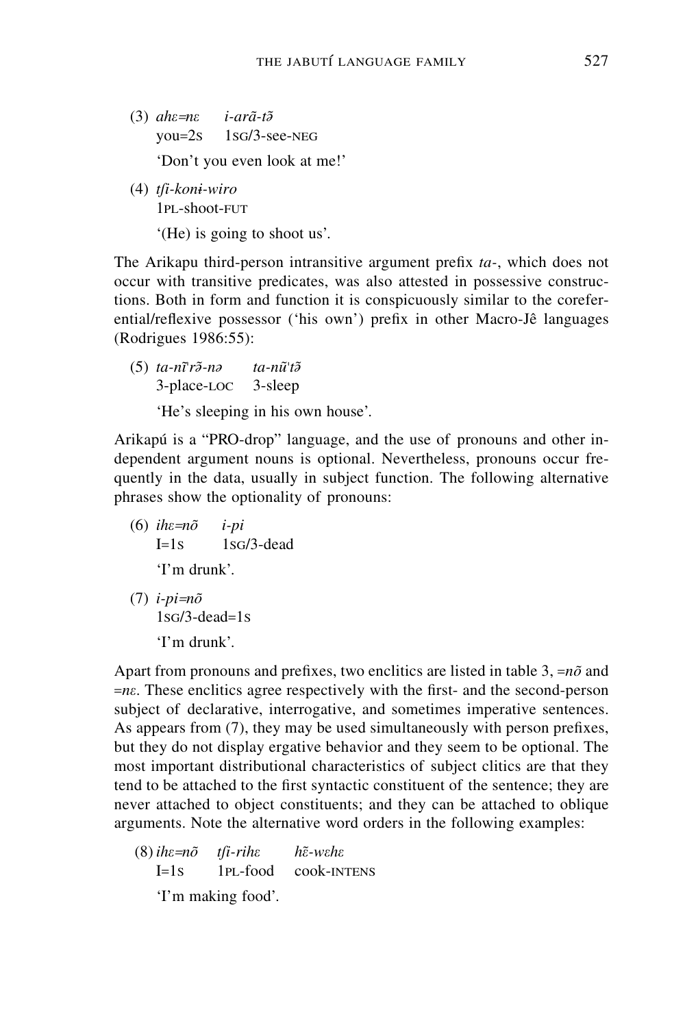$(i3)$   $ahz = n\epsilon$  *i-arã-tã* you=2<sup>s</sup> <sup>1</sup>sg/3-see-neg

'Don't you even look at me!'

(4) *tSi-konI-wiro* 1pl-shoot-fut '(He) is going to shoot us'.

The Arikapu third-person intransitive argument prefix *ta-*, which does not occur with transitive predicates, was also attested in possessive constructions. Both in form and function it is conspicuously similar to the coreferential/reflexive possessor ('his own') prefix in other Macro-Jê languages (Rodrigues 1986:55):

 $(5)$   $ta-n\tilde{i}'r\tilde{\partial}-n\partial$   $ta-n\tilde{u}'t\tilde{\partial}$ 3-place-loc 3-sleep 'He's sleeping in his own house'.

Arikapú is a "PRO-drop" language, and the use of pronouns and other independent argument nouns is optional. Nevertheless, pronouns occur frequently in the data, usually in subject function. The following alternative phrases show the optionality of pronouns:

- $(6)$  *ih* $\varepsilon$ = $n\tilde{o}$  *i-pi*  $I=1s$   $1sq/3$ -dead 'I'm drunk'.
- (7) *i-pi*=*nõ* <sup>1</sup>sg/3-dead=1<sup>s</sup> 'I'm drunk'.

Apart from pronouns and prefixes, two enclitics are listed in table 3, =*nõ* and =*nE*. These enclitics agree respectively with the first- and the second-person subject of declarative, interrogative, and sometimes imperative sentences. As appears from (7), they may be used simultaneously with person prefixes, but they do not display ergative behavior and they seem to be optional. The most important distributional characteristics of subject clitics are that they tend to be attached to the first syntactic constituent of the sentence; they are never attached to object constituents; and they can be attached to oblique arguments. Note the alternative word orders in the following examples:

 $(8)$  *ih* $\varepsilon$ = $n\tilde{o}$  *t*  $f$ *i*-*rih* $\varepsilon$  *h* $\tilde{\varepsilon}$ -w $\varepsilon$ *h* $\varepsilon$ <sup>I</sup>=1<sup>s</sup> <sup>1</sup>pl-food cook-intens 'I'm making food'.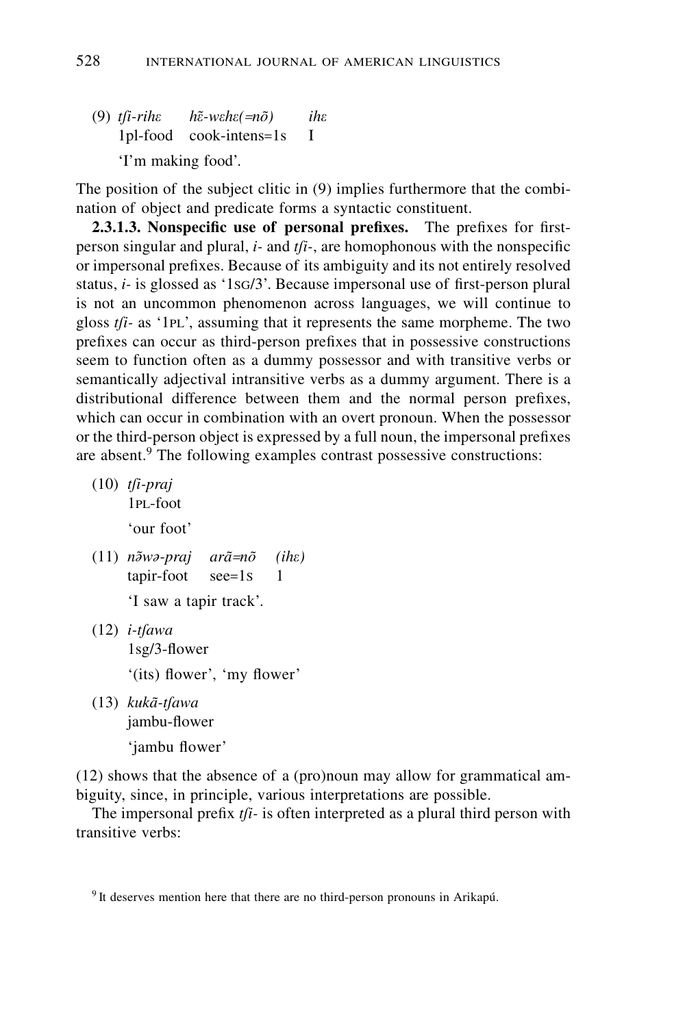(9)  $t \hat{i}$ -rihe  $h \tilde{\epsilon}$ -wehe $( = n \tilde{o})$  ihe 1pl-food cook-intens=1s I 'I'm making food'.

The position of the subject clitic in (9) implies furthermore that the combination of object and predicate forms a syntactic constituent.

**2.3.1.3. Nonspecific use of personal prefixes.** The prefixes for firstperson singular and plural, *i-* and *tSi-*, are homophonous with the nonspecific or impersonal prefixes. Because of its ambiguity and its not entirely resolved status, *i-* is glossed as '1sg/3'. Because impersonal use of first-person plural is not an uncommon phenomenon across languages, we will continue to gloss *tfi*- as '1PL', assuming that it represents the same morpheme. The two prefixes can occur as third-person prefixes that in possessive constructions seem to function often as a dummy possessor and with transitive verbs or semantically adjectival intransitive verbs as a dummy argument. There is a distributional difference between them and the normal person prefixes, which can occur in combination with an overt pronoun. When the possessor or the third-person object is expressed by a full noun, the impersonal prefixes are absent.<sup>9</sup> The following examples contrast possessive constructions:

 $(10)$  *tfi-praj* 1pl-foot

'our foot'

- $(11)$   $n\tilde{\partial}w\partial\text{-}praj$   $ar\tilde{a} = n\tilde{o}$   $(i\hbar\varepsilon)$ tapir-foot see=1<sup>s</sup> <sup>1</sup> 'I saw a tapir track'.
- (12) *i-tSawa* 1sg/3-flower '(its) flower', 'my flower'
- (13) *kukã-tSawa* jambu-flower 'jambu flower'

(12) shows that the absence of a (pro)noun may allow for grammatical ambiguity, since, in principle, various interpretations are possible.

The impersonal prefix  $t/i$ - is often interpreted as a plural third person with transitive verbs:

<sup>&</sup>lt;sup>9</sup> It deserves mention here that there are no third-person pronouns in Arikapú.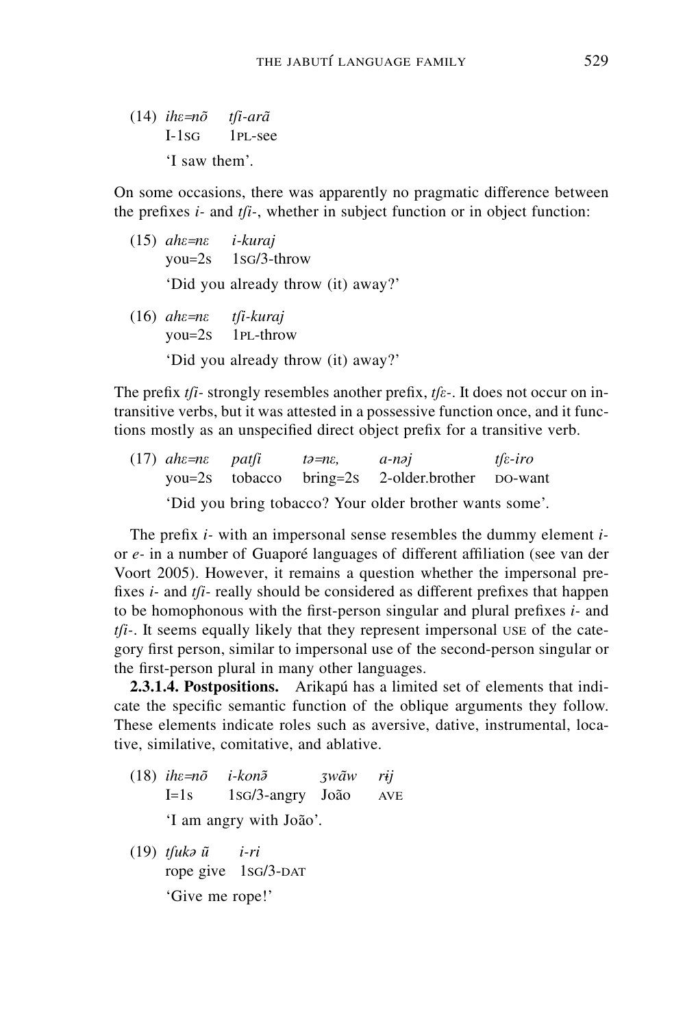$(14)$  *ih* $\varepsilon = n\tilde{o}$  *tfi-arã* I-1sg 1pl-see 'I saw them'.

On some occasions, there was apparently no pragmatic difference between the prefixes *i*- and *tfi*-, whether in subject function or in object function:

- (15) *ahE*=*nE i-kuraj* you=2s 1sg/3-throw 'Did you already throw (it) away?'  $(16)$   $ahz = n\epsilon$   $t\pi$ *fi*-kuraj
- you=2<sup>s</sup> <sup>1</sup>pl-throw 'Did you already throw (it) away?'

The prefix  $t/i$ - strongly resembles another prefix,  $t/\varepsilon$ -. It does not occur on intransitive verbs, but it was attested in a possessive function once, and it functions mostly as an unspecified direct object prefix for a transitive verb.

 $(17)$  ah $\varepsilon$ =n $\varepsilon$  pat $\iota$ <sup>T</sup> *t* $\delta$ =n $\varepsilon$ , a-n $\delta$ <sup>*j*</sup> *t* $\iota$ <sup>E</sup>*-iro*  $you=2s$  tobacco bring=2s 2-older.brother DO-want 'Did you bring tobacco? Your older brother wants some'.

The prefix *i-* with an impersonal sense resembles the dummy element *i*or *e-* in a number of Guaporé languages of different affiliation (see van der Voort 2005). However, it remains a question whether the impersonal prefixes *i*- and *tfi*- really should be considered as different prefixes that happen to be homophonous with the first-person singular and plural prefixes *i-* and *tfi*-. It seems equally likely that they represent impersonal use of the category first person, similar to impersonal use of the second-person singular or the first-person plural in many other languages.

**2.3.1.4. Postpositions.** Arikapú has a limited set of elements that indicate the specific semantic function of the oblique arguments they follow. These elements indicate roles such as aversive, dative, instrumental, locative, similative, comitative, and ablative.

- $(18)$  *ih* $\varepsilon$ =*nõ i*-kon $\tilde{\sigma}$  *zwãw rij* <sup>I</sup>=1s 1sg/3-angry João ave 'I am angry with João'.
- $(19)$  *tfuk*<sup> $\tilde{u}$  *i-ri*</sup> rope give  $1\text{SG}/3\text{-}\text{DAT}$ 'Give me rope!'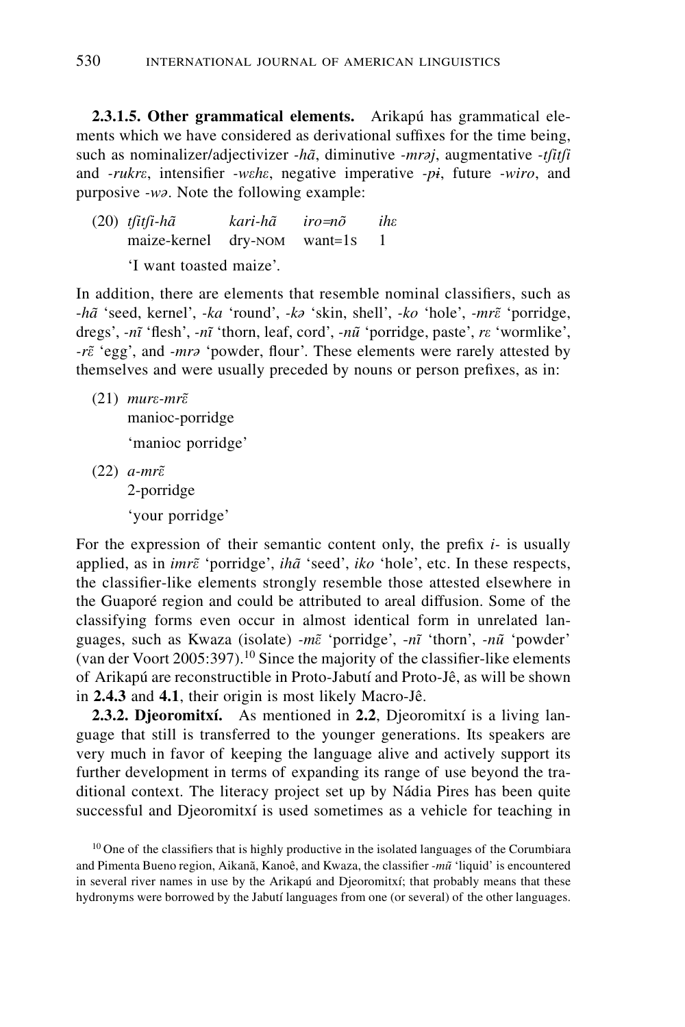**2.3.1.5. Other grammatical elements.** Arikapú has grammatical elements which we have considered as derivational suffixes for the time being, such as nominalizer/adjectivizer *-hã*, diminutive *-mraj*, augmentative *-tfitfi* and *-rukr*<sup>*E*</sup>, intensifier *-wehe*, negative imperative *-pi*, future *-wiro*, and purposive *-wa*. Note the following example:

(20) *tSitSi-hã kari-hã iro*=*nõ ihE* maize-kernel dry-nom want=1<sup>s</sup> <sup>1</sup> 'I want toasted maize'.

In addition, there are elements that resemble nominal classifiers, such as -*hã* 'seed, kernel', *-ka* 'round', *-k´* 'skin, shell', *-ko* 'hole', *-mrE* 'porridge, *\$* dregs', *-n*i 'flesh', *-n*i 'thorn, leaf, cord', *-nu\$*'porridge, paste', *rE* 'wormlike', *-r* $\tilde{\epsilon}$  'egg', and *-mra* 'powder, flour'. These elements were rarely attested by themselves and were usually preceded by nouns or person prefixes, as in:

- $(21)$  *mur* $\varepsilon$ -*mr* $\tilde{\varepsilon}$ manioc-porridge 'manioc porridge'
- (22) *a-mrE\$* 2-porridge 'your porridge'

For the expression of their semantic content only, the prefix *i-* is usually applied, as in *imr* $\tilde{\epsilon}$  'porridge', *ih* $\tilde{a}$  'seed', *iko* 'hole', etc. In these respects, the classifier-like elements strongly resemble those attested elsewhere in the Guaporé region and could be attributed to areal diffusion. Some of the classifying forms even occur in almost identical form in unrelated languages, such as Kwaza (isolate) *-m* $\tilde{e}$  'porridge', *-n* $\tilde{u}$  'thorn', *-n* $\tilde{u}$  'powder' (van der Voort 2005:397).10 Since the majority of the classifier-like elements of Arikapú are reconstructible in Proto-Jabutí and Proto-Jê, as will be shown in **2.4.3** and **4.1**, their origin is most likely Macro-Jê.

**2.3.2. Djeoromitxí.** As mentioned in **2.2**, Djeoromitxí is a living language that still is transferred to the younger generations. Its speakers are very much in favor of keeping the language alive and actively support its further development in terms of expanding its range of use beyond the traditional context. The literacy project set up by Nádia Pires has been quite successful and Djeoromitxí is used sometimes as a vehicle for teaching in

<sup>&</sup>lt;sup>10</sup> One of the classifiers that is highly productive in the isolated languages of the Corumbiara and Pimenta Bueno region, Aikanã, Kanoê, and Kwaza, the classifier *-mu\$*'liquid' is encountered in several river names in use by the Arikapú and Djeoromitxí; that probably means that these hydronyms were borrowed by the Jabutí languages from one (or several) of the other languages.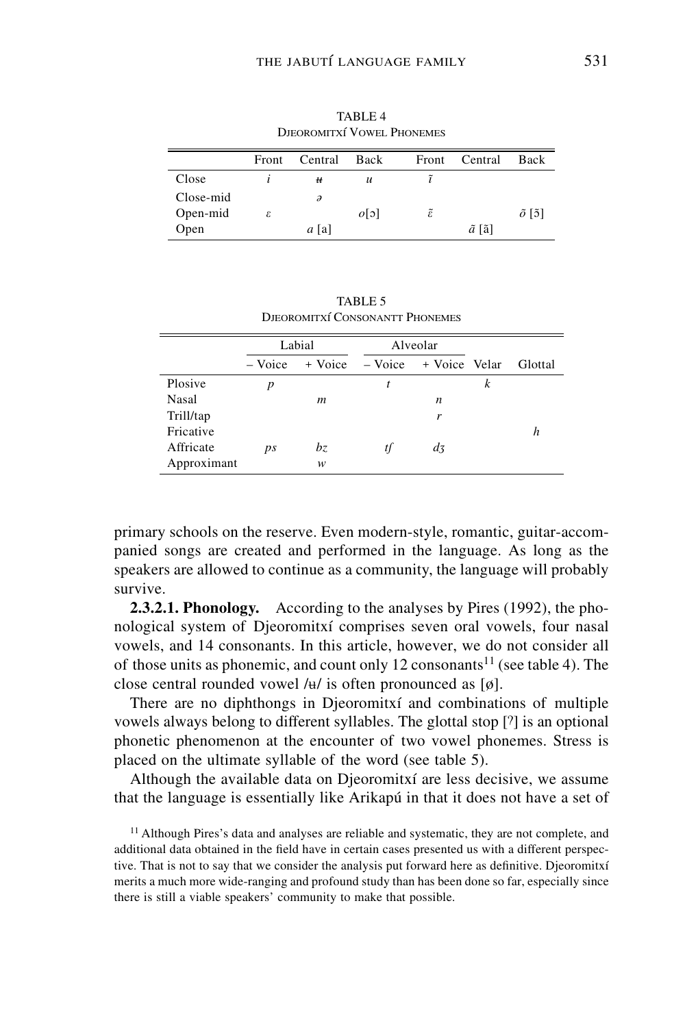|           | Front | Central             | Back             | Front | Central         | Back         |
|-----------|-------|---------------------|------------------|-------|-----------------|--------------|
| Close     |       | $\boldsymbol{_{t}}$ | $\boldsymbol{u}$ |       |                 |              |
| Close-mid |       | э                   |                  |       |                 |              |
| Open-mid  | ε     |                     | o[5]             | Ë.    |                 | $\delta$ [3] |
| Open      |       | $a$ [a]             |                  |       | $\tilde{a}$ [ã] |              |

TABLE 4 Djeoromitxí Vowel Phonemes

| TABLE 5                                |
|----------------------------------------|
| <b>DJEOROMITXÍ CONSONANTT PHONEMES</b> |

|             | Labial  |         |         | Alveolar      |   |         |
|-------------|---------|---------|---------|---------------|---|---------|
|             | – Voice | + Voice | – Voice | + Voice Velar |   | Glottal |
| Plosive     | p       |         | t       |               | k |         |
| Nasal       |         | m       |         | n             |   |         |
| Trill/tap   |         |         |         | r             |   |         |
| Fricative   |         |         |         |               |   | h       |
| Affricate   | ps      | bz.     | t f     | $d_3$         |   |         |
| Approximant |         | w       |         |               |   |         |

primary schools on the reserve. Even modern-style, romantic, guitar-accompanied songs are created and performed in the language. As long as the speakers are allowed to continue as a community, the language will probably survive.

**2.3.2.1. Phonology.** According to the analyses by Pires (1992), the phonological system of Djeoromitxí comprises seven oral vowels, four nasal vowels, and 14 consonants. In this article, however, we do not consider all of those units as phonemic, and count only 12 consonants<sup>11</sup> (see table 4). The close central rounded vowel / $\text{H}$ / is often pronounced as [ø].

There are no diphthongs in Djeoromitxí and combinations of multiple vowels always belong to different syllables. The glottal stop [?] is an optional phonetic phenomenon at the encounter of two vowel phonemes. Stress is placed on the ultimate syllable of the word (see table 5).

Although the available data on Djeoromitxí are less decisive, we assume that the language is essentially like Arikapú in that it does not have a set of

<sup>11</sup> Although Pires's data and analyses are reliable and systematic, they are not complete, and additional data obtained in the field have in certain cases presented us with a different perspective. That is not to say that we consider the analysis put forward here as definitive. Djeoromitxí merits a much more wide-ranging and profound study than has been done so far, especially since there is still a viable speakers' community to make that possible.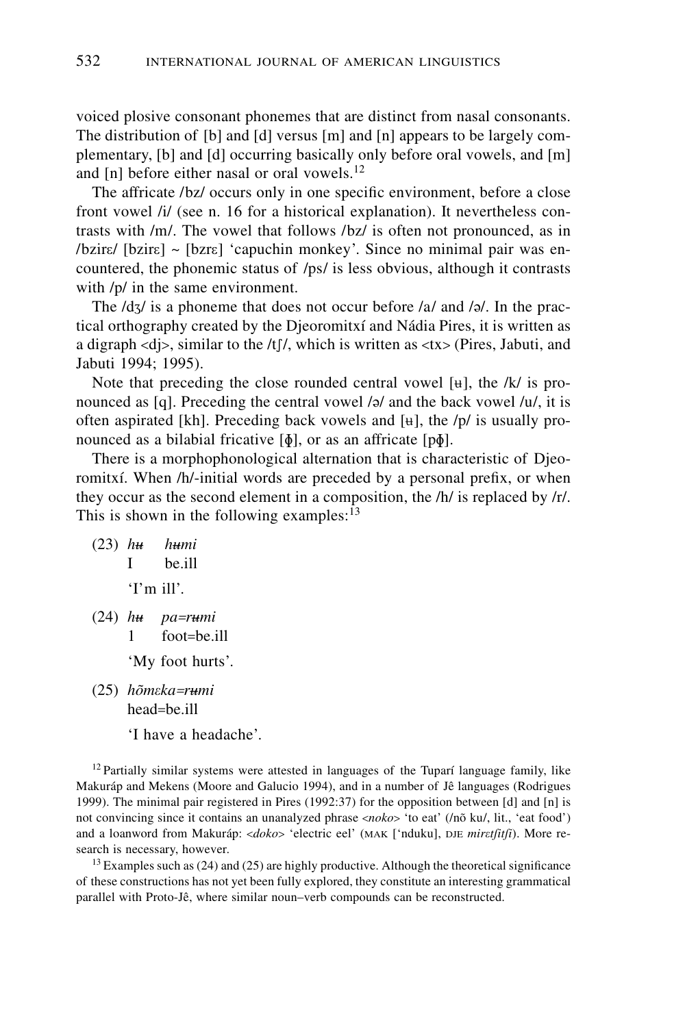voiced plosive consonant phonemes that are distinct from nasal consonants. The distribution of [b] and [d] versus [m] and [n] appears to be largely complementary, [b] and [d] occurring basically only before oral vowels, and [m] and  $[n]$  before either nasal or oral vowels.<sup>12</sup>

The affricate /bz/ occurs only in one specific environment, before a close front vowel /i/ (see n. 16 for a historical explanation). It nevertheless contrasts with /m/. The vowel that follows /bz/ is often not pronounced, as in /bzirE/ [bzirE] ~ [bzrE] 'capuchin monkey'. Since no minimal pair was encountered, the phonemic status of /ps/ is less obvious, although it contrasts with /p/ in the same environment.

The  $\frac{d}{3}$  is a phoneme that does not occur before  $\frac{a}{a}$  and  $\frac{b}{c}$ . In the practical orthography created by the Djeoromitxí and Nádia Pires, it is written as a digraph  $\langle di \rangle$ , similar to the /t[/, which is written as  $\langle tx \rangle$  (Pires, Jabuti, and Jabuti 1994; 1995).

Note that preceding the close rounded central vowel  $[H]$ , the /k/ is pronounced as [q]. Preceding the central vowel  $/\nu$  and the back vowel  $/u/$ , it is often aspirated [kh]. Preceding back vowels and [ $\text{H}$ ], the /p/ is usually pronounced as a bilabial fricative  $[\phi]$ , or as an affricate  $[p\phi]$ .

There is a morphophonological alternation that is characteristic of Djeoromitxí. When /h/-initial words are preceded by a personal prefix, or when they occur as the second element in a composition, the /h/ is replaced by /r/. This is shown in the following examples: $13$ 

- $(23)$   $h$ *H*  $h$ *HMi* I be.ill 'I'm ill'.  $(24)$  *h*<sup> $\mu$ </sup> *pa*=*r* $\mu$ *mi* 
	- 1 foot=be.ill

'My foot hurts'.

(25) *hõmEka*=*rÁmi* head=be.ill

'I have a headache'.

<sup>12</sup> Partially similar systems were attested in languages of the Tuparí language family, like Makuráp and Mekens (Moore and Galucio 1994), and in a number of Jê languages (Rodrigues 1999). The minimal pair registered in Pires (1992:37) for the opposition between [d] and [n] is not convincing since it contains an unanalyzed phrase <*noko*> 'to eat' (/nõ ku/, lit., 'eat food') and a loanword from Makuráp: <*doko*> 'electric eel' (MAK ['nduku], DJE mir $E(fif)$ ). More research is necessary, however.

 $13$  Examples such as (24) and (25) are highly productive. Although the theoretical significance of these constructions has not yet been fully explored, they constitute an interesting grammatical parallel with Proto-Jê, where similar noun–verb compounds can be reconstructed.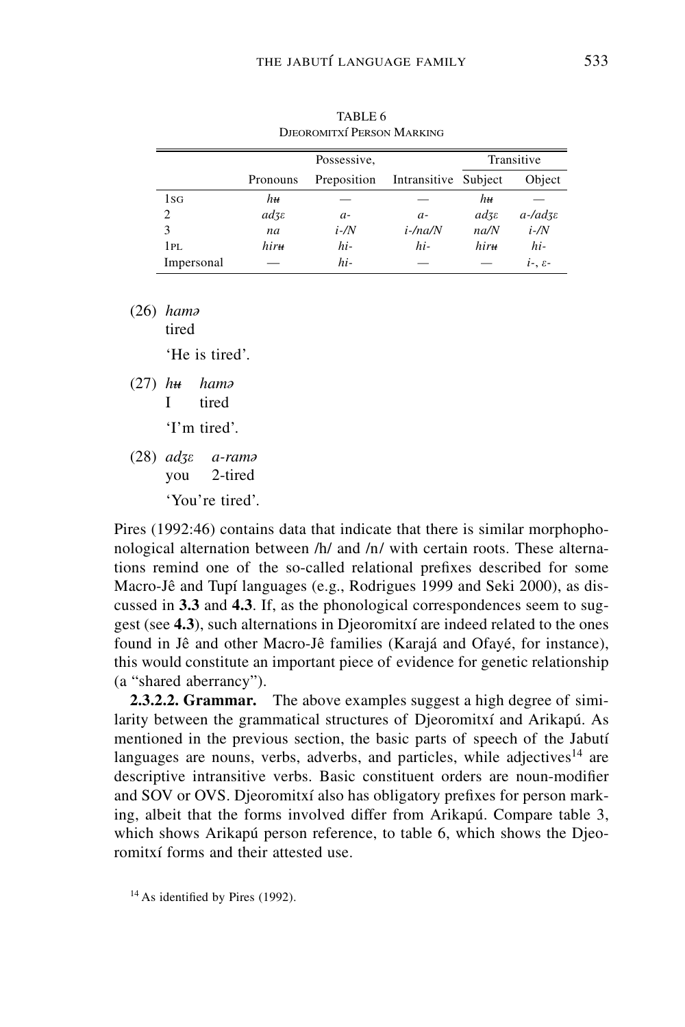|            | Possessive,                 |             |                      |                             | Transitive                         |
|------------|-----------------------------|-------------|----------------------|-----------------------------|------------------------------------|
|            | Pronouns                    | Preposition | Intransitive Subject |                             | Object                             |
| $1_{SG}$   | hн                          |             |                      | hн                          |                                    |
| 2          | $ad\mathfrak{z}\varepsilon$ | $a-$        | $a-$                 | $ad\mathfrak{z}\varepsilon$ | $a$ -/ad $\mathfrak{z}\varepsilon$ |
| 3          | na                          | $i$ -/N     | $i$ -/na/N           | na/N                        | $i$ -/N                            |
| 1 PL       | hiru                        | hi-         | hi-                  | hiru                        | hi-                                |
| Impersonal |                             | hi-         |                      |                             | $i$ -, $\varepsilon$ -             |

TABLE 6 Djeoromitxí Person Marking

(26) *ham´*

tired

'He is tired'.

 $(27)$   $h$ *H*  $h$ *Am* $\partial$ I tired 'I'm tired'.

(28) *adJE a-ram´* you 2-tired 'You're tired'.

Pires (1992:46) contains data that indicate that there is similar morphophonological alternation between /h/ and /n/ with certain roots. These alternations remind one of the so-called relational prefixes described for some Macro-Jê and Tupí languages (e.g., Rodrigues 1999 and Seki 2000), as discussed in **3.3** and **4.3**. If, as the phonological correspondences seem to suggest (see **4.3**), such alternations in Djeoromitxí are indeed related to the ones found in Jê and other Macro-Jê families (Karajá and Ofayé, for instance), this would constitute an important piece of evidence for genetic relationship (a "shared aberrancy").

**2.3.2.2. Grammar.** The above examples suggest a high degree of similarity between the grammatical structures of Djeoromitxí and Arikapú. As mentioned in the previous section, the basic parts of speech of the Jabutí languages are nouns, verbs, adverbs, and particles, while adjectives<sup>14</sup> are descriptive intransitive verbs. Basic constituent orders are noun-modifier and SOV or OVS. Djeoromitxí also has obligatory prefixes for person marking, albeit that the forms involved differ from Arikapú. Compare table 3, which shows Arikapú person reference, to table 6, which shows the Djeoromitxí forms and their attested use.

<sup>&</sup>lt;sup>14</sup> As identified by Pires (1992).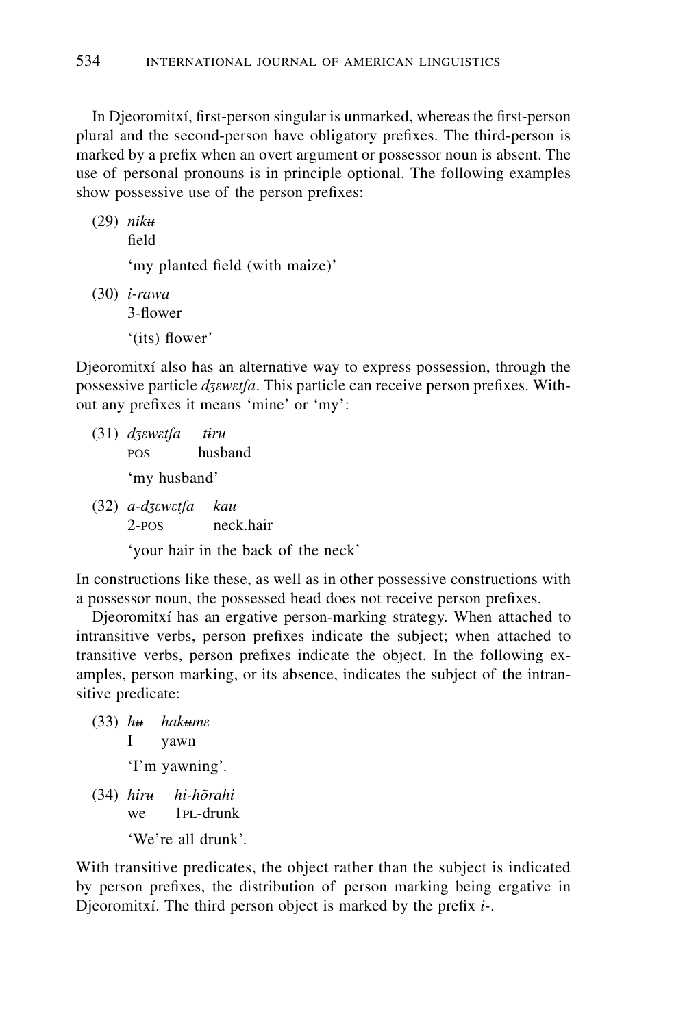In Djeoromitxí, first-person singular is unmarked, whereas the first-person plural and the second-person have obligatory prefixes. The third-person is marked by a prefix when an overt argument or possessor noun is absent. The use of personal pronouns is in principle optional. The following examples show possessive use of the person prefixes:

(29) *nikÁ* field

'my planted field (with maize)'

(30) *i-rawa* 3-flower '(its) flower'

Djeoromitxí also has an alternative way to express possession, through the possessive particle *d<sub>3</sub>Ewetfa*. This particle can receive person prefixes. Without any prefixes it means 'mine' or 'my':

- $(31)$   $d$ *zEwEfa tiru* pos husband 'my husband'
- (32) *a-dJEwEtSa kau* 2-pos neck.hair

'your hair in the back of the neck'

In constructions like these, as well as in other possessive constructions with a possessor noun, the possessed head does not receive person prefixes.

Djeoromitxí has an ergative person-marking strategy. When attached to intransitive verbs, person prefixes indicate the subject; when attached to transitive verbs, person prefixes indicate the object. In the following examples, person marking, or its absence, indicates the subject of the intransitive predicate:

- $(33)$  *h*<sup> $H$ </sup> *hak* $H$ *n* $\varepsilon$ I yawn 'I'm yawning'. (34) *hirÁ hi-hõrahi*
	- we 1PL-drunk 'We're all drunk'.

With transitive predicates, the object rather than the subject is indicated by person prefixes, the distribution of person marking being ergative in Djeoromitxí. The third person object is marked by the prefix *i-*.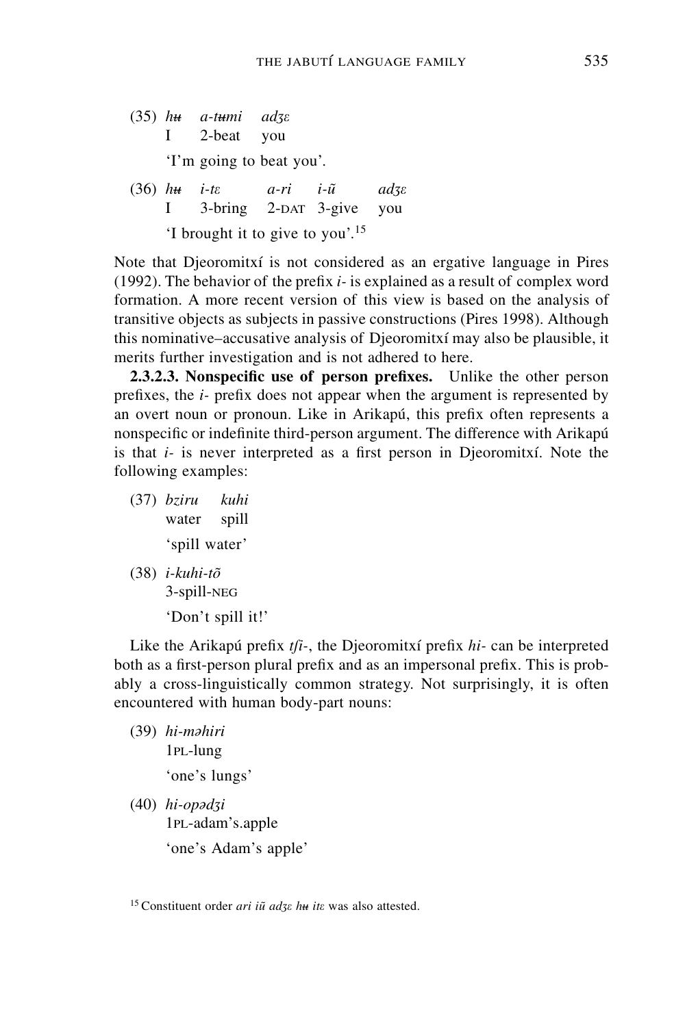| $(35)$ h <sub>tt</sub> | a-t <del>u</del> mi | adzε |
|------------------------|---------------------|------|
|                        | 2-beat              | you  |

'I'm going to beat you'.

 $(36)$   $h$ *H*  $i$ -t $\varepsilon$  *a-ri*  $i$ - $\tilde{u}$  *ad***<sub>3</sub>** $\varepsilon$ I 3-bring 2-DAT 3-give you 'I brought it to give to you'.<sup>15</sup>

Note that Djeoromitxí is not considered as an ergative language in Pires (1992). The behavior of the prefix *i-* is explained as a result of complex word formation. A more recent version of this view is based on the analysis of transitive objects as subjects in passive constructions (Pires 1998). Although this nominative–accusative analysis of Djeoromitxí may also be plausible, it merits further investigation and is not adhered to here.

**2.3.2.3. Nonspecific use of person prefixes.** Unlike the other person prefixes, the *i-* prefix does not appear when the argument is represented by an overt noun or pronoun. Like in Arikapú, this prefix often represents a nonspecific or indefinite third-person argument. The difference with Arikapú is that *i-* is never interpreted as a first person in Djeoromitxí. Note the following examples:

- (37) *bziru kuhi* water spill 'spill water'
- (38) *i-kuhi-tõ* 3-spill-neg 'Don't spill it!'

Like the Arikapú prefix *tfi*-, the Djeoromitxí prefix *hi*- can be interpreted both as a first-person plural prefix and as an impersonal prefix. This is probably a cross-linguistically common strategy. Not surprisingly, it is often encountered with human body-part nouns:

- (39) *hi-m´hiri* 1pl-lung 'one's lungs'
- (40) *hi-op´dJi* 1pl-adam's.apple 'one's Adam's apple'

<sup>15</sup> Constituent order *ari i i* ad<sub>3</sub><sup> *hu*</sup> *it*<sup> *it*</sup> was also attested.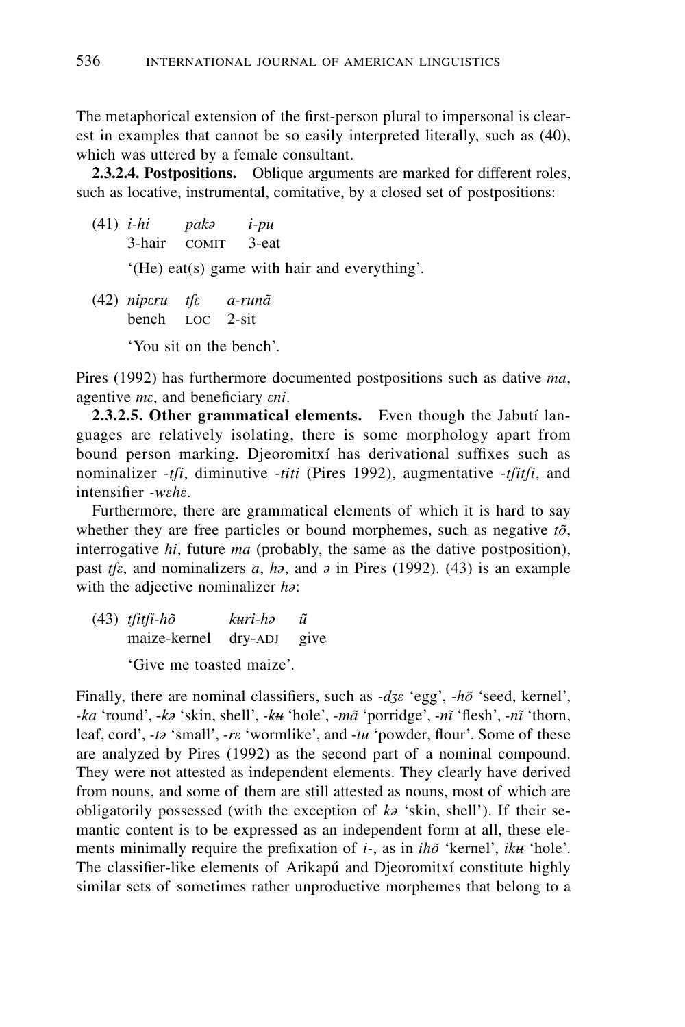The metaphorical extension of the first-person plural to impersonal is clearest in examples that cannot be so easily interpreted literally, such as (40), which was uttered by a female consultant.

**2.3.2.4. Postpositions.** Oblique arguments are marked for different roles, such as locative, instrumental, comitative, by a closed set of postpositions:

(41) *i-hi pak´ i-pu* 3-hair COMIT 3-eat

'(He) eat(s) game with hair and everything'.

(42) *nipEru tSE a-runã* bench loc 2-sit 'You sit on the bench'.

Pires (1992) has furthermore documented postpositions such as dative *ma*, agentive *mE*, and beneficiary *Eni*.

**2.3.2.5. Other grammatical elements.** Even though the Jabutí languages are relatively isolating, there is some morphology apart from bound person marking. Djeoromitxí has derivational suffixes such as nominalizer *-t* $\hat{t}$ *i*, diminutive *-titi* (Pires 1992), augmentative *-t* $\hat{t}$ *i* $\hat{t}$ *j*, and intensifier *-wEhE*.

Furthermore, there are grammatical elements of which it is hard to say whether they are free particles or bound morphemes, such as negative *tõ*, interrogative *hi*, future *ma* (probably, the same as the dative postposition), past  $t/\varepsilon$ , and nominalizers *a*, *h*<sup> $>$ </sup>, and  $\sigma$  in Pires (1992). (43) is an example with the adjective nominalizer *h* $\delta$ :

 $(43)$  *tfitfi-hõ kkti-h* $\partial$  *u*<sup> $\tilde{u}$ </sup> maize-kernel dry-ADJ give

'Give me toasted maize'.

Finally, there are nominal classifiers, such as *-dJE* 'egg', *-hõ* 'seed, kernel', *-ka* 'round', -*k´* 'skin, shell', *-kÁ* 'hole', *-mã* 'porridge', *-n*i 'flesh', *-n*i 'thorn, leaf, cord', *-t´* 'small', *-rE* 'wormlike', and *-tu* 'powder, flour'. Some of these are analyzed by Pires (1992) as the second part of a nominal compound. They were not attested as independent elements. They clearly have derived from nouns, and some of them are still attested as nouns, most of which are obligatorily possessed (with the exception of *k´* 'skin, shell'). If their semantic content is to be expressed as an independent form at all, these elements minimally require the prefixation of *i*-, as in *ih*õ 'kernel', *ik*<sup> $\mu$  'hole'.</sup> The classifier-like elements of Arikapú and Djeoromitxí constitute highly similar sets of sometimes rather unproductive morphemes that belong to a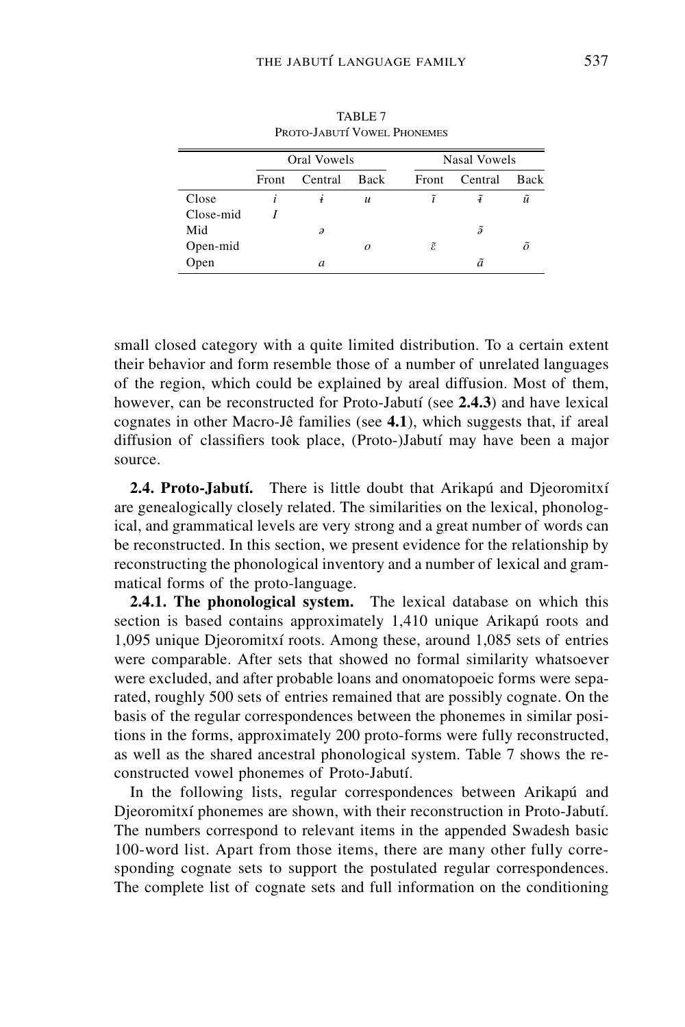|           | Oral Vowels |         |                  | Nasal Vowels          |         |                  |
|-----------|-------------|---------|------------------|-----------------------|---------|------------------|
|           | Front       | Central | Back             | Front                 | Central | Back             |
| Close     |             |         | $\boldsymbol{u}$ |                       |         | $\boldsymbol{u}$ |
| Close-mid |             |         |                  |                       |         |                  |
| Mid       |             | э       |                  |                       | ã       |                  |
| Open-mid  |             |         |                  | $\tilde{\varepsilon}$ |         |                  |
| Open      |             | a       |                  |                       | ã       |                  |

TABLE 7 PROTO-JABUTÍ VOWEL PHONEMES

small closed category with a quite limited distribution. To a certain extent their behavior and form resemble those of a number of unrelated languages of the region, which could be explained by areal diffusion. Most of them, however, can be reconstructed for Proto-Jabutí (see **2.4.3**) and have lexical cognates in other Macro-Jê families (see **4.1**), which suggests that, if areal diffusion of classifiers took place, (Proto-)Jabutí may have been a major source.

**2.4. Proto-Jabutí.** There is little doubt that Arikapú and Djeoromitxí are genealogically closely related. The similarities on the lexical, phonological, and grammatical levels are very strong and a great number of words can be reconstructed. In this section, we present evidence for the relationship by reconstructing the phonological inventory and a number of lexical and grammatical forms of the proto-language.

**2.4.1. The phonological system.** The lexical database on which this section is based contains approximately 1,410 unique Arikapú roots and 1,095 unique Djeoromitxí roots. Among these, around 1,085 sets of entries were comparable. After sets that showed no formal similarity whatsoever were excluded, and after probable loans and onomatopoeic forms were separated, roughly 500 sets of entries remained that are possibly cognate. On the basis of the regular correspondences between the phonemes in similar positions in the forms, approximately 200 proto-forms were fully reconstructed, as well as the shared ancestral phonological system. Table 7 shows the reconstructed vowel phonemes of Proto-Jabutí.

In the following lists, regular correspondences between Arikapú and Djeoromitxí phonemes are shown, with their reconstruction in Proto-Jabutí. The numbers correspond to relevant items in the appended Swadesh basic 100-word list. Apart from those items, there are many other fully corresponding cognate sets to support the postulated regular correspondences. The complete list of cognate sets and full information on the conditioning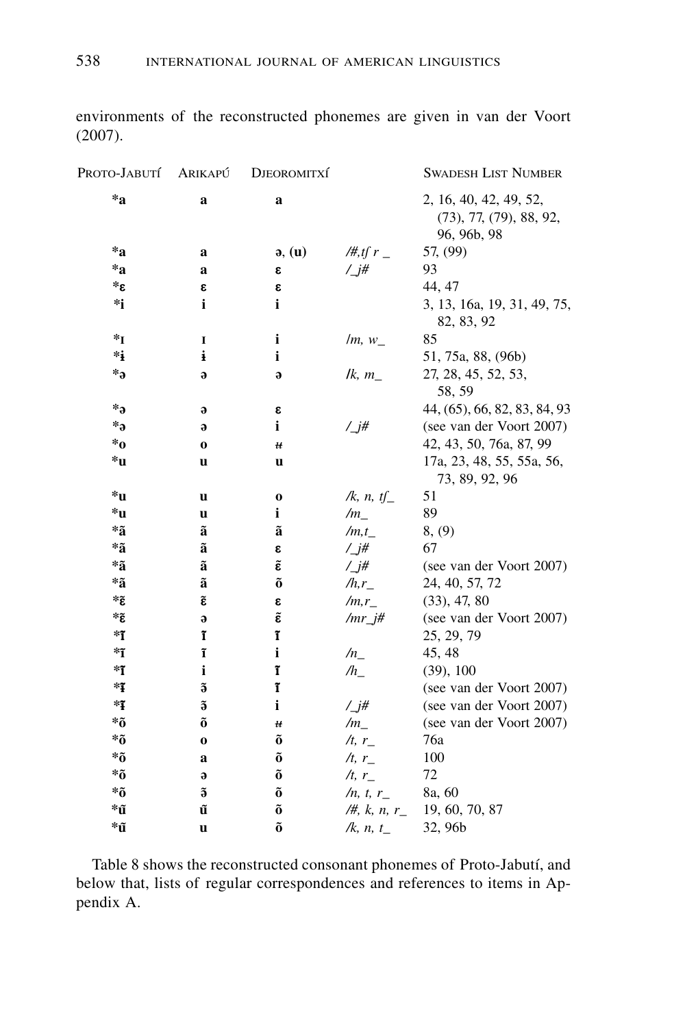environments of the reconstructed phonemes are given in van der Voort (2007).

| ARIKAPÚ            | <b>DJEOROMITXÍ</b>         |                        | <b>SWADESH LIST NUMBER</b>                                             |
|--------------------|----------------------------|------------------------|------------------------------------------------------------------------|
| a                  | a                          |                        | 2, 16, 40, 42, 49, 52,<br>$(73)$ , 77, $(79)$ , 88, 92,<br>96, 96b, 98 |
| a                  | a, (u)                     | /#,tf $r_{-}$          | 57, (99)                                                               |
| a                  | ε                          |                        | 93                                                                     |
| ε                  | ε                          |                        | 44, 47                                                                 |
| i                  | i                          |                        | 3, 13, 16a, 19, 31, 49, 75,<br>82, 83, 92                              |
| 1                  |                            |                        | 85                                                                     |
| i                  | i                          |                        | 51, 75a, 88, (96b)                                                     |
| $\mathbf{\Theta}$  | э                          | lk, m                  | 27, 28, 45, 52, 53,<br>58, 59                                          |
| э                  | ε                          |                        | 44, (65), 66, 82, 83, 84, 93                                           |
| ә                  | i                          |                        | (see van der Voort 2007)                                               |
| 0                  | $\boldsymbol{_{t\!t}}$     |                        | 42, 43, 50, 76a, 87, 99                                                |
| u                  | u                          |                        | 17a, 23, 48, 55, 55a, 56,<br>73, 89, 92, 96                            |
| u                  | 0                          | /k, n, t $\int$        | 51                                                                     |
| u                  | i                          | /m                     | 89                                                                     |
| ã                  | ã                          | /m, t                  | 8, (9)                                                                 |
| ã                  | ε                          |                        | 67                                                                     |
| ã                  | $\tilde{\epsilon}$         | $\frac{1}{4}$          | (see van der Voort 2007)                                               |
| ã                  | õ                          | /h, r                  | 24, 40, 57, 72                                                         |
| $\tilde{\epsilon}$ | ε                          | /m,r                   | (33), 47, 80                                                           |
| э                  | $\tilde{\epsilon}$         | $/mr_j#$               | (see van der Voort 2007)                                               |
| ĩ                  | ĩ                          |                        | 25, 29, 79                                                             |
| ĩ                  | i                          | /n                     | 45, 48                                                                 |
| i                  | ĩ                          | /h                     | (39), 100                                                              |
| õ                  | ĩ                          |                        | (see van der Voort 2007)                                               |
| õ                  | i                          | /_j#                   | (see van der Voort 2007)                                               |
| õ                  | $\boldsymbol{\mathcal{H}}$ |                        | (see van der Voort 2007)                                               |
| 0                  | õ                          | /t, r                  | 76a                                                                    |
| a                  | õ                          | /t, r                  | 100                                                                    |
| $\mathbf{\theta}$  | õ                          | /t, r                  | 72                                                                     |
| õ                  | õ                          | /n, t, r               | 8a, 60                                                                 |
| ű                  | õ                          | /#, k, n, r            | 19, 60, 70, 87                                                         |
| u                  | õ                          | $\sqrt{k}$ , $n$ , $t$ | 32, 96b                                                                |
|                    |                            | i                      | $\frac{1}{4}$<br>/m, w<br>$\frac{1}{4}$<br>$\frac{1}{4}$<br>$/m_{-}$   |

Table 8 shows the reconstructed consonant phonemes of Proto-Jabutí, and below that, lists of regular correspondences and references to items in Appendix A.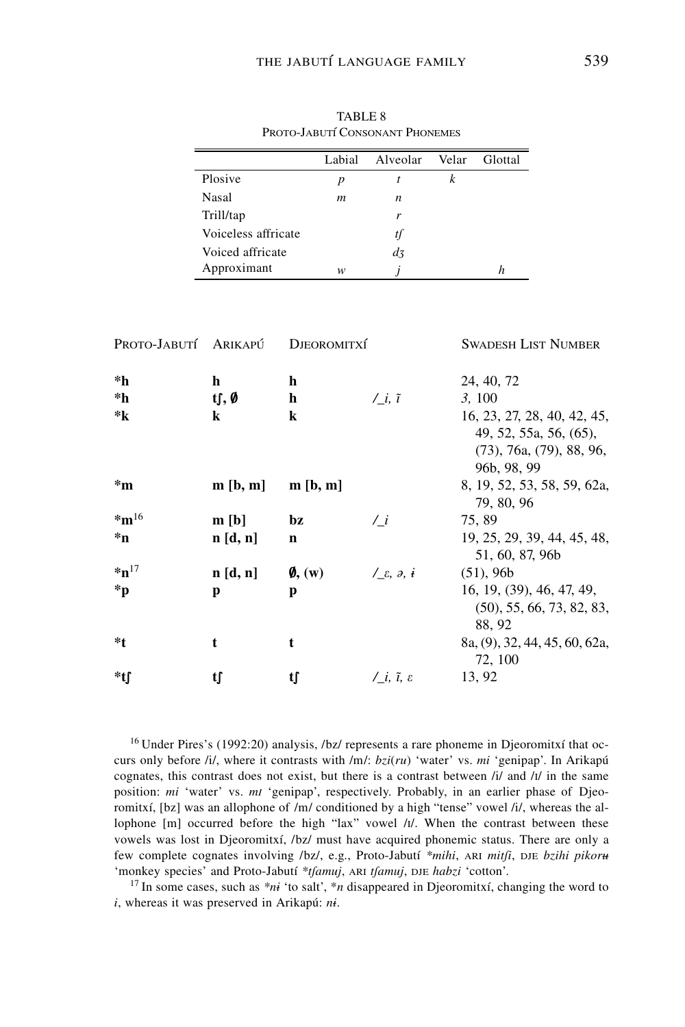|                     | Labial | Alveolar Velar | Glottal |
|---------------------|--------|----------------|---------|
| Plosive             | p      |                |         |
| Nasal               | m      | n              |         |
| Trill/tap           |        | r              |         |
| Voiceless affricate |        | tſ             |         |
| Voiced affricate    |        | $d_3$          |         |
| Approximant         | w      |                | h       |

TABLE 8 Proto-Jabutí Consonant Phonemes

| Proto-Jabutí Arikapú         |          | <b>DJEOROMITXÍ</b>  |                                                     | <b>SWADESH LIST NUMBER</b>                                                                             |
|------------------------------|----------|---------------------|-----------------------------------------------------|--------------------------------------------------------------------------------------------------------|
| *h                           | h.       | h                   |                                                     | 24, 40, 72                                                                                             |
| *h                           | $t$ f, Ø | h                   | $\sqrt{i}, \tilde{i}$                               | 3, 100                                                                                                 |
| *k                           | $\bf k$  | $\bf k$             |                                                     | 16, 23, 27, 28, 40, 42, 45,<br>49, 52, 55a, 56, (65),<br>$(73)$ , 76a, $(79)$ , 88, 96,<br>96b, 98, 99 |
| *m                           | m [b, m] | m [b, m]            |                                                     | 8, 19, 52, 53, 58, 59, 62a,<br>79, 80, 96                                                              |
| $\rm *m^{16}$                | m[b]     | bz                  | $\sqrt{i}$                                          | 75,89                                                                                                  |
| *n                           | n[d, n]  | n                   |                                                     | 19, 25, 29, 39, 44, 45, 48,<br>51, 60, 87, 96b                                                         |
| $\mathbf{a}$ n <sup>17</sup> | n[d, n]  | $\varnothing$ , (w) | $\sqrt{\varepsilon}$ , $\partial$ , $\dot{\vec{t}}$ | $(51)$ , 96b                                                                                           |
| ${}^*p$                      | p        | p                   |                                                     | 16, 19, (39), 46, 47, 49,<br>$(50)$ , 55, 66, 73, 82, 83,<br>88, 92                                    |
| *1                           | t.       | t                   |                                                     | 8a, (9), 32, 44, 45, 60, 62a,<br>72, 100                                                               |
| *t∫                          | tſ       | tſ                  | $\sqrt{i}, \tilde{i}, \varepsilon$                  | 13, 92                                                                                                 |

<sup>16</sup> Under Pires's (1992:20) analysis, /bz/ represents a rare phoneme in Djeoromitxí that occurs only before /i/, where it contrasts with /m/: *bzi*(*ru*) 'water' vs. *mi* 'genipap'. In Arikapú cognates, this contrast does not exist, but there is a contrast between  $/i/$  and  $/i/$  in the same position: *mi* 'water' vs. *mi* 'genipap', respectively. Probably, in an earlier phase of Djeoromitxí, [bz] was an allophone of /m/ conditioned by a high "tense" vowel /i/, whereas the allophone [m] occurred before the high "lax" vowel /i/. When the contrast between these vowels was lost in Djeoromitxí, /bz/ must have acquired phonemic status. There are only a few complete cognates involving /bz/, e.g., Proto-Jabutí \*mihi, ARI mitfi, DJE bzihi pikoru 'monkey species' and Proto-Jabutí \*tfamuj, ARI tfamuj, DJE habzi 'cotton'.

<sup>17</sup> In some cases, such as \*n<sup>*i*</sup> 'to salt', \*n disappeared in Djeoromitxí, changing the word to *i*, whereas it was preserved in Arikapú: *nI*.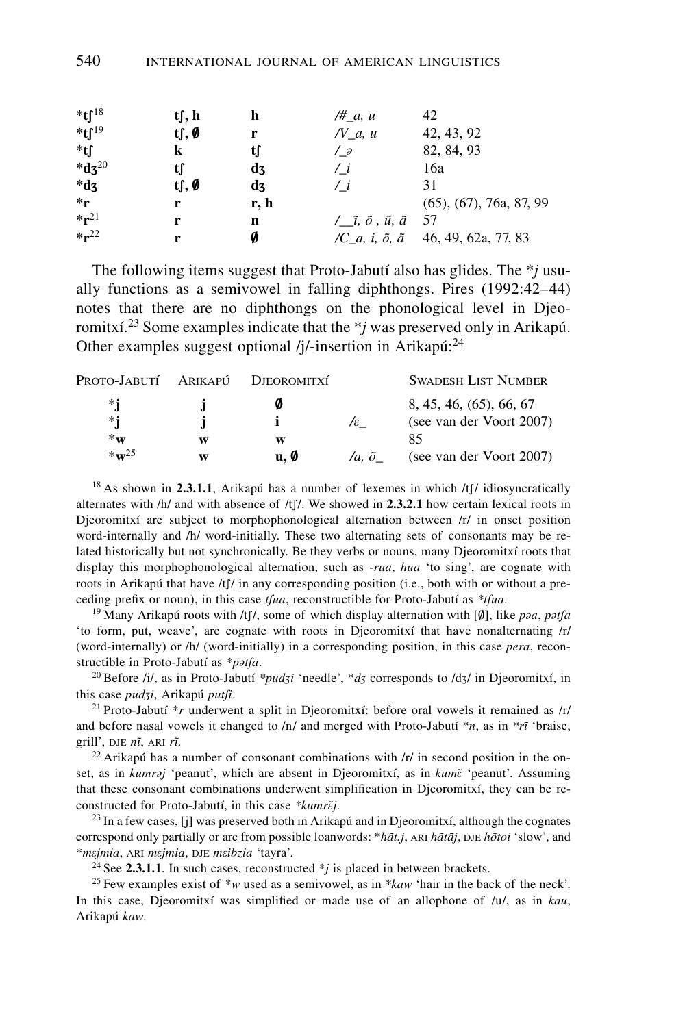| $*$ t $\mathsf{f}^{18}$ | tf, h | h    | /H a, u                                                 | 42                                                                |
|-------------------------|-------|------|---------------------------------------------------------|-------------------------------------------------------------------|
| $*$ t $\mathsf{f}^{19}$ | ts, Ø | r    | $N_a$ , u                                               | 42, 43, 92                                                        |
| *tſ                     | k     | t∫   | $\sqrt{2}$                                              | 82, 84, 93                                                        |
| $*$ dz <sup>20</sup>    | tſ    | dz   | $\sqrt{i}$                                              | 16a                                                               |
| $\mathrm{d}z$           | ts, Ø | dz   | $\sqrt{i}$                                              | 31                                                                |
| $*_{r}$                 | r     | r, h |                                                         | $(65)$ , $(67)$ , 76a, 87, 99                                     |
| $\ast r^{21}$           | r     | n    | $\sqrt{i}$ , $\tilde{o}$ , $\tilde{u}$ , $\tilde{a}$ 57 |                                                                   |
| $*_{r^2}$               | r     | Ø    |                                                         | $/C_a$ , <i>i</i> , $\tilde{o}$ , $\tilde{a}$ 46, 49, 62a, 77, 83 |

The following items suggest that Proto-Jabutí also has glides. The \**j* usually functions as a semivowel in falling diphthongs. Pires (1992:42–44) notes that there are no diphthongs on the phonological level in Djeoromitxí.23 Some examples indicate that the \**j* was preserved only in Arikapú. Other examples suggest optional /j/-insertion in Arikapú:<sup>24</sup>

|                         |   | Proto-Jabutí Arikapú Djeoromitxí |                      | <b>SWADESH LIST NUMBER</b> |
|-------------------------|---|----------------------------------|----------------------|----------------------------|
| *i                      |   |                                  |                      | 8, 45, 46, (65), 66, 67    |
| *i                      |   |                                  | $\sqrt{\varepsilon}$ | (see van der Voort 2007)   |
| $\ast_{\mathbf{w}}$     | W | w                                |                      | 85                         |
| $\cdot \mathbf{w}^{25}$ | W | u. Ø                             | /a, $\tilde{o}$      | (see van der Voort 2007)   |

<sup>18</sup> As shown in **2.3.1.1**, Arikapú has a number of lexemes in which  $/tf/di$  idiosyncratically alternates with  $/h/$  and with absence of  $/t/$ . We showed in **2.3.2.1** how certain lexical roots in Djeoromitxí are subject to morphophonological alternation between /r/ in onset position word-internally and /h/ word-initially. These two alternating sets of consonants may be related historically but not synchronically. Be they verbs or nouns, many Djeoromitxí roots that display this morphophonological alternation, such as *-rua*, *hua* 'to sing', are cognate with roots in Arikapú that have /tf/ in any corresponding position (i.e., both with or without a preceding prefix or noun), in this case *tfua*, reconstructible for Proto-Jabutí as \*t*fua*.

<sup>19</sup> Many Arikapú roots with /t[/, some of which display alternation with  $\phi$ ], like *paa*, *pat*[*a* 'to form, put, weave', are cognate with roots in Djeoromitxí that have nonalternating /r/ (word-internally) or /h/ (word-initially) in a corresponding position, in this case *pera*, reconstructible in Proto-Jabutí as *\*pt* $fa$ .

<sup>20</sup> Before /i/, as in Proto-Jabutí *\*pudzi* 'needle', *\*dz* corresponds to /dz/ in Djeoromitxí, in this case *pudJi*, Arikapú *putSi*.

<sup>21</sup> Proto-Jabutí \**r* underwent a split in Djeoromitxí: before oral vowels it remained as  $/r/$ and before nasal vowels it changed to /n/ and merged with Proto-Jabutí \**n*, as in *\*r*i 'braise, grill', DJE  $n\tilde{\imath}$ , ARI  $r\tilde{\imath}$ .

<sup>22</sup> Arikapú has a number of consonant combinations with  $/r/$  in second position in the onset, as in *kumr´j* 'peanut', which are absent in Djeoromitxí, as in *kumE\$*'peanut'. Assuming that these consonant combinations underwent simplification in Djeoromitxí, they can be reconstructed for Proto-Jabutí, in this case \*kumr $\tilde{\varepsilon}$ *j*.

 $^{23}$  In a few cases, [j] was preserved both in Arikapú and in Djeoromitxí, although the cognates correspond only partially or are from possible loanwords: \**hãt.j*, ari *hãtãj*, dje *hõtoi* 'slow', and \**mEjmia*, ari *mEjmia*, dje *mEibzia* 'tayra'.

<sup>24</sup> See **2.3.1.1**. In such cases, reconstructed  $*j$  is placed in between brackets.

25 Few examples exist of \**w* used as a semivowel, as in *\*kaw* 'hair in the back of the neck'. In this case, Djeoromitxí was simplified or made use of an allophone of /u/, as in *kau*, Arikapú *kaw*.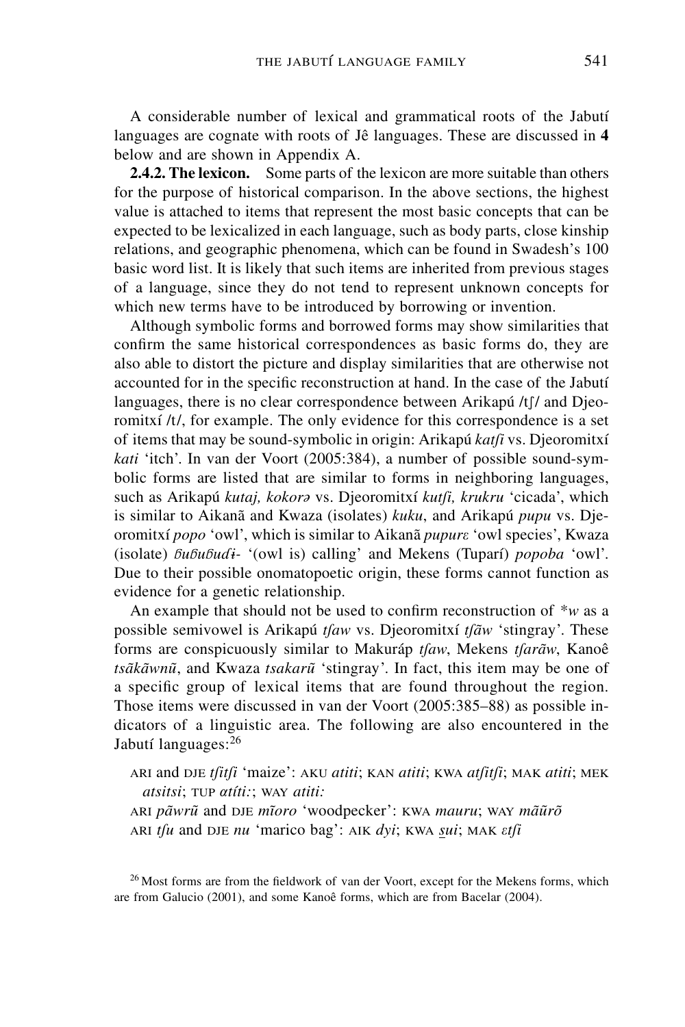A considerable number of lexical and grammatical roots of the Jabutí languages are cognate with roots of Jê languages. These are discussed in **4** below and are shown in Appendix A.

**2.4.2. The lexicon.** Some parts of the lexicon are more suitable than others for the purpose of historical comparison. In the above sections, the highest value is attached to items that represent the most basic concepts that can be expected to be lexicalized in each language, such as body parts, close kinship relations, and geographic phenomena, which can be found in Swadesh's 100 basic word list. It is likely that such items are inherited from previous stages of a language, since they do not tend to represent unknown concepts for which new terms have to be introduced by borrowing or invention.

Although symbolic forms and borrowed forms may show similarities that confirm the same historical correspondences as basic forms do, they are also able to distort the picture and display similarities that are otherwise not accounted for in the specific reconstruction at hand. In the case of the Jabutí languages, there is no clear correspondence between Arikapú /tʃ/ and Djeoromitxí /t/, for example. The only evidence for this correspondence is a set of items that may be sound-symbolic in origin: Arikapú *kat* $\beta$ *i* vs. Djeoromitxí *kati* 'itch'. In van der Voort (2005:384), a number of possible sound-symbolic forms are listed that are similar to forms in neighboring languages, such as Arikapú *kutaj, kokora* vs. Djeoromitxí kutfi, krukru 'cicada', which is similar to Aikanã and Kwaza (isolates) *kuku*, and Arikapú *pupu* vs. Djeoromitxí *popo* 'owl', which is similar to Aikanã *pupurE* 'owl species', Kwaza (isolate) *∫u∫u∫uÎI-* '(owl is) calling' and Mekens (Tuparí) *popoba* 'owl'. Due to their possible onomatopoetic origin, these forms cannot function as evidence for a genetic relationship.

An example that should not be used to confirm reconstruction of \**w* as a possible semivowel is Arikapú *tfaw* vs. Djeoromitxí *t[* $\tilde{a}w$  'stingray'. These forms are conspicuously similar to Makuráp *tfaw*, Mekens *tfarãw*, Kanoê *tsãkãwnu\$*, and Kwaza *tsakaru\$* 'stingray'. In fact, this item may be one of a specific group of lexical items that are found throughout the region. Those items were discussed in van der Voort (2005:385–88) as possible indicators of a linguistic area. The following are also encountered in the Jabutí languages:<sup>26</sup>

- ari and DJE *tfitfi* 'maize': AKU *atiti*; KAN *atiti*; KWA *atfitfi*; MAK *atiti*; MEK *atsitsi*; tup *atíti:*; way *atiti:*
- ari *pãwru\$* and dje *m*i*oro* 'woodpecker': kwa *mauru*; way *mãu\$rõ* ari *tfu* and DJE *nu* 'marico bag': AIK *dyi*; KWA *sui*; MAK *etfi*

<sup>26</sup> Most forms are from the fieldwork of van der Voort, except for the Mekens forms, which are from Galucio (2001), and some Kanoê forms, which are from Bacelar (2004).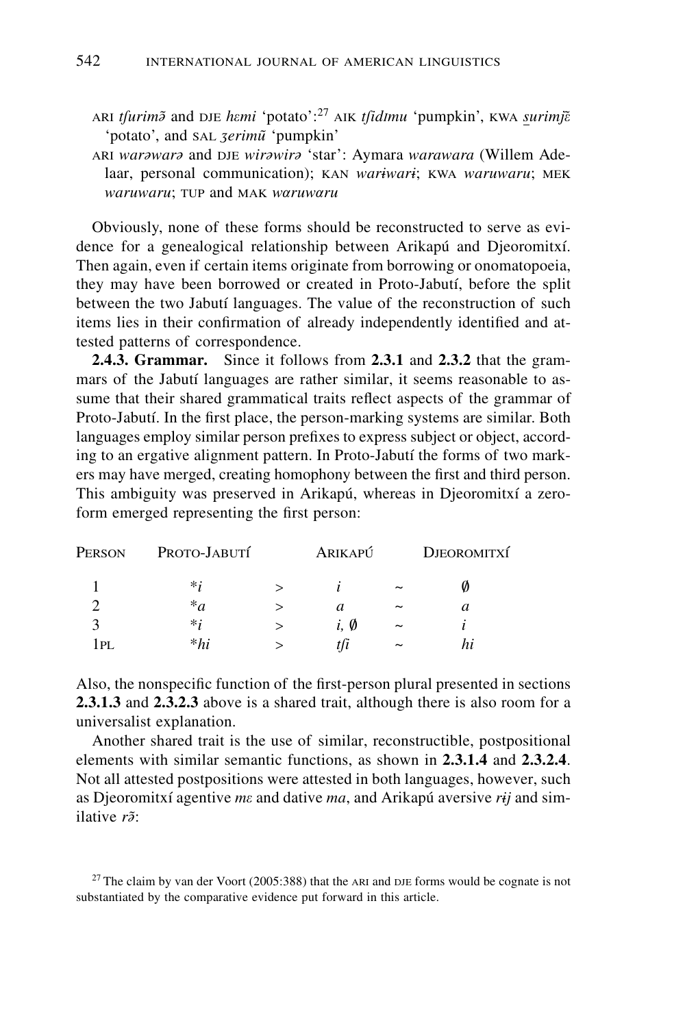- ari *tSurim´\$* and dje *hEmi* 'potato':<sup>27</sup> aik *tSidimu* 'pumpkin', kwa *surimjE*\$ 'potato', and SAL *zerimu*<sup>*'*</sup> pumpkin'
- ARI *warvar*<sub>2</sub> and DJE *wir*<sub>*wira*</sub> 'star': Aymara *warawara* (Willem Adelaar, personal communication); KAN *wariwari*; KWA *waruwaru*; MEK *waruwaru*; tup and mak *waruwaru*

Obviously, none of these forms should be reconstructed to serve as evidence for a genealogical relationship between Arikapú and Djeoromitxí. Then again, even if certain items originate from borrowing or onomatopoeia, they may have been borrowed or created in Proto-Jabutí, before the split between the two Jabutí languages. The value of the reconstruction of such items lies in their confirmation of already independently identified and attested patterns of correspondence.

**2.4.3. Grammar.** Since it follows from **2.3.1** and **2.3.2** that the grammars of the Jabutí languages are rather similar, it seems reasonable to assume that their shared grammatical traits reflect aspects of the grammar of Proto-Jabutí. In the first place, the person-marking systems are similar. Both languages employ similar person prefixes to express subject or object, according to an ergative alignment pattern. In Proto-Jabutí the forms of two markers may have merged, creating homophony between the first and third person. This ambiguity was preserved in Arikapú, whereas in Djeoromitxí a zeroform emerged representing the first person:

| PROTO-JABUTÍ | ARIKAPÚ |                       | <b>DJEOROMITXÍ</b> |
|--------------|---------|-----------------------|--------------------|
| $*_i$        |         | $\tilde{\phantom{a}}$ |                    |
| $a^*$        | а       | $\tilde{\phantom{a}}$ | a                  |
| $*_i$        | i. Ø    | $\tilde{\phantom{a}}$ |                    |
| $*hi$        | tſi     | $\tilde{\phantom{a}}$ | hi                 |
|              |         |                       |                    |

Also, the nonspecific function of the first-person plural presented in sections **2.3.1.3** and **2.3.2.3** above is a shared trait, although there is also room for a universalist explanation.

Another shared trait is the use of similar, reconstructible, postpositional elements with similar semantic functions, as shown in **2.3.1.4** and **2.3.2.4**. Not all attested postpositions were attested in both languages, however, such as Djeoromitxí agentive *mE* and dative *ma*, and Arikapú aversive *rIj* and similative *r´\$*:

<sup>&</sup>lt;sup>27</sup> The claim by van der Voort (2005:388) that the ARI and DJE forms would be cognate is not substantiated by the comparative evidence put forward in this article.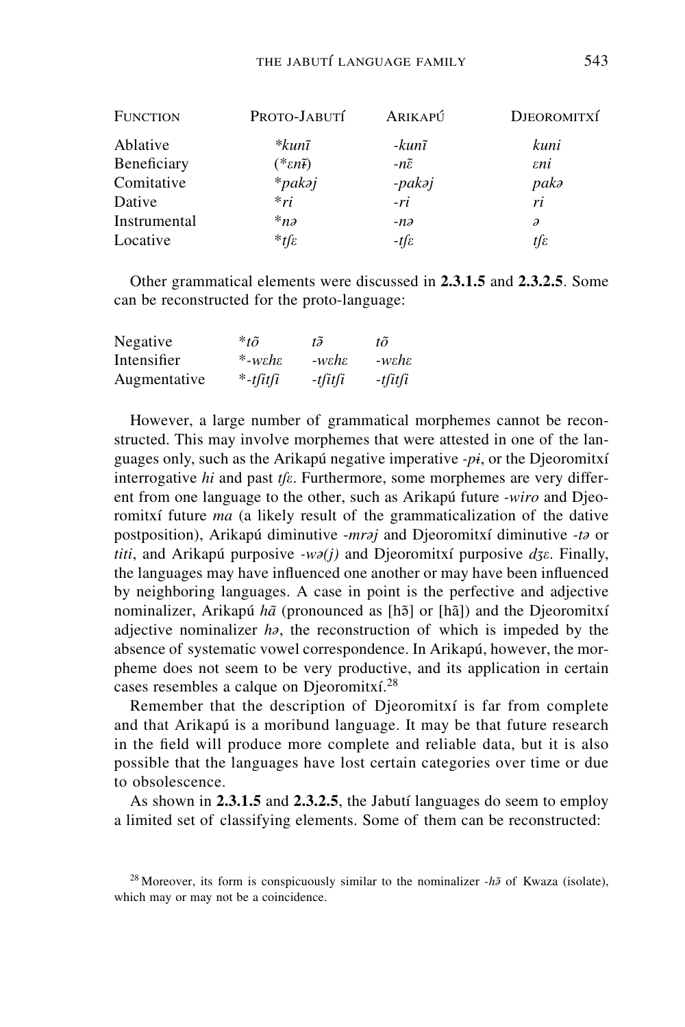| <b>FUNCTION</b> | Proto-Jabutí                | ARIKAPÚ                  | <b>DJEOROMITXÍ</b> |
|-----------------|-----------------------------|--------------------------|--------------------|
| Ablative        | $*_{kun\tilde{\imath}}$     | -kunĩ                    | kuni               |
| Beneficiary     | $(*\varepsilon n\tilde{*})$ | - $n\tilde{\varepsilon}$ | $\epsilon$ ni      |
| Comitative      | $*pakaj$                    | $-pakaj$                 | paka               |
| Dative          | $*_{ri}$                    | -ri                      | ri                 |
| Instrumental    | $*_{n\partial}$             | $-n\partial$             | $\partial$         |
| Locative        | * $t/\varepsilon$           | $-tf\epsilon$            | tſε                |

Other grammatical elements were discussed in **2.3.1.5** and **2.3.2.5**. Some can be reconstructed for the proto-language:

| Negative     | $*_{t\tilde{o}}$ | tã                   | tõ                        |
|--------------|------------------|----------------------|---------------------------|
| Intensifier  | $*$ -wehe        | $-weh\varepsilon$    | $-w\epsilon h\varepsilon$ |
| Augmentative | $*$ -tfitfi      | $-t\int$ it $\int$ i | $-t\int$ $it\int$         |

However, a large number of grammatical morphemes cannot be reconstructed. This may involve morphemes that were attested in one of the languages only, such as the Arikapú negative imperative *-pI*, or the Djeoromitxí interrogative *hi* and past *tfε*. Furthermore, some morphemes are very different from one language to the other, such as Arikapú future *-wiro* and Djeoromitxí future *ma* (a likely result of the grammaticalization of the dative postposition), Arikapú diminutive *-mraj* and Djeoromitxí diminutive *-ta* or *titi*, and Arikapú purposive *-w´(j)* and Djeoromitxí purposive *dJE*. Finally, the languages may have influenced one another or may have been influenced by neighboring languages. A case in point is the perfective and adjective nominalizer, Arikapú *hã* (pronounced as [hɔ̃] or [hã]) and the Djeoromitxí adjective nominalizer *h*<sup>2</sup>, the reconstruction of which is impeded by the absence of systematic vowel correspondence. In Arikapú, however, the morpheme does not seem to be very productive, and its application in certain cases resembles a calque on Djeoromitxí.<sup>28</sup>

Remember that the description of Djeoromitxí is far from complete and that Arikapú is a moribund language. It may be that future research in the field will produce more complete and reliable data, but it is also possible that the languages have lost certain categories over time or due to obsolescence.

As shown in **2.3.1.5** and **2.3.2.5**, the Jabutí languages do seem to employ a limited set of classifying elements. Some of them can be reconstructed:

<sup>28</sup> Moreover, its form is conspicuously similar to the nominalizer *-h´\$* of Kwaza (isolate), which may or may not be a coincidence.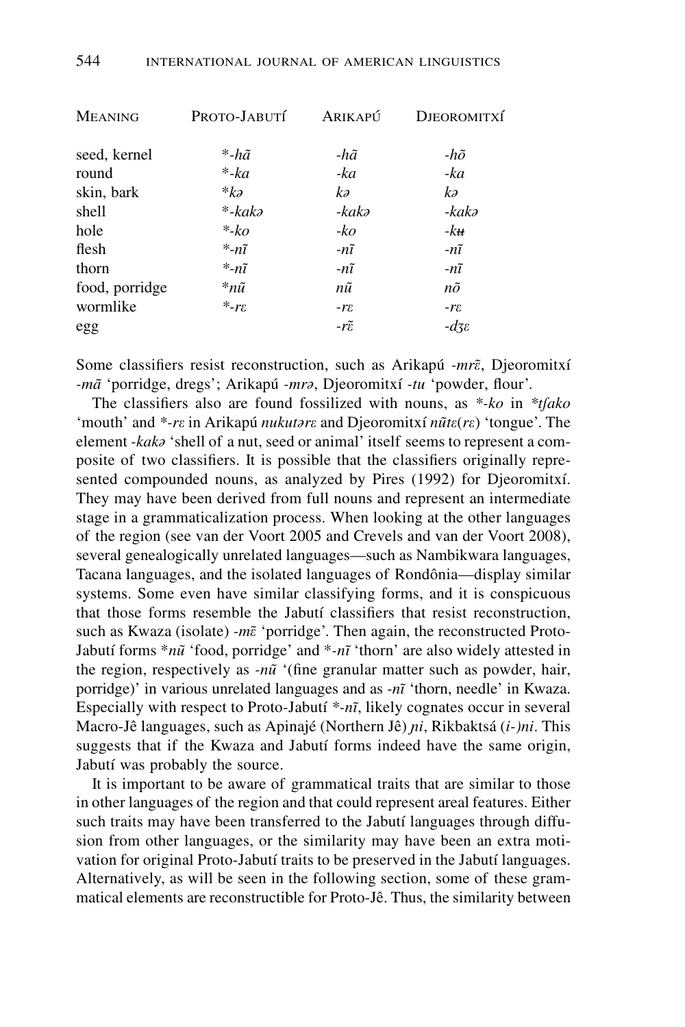| <b>MEANING</b> | PROTO-JABUTÍ           | ARIKAPÚ      | <b>DIEOROMITXÍ</b> |
|----------------|------------------------|--------------|--------------------|
| seed, kernel   | *-hã                   | -hã          | -hõ                |
| round          | $*$ -ka                | -ka          | -ka                |
| skin, bark     | $*_{k\partial}$        | kə           | kә                 |
| shell          | *-kakə                 | -kakə        | -kakə              |
| hole           | $*$ -ko                | $-k$ o       | -k#                |
| flesh          | $*$ -nĩ                | -nĩ          | -nĩ                |
| thorn          | $*_{-n\tilde{\imath}}$ | -nĩ          | -nĩ                |
| food, porridge | $*$ nũ                 | nũ           | nõ                 |
| wormlike       | $*$ -re                | $-r\epsilon$ | $-r\epsilon$       |
| egg            |                        | -r̃č         | $-dz\varepsilon$   |

Some classifiers resist reconstruction, such as Arikapú *-mrE\$*, Djeoromitxí *-mã* 'porridge, dregs'; Arikapú *-mr´*, Djeoromitxí *-tu* 'powder, flour'.

The classifiers also are found fossilized with nouns, as \*-ko in \*tfako 'mouth' and \*-r*ε* in Arikapú *nukutarε* and Djeoromitxí *nūtε*(*rε*) 'tongue'. The element *-kak´* 'shell of a nut, seed or animal' itself seems to represent a composite of two classifiers. It is possible that the classifiers originally represented compounded nouns, as analyzed by Pires (1992) for Djeoromitxí. They may have been derived from full nouns and represent an intermediate stage in a grammaticalization process. When looking at the other languages of the region (see van der Voort 2005 and Crevels and van der Voort 2008), several genealogically unrelated languages—such as Nambikwara languages, Tacana languages, and the isolated languages of Rondônia—display similar systems. Some even have similar classifying forms, and it is conspicuous that those forms resemble the Jabutí classifiers that resist reconstruction, such as Kwaza (isolate) *-m* $\tilde{\epsilon}$  'porridge'. Then again, the reconstructed Proto-Jabutí forms \* $n\tilde{u}$  'food, porridge' and \*- $n\tilde{u}$  'thorn' are also widely attested in the region, respectively as  $-n\tilde{u}$  '(fine granular matter such as powder, hair, porridge)' in various unrelated languages and as  $-n\tilde{\imath}$  'thorn, needle' in Kwaza. Especially with respect to Proto-Jabutí *\*-n*i, likely cognates occur in several Macro-Jê languages, such as Apinajé (Northern Jê) *pi*, Rikbaktsá (*i-)ni*. This suggests that if the Kwaza and Jabutí forms indeed have the same origin, Jabutí was probably the source.

It is important to be aware of grammatical traits that are similar to those in other languages of the region and that could represent areal features. Either such traits may have been transferred to the Jabutí languages through diffusion from other languages, or the similarity may have been an extra motivation for original Proto-Jabutí traits to be preserved in the Jabutí languages. Alternatively, as will be seen in the following section, some of these grammatical elements are reconstructible for Proto-Jê. Thus, the similarity between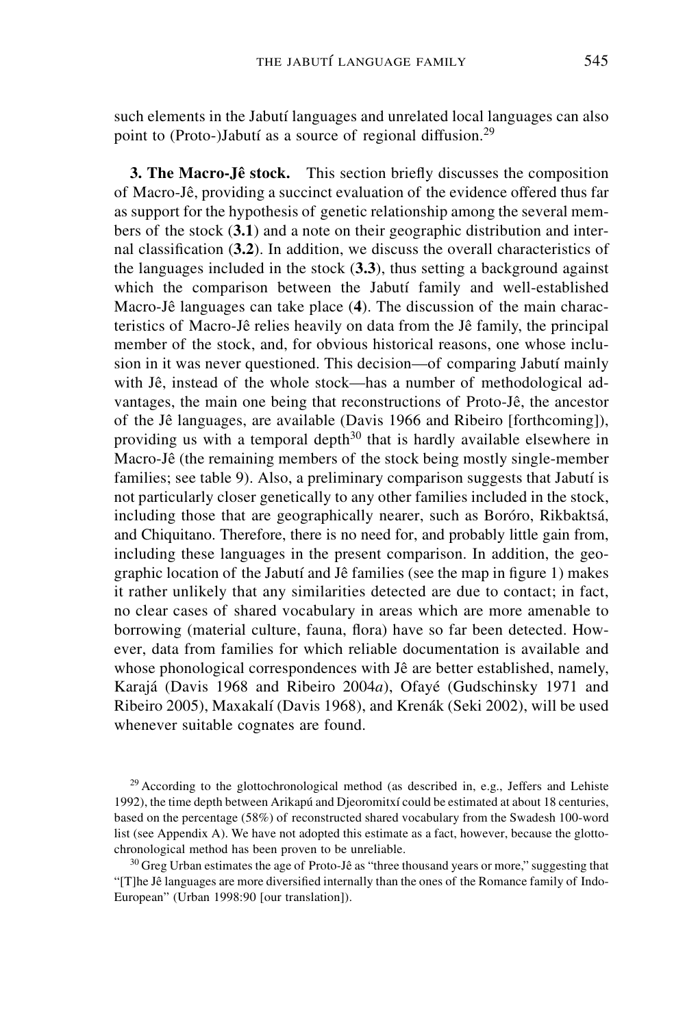such elements in the Jabutí languages and unrelated local languages can also point to (Proto-)Jabutí as a source of regional diffusion.<sup>29</sup>

**3. The Macro-Jê stock.** This section briefly discusses the composition of Macro-Jê, providing a succinct evaluation of the evidence offered thus far as support for the hypothesis of genetic relationship among the several members of the stock (**3.1**) and a note on their geographic distribution and internal classification (**3.2**). In addition, we discuss the overall characteristics of the languages included in the stock (**3.3**), thus setting a background against which the comparison between the Jabutí family and well-established Macro-Jê languages can take place (**4**). The discussion of the main characteristics of Macro-Jê relies heavily on data from the Jê family, the principal member of the stock, and, for obvious historical reasons, one whose inclusion in it was never questioned. This decision—of comparing Jabutí mainly with Jê, instead of the whole stock—has a number of methodological advantages, the main one being that reconstructions of Proto-Jê, the ancestor of the Jê languages, are available (Davis 1966 and Ribeiro [forthcoming]), providing us with a temporal depth<sup>30</sup> that is hardly available elsewhere in Macro-Jê (the remaining members of the stock being mostly single-member families; see table 9). Also, a preliminary comparison suggests that Jabutí is not particularly closer genetically to any other families included in the stock, including those that are geographically nearer, such as Boróro, Rikbaktsá, and Chiquitano. Therefore, there is no need for, and probably little gain from, including these languages in the present comparison. In addition, the geographic location of the Jabutí and Jê families (see the map in figure 1) makes it rather unlikely that any similarities detected are due to contact; in fact, no clear cases of shared vocabulary in areas which are more amenable to borrowing (material culture, fauna, flora) have so far been detected. However, data from families for which reliable documentation is available and whose phonological correspondences with Jê are better established, namely, Karajá (Davis 1968 and Ribeiro 2004*a*), Ofayé (Gudschinsky 1971 and Ribeiro 2005), Maxakalí (Davis 1968), and Krenák (Seki 2002), will be used whenever suitable cognates are found.

 $29$  According to the glottochronological method (as described in, e.g., Jeffers and Lehiste 1992), the time depth between Arikapú and Djeoromitxí could be estimated at about 18 centuries, based on the percentage (58%) of reconstructed shared vocabulary from the Swadesh 100-word list (see Appendix A). We have not adopted this estimate as a fact, however, because the glottochronological method has been proven to be unreliable.

<sup>30</sup> Greg Urban estimates the age of Proto-Jê as "three thousand years or more," suggesting that "[T]he Jê languages are more diversified internally than the ones of the Romance family of Indo-European" (Urban 1998:90 [our translation]).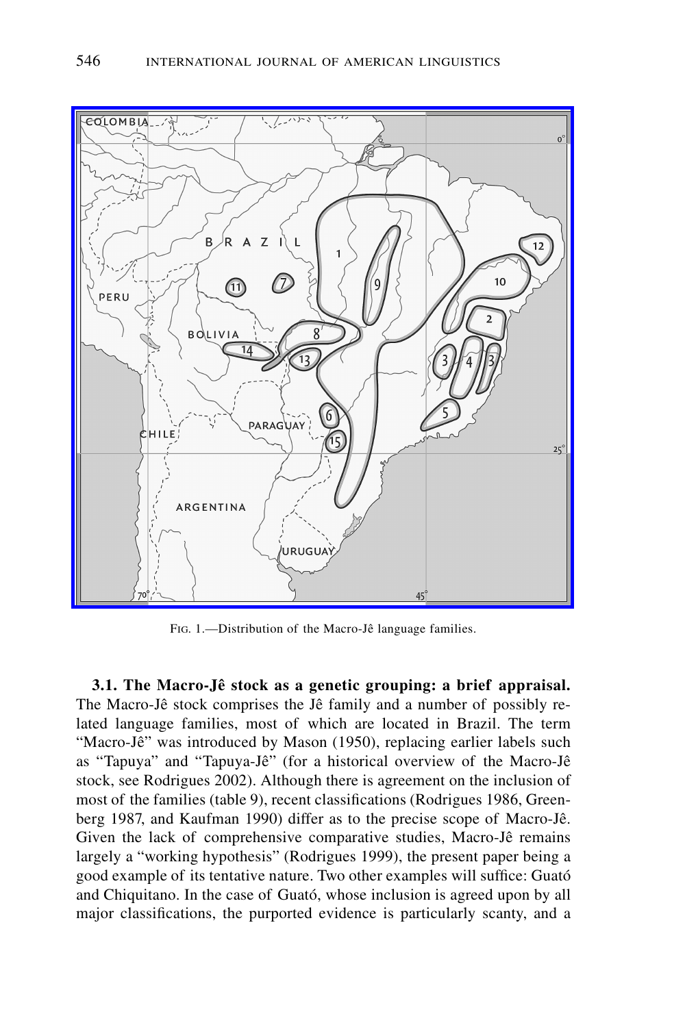

Fig. 1.—Distribution of the Macro-Jê language families.

**3.1. The Macro-Jê stock as a genetic grouping: a brief appraisal.** The Macro-Jê stock comprises the Jê family and a number of possibly related language families, most of which are located in Brazil. The term "Macro-Jê" was introduced by Mason (1950), replacing earlier labels such as "Tapuya" and "Tapuya-Jê" (for a historical overview of the Macro-Jê stock, see Rodrigues 2002). Although there is agreement on the inclusion of most of the families (table 9), recent classifications (Rodrigues 1986, Greenberg 1987, and Kaufman 1990) differ as to the precise scope of Macro-Jê. Given the lack of comprehensive comparative studies, Macro-Jê remains largely a "working hypothesis" (Rodrigues 1999), the present paper being a good example of its tentative nature. Two other examples will suffice: Guató and Chiquitano. In the case of Guató, whose inclusion is agreed upon by all major classifications, the purported evidence is particularly scanty, and a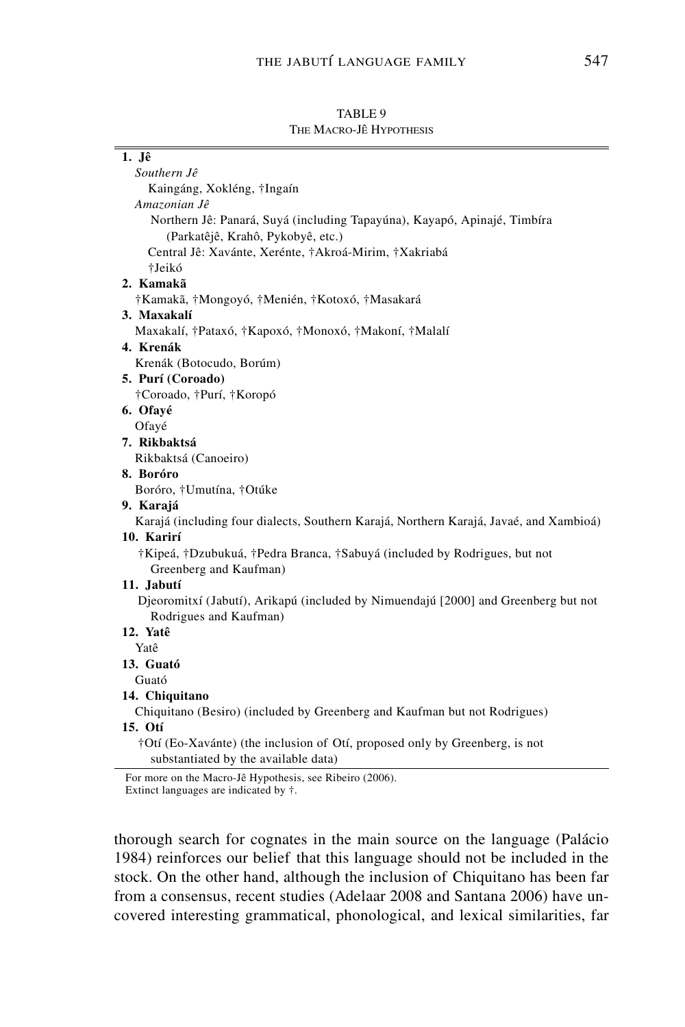TABLE 9 The Macro-Jê Hypothesis

| 1. Jê                                                                                                      |
|------------------------------------------------------------------------------------------------------------|
| Southern Jê                                                                                                |
| Kaingáng, Xokléng, †Ingaín                                                                                 |
| Amazonian Jê                                                                                               |
| Northern Jê: Panará, Suyá (including Tapayúna), Kayapó, Apinajé, Timbíra                                   |
| (Parkatêjê, Krahô, Pykobyê, etc.)                                                                          |
| Central Jê: Xavánte, Xerénte, †Akroá-Mirim, †Xakriabá                                                      |
| †Jeikó                                                                                                     |
| 2. Kamakã                                                                                                  |
| †Kamakã, †Mongoyó, †Menién, †Kotoxó, †Masakará                                                             |
| 3. Maxakalí                                                                                                |
| Maxakalí, †Pataxó, †Kapoxó, †Monoxó, †Makoní, †Malalí                                                      |
| 4. Krenák                                                                                                  |
| Krenák (Botocudo, Borúm)                                                                                   |
| 5. Purí (Coroado)                                                                                          |
| †Coroado, †Purí, †Koropó                                                                                   |
| 6. Ofayé                                                                                                   |
| Ofayé                                                                                                      |
| 7. Rikbaktsá                                                                                               |
| Rikbaktsá (Canoeiro)                                                                                       |
| 8. Boróro                                                                                                  |
| Boróro, †Umutína, †Otúke                                                                                   |
| 9. Karajá                                                                                                  |
| Karajá (including four dialects, Southern Karajá, Northern Karajá, Javaé, and Xambioá)                     |
| 10. Karirí                                                                                                 |
| †Kipeá, †Dzubukuá, †Pedra Branca, †Sabuyá (included by Rodrigues, but not                                  |
| Greenberg and Kaufman)                                                                                     |
| 11. Jabutí                                                                                                 |
| Djeoromitxí (Jabutí), Arikapú (included by Nimuendajú [2000] and Greenberg but not                         |
| Rodrigues and Kaufman)                                                                                     |
| 12. Yatê                                                                                                   |
| Yatê                                                                                                       |
| 13. Guató                                                                                                  |
| Guató                                                                                                      |
| 14. Chiquitano                                                                                             |
| Chiquitano (Besiro) (included by Greenberg and Kaufman but not Rodrigues)                                  |
| 15. Otí                                                                                                    |
| †Otí (Eo-Xavánte) (the inclusion of Otí, proposed only by Greenberg, is not                                |
| substantiated by the available data)                                                                       |
| For more on the Macro-Jê Hypothesis, see Ribeiro (2006).<br>Extinct languages are indicated by $\dagger$ . |

thorough search for cognates in the main source on the language (Palácio 1984) reinforces our belief that this language should not be included in the stock. On the other hand, although the inclusion of Chiquitano has been far from a consensus, recent studies (Adelaar 2008 and Santana 2006) have uncovered interesting grammatical, phonological, and lexical similarities, far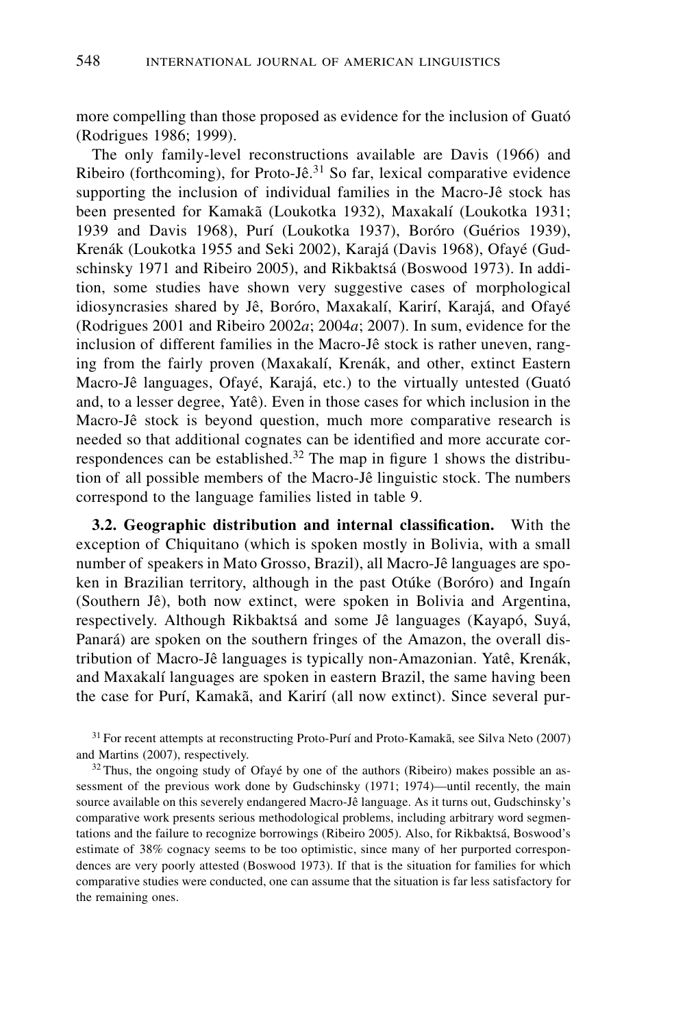more compelling than those proposed as evidence for the inclusion of Guató (Rodrigues 1986; 1999).

The only family-level reconstructions available are Davis (1966) and Ribeiro (forthcoming), for Proto-Jê.<sup>31</sup> So far, lexical comparative evidence supporting the inclusion of individual families in the Macro-Jê stock has been presented for Kamakã (Loukotka 1932), Maxakalí (Loukotka 1931; 1939 and Davis 1968), Purí (Loukotka 1937), Boróro (Guérios 1939), Krenák (Loukotka 1955 and Seki 2002), Karajá (Davis 1968), Ofayé (Gudschinsky 1971 and Ribeiro 2005), and Rikbaktsá (Boswood 1973). In addition, some studies have shown very suggestive cases of morphological idiosyncrasies shared by Jê, Boróro, Maxakalí, Karirí, Karajá, and Ofayé (Rodrigues 2001 and Ribeiro 2002*a*; 2004*a*; 2007). In sum, evidence for the inclusion of different families in the Macro-Jê stock is rather uneven, ranging from the fairly proven (Maxakalí, Krenák, and other, extinct Eastern Macro-Jê languages, Ofayé, Karajá, etc.) to the virtually untested (Guató and, to a lesser degree, Yatê). Even in those cases for which inclusion in the Macro-Jê stock is beyond question, much more comparative research is needed so that additional cognates can be identified and more accurate correspondences can be established.<sup>32</sup> The map in figure 1 shows the distribution of all possible members of the Macro-Jê linguistic stock. The numbers correspond to the language families listed in table 9.

**3.2. Geographic distribution and internal classification.** With the exception of Chiquitano (which is spoken mostly in Bolivia, with a small number of speakers in Mato Grosso, Brazil), all Macro-Jê languages are spoken in Brazilian territory, although in the past Otúke (Boróro) and Ingaín (Southern Jê), both now extinct, were spoken in Bolivia and Argentina, respectively. Although Rikbaktsá and some Jê languages (Kayapó, Suyá, Panará) are spoken on the southern fringes of the Amazon, the overall distribution of Macro-Jê languages is typically non-Amazonian. Yatê, Krenák, and Maxakalí languages are spoken in eastern Brazil, the same having been the case for Purí, Kamakã, and Karirí (all now extinct). Since several pur-

31 For recent attempts at reconstructing Proto-Purí and Proto-Kamakã, see Silva Neto (2007) and Martins (2007), respectively.

 $32$  Thus, the ongoing study of Ofayé by one of the authors (Ribeiro) makes possible an assessment of the previous work done by Gudschinsky (1971; 1974)—until recently, the main source available on this severely endangered Macro-Jê language. As it turns out, Gudschinsky's comparative work presents serious methodological problems, including arbitrary word segmentations and the failure to recognize borrowings (Ribeiro 2005). Also, for Rikbaktsá, Boswood's estimate of 38% cognacy seems to be too optimistic, since many of her purported correspondences are very poorly attested (Boswood 1973). If that is the situation for families for which comparative studies were conducted, one can assume that the situation is far less satisfactory for the remaining ones.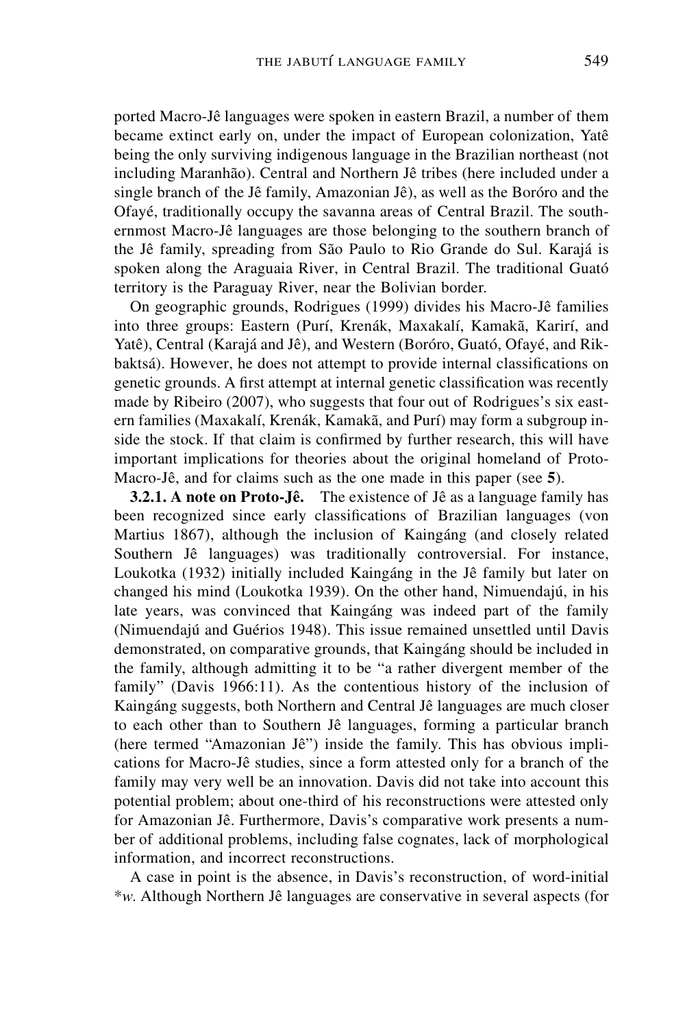ported Macro-Jê languages were spoken in eastern Brazil, a number of them became extinct early on, under the impact of European colonization, Yatê being the only surviving indigenous language in the Brazilian northeast (not including Maranhão). Central and Northern Jê tribes (here included under a single branch of the Jê family, Amazonian Jê), as well as the Boróro and the Ofayé, traditionally occupy the savanna areas of Central Brazil. The southernmost Macro-Jê languages are those belonging to the southern branch of the Jê family, spreading from São Paulo to Rio Grande do Sul. Karajá is spoken along the Araguaia River, in Central Brazil. The traditional Guató territory is the Paraguay River, near the Bolivian border.

On geographic grounds, Rodrigues (1999) divides his Macro-Jê families into three groups: Eastern (Purí, Krenák, Maxakalí, Kamakã, Karirí, and Yatê), Central (Karajá and Jê), and Western (Boróro, Guató, Ofayé, and Rikbaktsá). However, he does not attempt to provide internal classifications on genetic grounds. A first attempt at internal genetic classification was recently made by Ribeiro (2007), who suggests that four out of Rodrigues's six eastern families (Maxakalí, Krenák, Kamakã, and Purí) may form a subgroup inside the stock. If that claim is confirmed by further research, this will have important implications for theories about the original homeland of Proto-Macro-Jê, and for claims such as the one made in this paper (see **5**).

**3.2.1. A note on Proto-Jê.** The existence of Jê as a language family has been recognized since early classifications of Brazilian languages (von Martius 1867), although the inclusion of Kaingáng (and closely related Southern Jê languages) was traditionally controversial. For instance, Loukotka (1932) initially included Kaingáng in the Jê family but later on changed his mind (Loukotka 1939). On the other hand, Nimuendajú, in his late years, was convinced that Kaingáng was indeed part of the family (Nimuendajú and Guérios 1948). This issue remained unsettled until Davis demonstrated, on comparative grounds, that Kaingáng should be included in the family, although admitting it to be "a rather divergent member of the family" (Davis 1966:11). As the contentious history of the inclusion of Kaingáng suggests, both Northern and Central Jê languages are much closer to each other than to Southern Jê languages, forming a particular branch (here termed "Amazonian Jê") inside the family. This has obvious implications for Macro-Jê studies, since a form attested only for a branch of the family may very well be an innovation. Davis did not take into account this potential problem; about one-third of his reconstructions were attested only for Amazonian Jê. Furthermore, Davis's comparative work presents a number of additional problems, including false cognates, lack of morphological information, and incorrect reconstructions.

A case in point is the absence, in Davis's reconstruction, of word-initial \**w*. Although Northern Jê languages are conservative in several aspects (for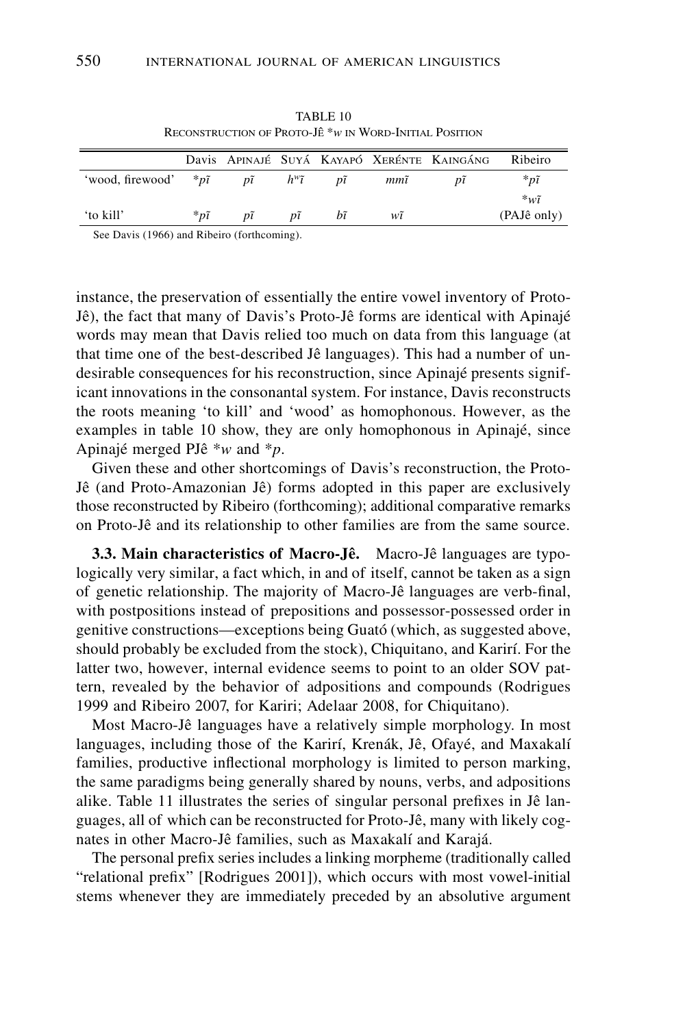| INECONSTRUCTION OF LINOTO-JE W IN WORD-INITIAL LOSITION |                  |              |                    |    |     |                                            |                        |
|---------------------------------------------------------|------------------|--------------|--------------------|----|-----|--------------------------------------------|------------------------|
|                                                         |                  |              |                    |    |     | Davis APINAJÉ SUYÁ KAYAPÓ XERÉNTE KAINGÁNG | Ribeiro                |
| 'wood, firewood' $*_{p\tilde{i}}$                       |                  | $p\tilde{i}$ | $h^w\tilde{\iota}$ | DĨ | mmĩ | $\overline{\nu}\overline{\iota}$           | $*_{\nu\tilde{\iota}}$ |
|                                                         |                  |              |                    |    |     |                                            | $*_{w\tilde{\imath}}$  |
| 'to kill'                                               | $*_{\tilde{p}l}$ | рĩ           | рĩ                 | bĩ | wĩ  |                                            | (PAJê only)            |

TABLE 10 Reconstruction of Proto-Jê \**w* in Word-Initial Position

See Davis (1966) and Ribeiro (forthcoming).

instance, the preservation of essentially the entire vowel inventory of Proto-Jê), the fact that many of Davis's Proto-Jê forms are identical with Apinajé words may mean that Davis relied too much on data from this language (at that time one of the best-described Jê languages). This had a number of undesirable consequences for his reconstruction, since Apinajé presents significant innovations in the consonantal system. For instance, Davis reconstructs the roots meaning 'to kill' and 'wood' as homophonous. However, as the examples in table 10 show, they are only homophonous in Apinajé, since Apinajé merged PJê \**w* and \**p*.

Given these and other shortcomings of Davis's reconstruction, the Proto-Jê (and Proto-Amazonian Jê) forms adopted in this paper are exclusively those reconstructed by Ribeiro (forthcoming); additional comparative remarks on Proto-Jê and its relationship to other families are from the same source.

**3.3. Main characteristics of Macro-Jê.** Macro-Jê languages are typologically very similar, a fact which, in and of itself, cannot be taken as a sign of genetic relationship. The majority of Macro-Jê languages are verb-final, with postpositions instead of prepositions and possessor-possessed order in genitive constructions—exceptions being Guató (which, as suggested above, should probably be excluded from the stock), Chiquitano, and Karirí. For the latter two, however, internal evidence seems to point to an older SOV pattern, revealed by the behavior of adpositions and compounds (Rodrigues 1999 and Ribeiro 2007, for Kariri; Adelaar 2008, for Chiquitano).

Most Macro-Jê languages have a relatively simple morphology. In most languages, including those of the Karirí, Krenák, Jê, Ofayé, and Maxakalí families, productive inflectional morphology is limited to person marking, the same paradigms being generally shared by nouns, verbs, and adpositions alike. Table 11 illustrates the series of singular personal prefixes in Jê languages, all of which can be reconstructed for Proto-Jê, many with likely cognates in other Macro-Jê families, such as Maxakalí and Karajá.

The personal prefix series includes a linking morpheme (traditionally called "relational prefix" [Rodrigues 2001]), which occurs with most vowel-initial stems whenever they are immediately preceded by an absolutive argument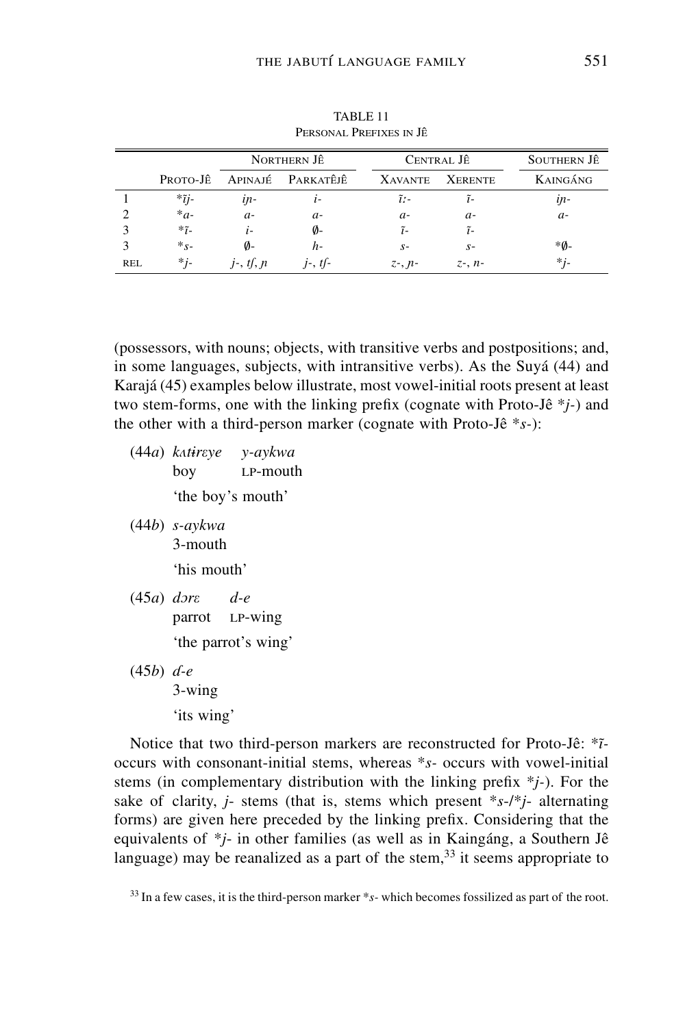|            | I ERSUNAL I REFIAES IN JE |                  |                    |                 |                |                    |  |  |
|------------|---------------------------|------------------|--------------------|-----------------|----------------|--------------------|--|--|
|            |                           |                  | <b>NORTHERN JÊ</b> | CENTRAL JÊ      |                | <b>SOUTHERN JÊ</b> |  |  |
|            | PROTO-JÊ                  |                  | APINAJÉ PARKATÊJÊ  | <b>XAVANTE</b>  | <b>XERENTE</b> | KAINGÁNG           |  |  |
|            | $*_{\tilde{i}j}$ .        | $in$ -           | $\iota$ -          | $\tilde{l}$ : - | ĩ-             | in-                |  |  |
|            | $a^*a$                    | $a-$             | $a-$               | $a-$            | $a-$           | $a-$               |  |  |
|            | $*_{\tilde{l}}$ -         | $\frac{i}{i}$    | Ø-                 | $\tilde{i}$ -   | $\tilde{i}$ -  |                    |  |  |
|            | $*_{S^-}$                 | $\mathfrak{g}_-$ | $h-$               | $S-$            | $S-$           | *Ø-                |  |  |
| <b>REL</b> | $*_i$                     | $j$ -, $tf, p$   | $j$ -, $tf$ -      | $z - n$         | $z-, n-$       | $*_1$ -            |  |  |

TABLE 11 Personal Prefixes in Jê

(possessors, with nouns; objects, with transitive verbs and postpositions; and, in some languages, subjects, with intransitive verbs). As the Suyá (44) and Karajá (45) examples below illustrate, most vowel-initial roots present at least two stem-forms, one with the linking prefix (cognate with Proto-Jê \**j-*) and the other with a third-person marker (cognate with Proto-Jê \**s-*):

- (44*a*) *kUtIrEye y-aykwa* boy lp-mouth 'the boy's mouth'
- (44*b*) *s-aykwa* 3-mouth 'his mouth'
- $(45a)$  *dore d-e* parrot LP-wing 'the parrot's wing'
- (45*b*) *Î-e* 3-wing 'its wing'

Notice that two third-person markers are reconstructed for Proto-Jê: \**i*occurs with consonant-initial stems, whereas \**s-* occurs with vowel-initial stems (in complementary distribution with the linking prefix \**j-*). For the sake of clarity, *j*- stems (that is, stems which present \**s*-/\**j*- alternating forms) are given here preceded by the linking prefix. Considering that the equivalents of \**j*- in other families (as well as in Kaingáng, a Southern Jê language) may be reanalized as a part of the stem,  $33$  it seems appropriate to

<sup>33</sup> In a few cases, it is the third-person marker \**s-* which becomes fossilized as part of the root.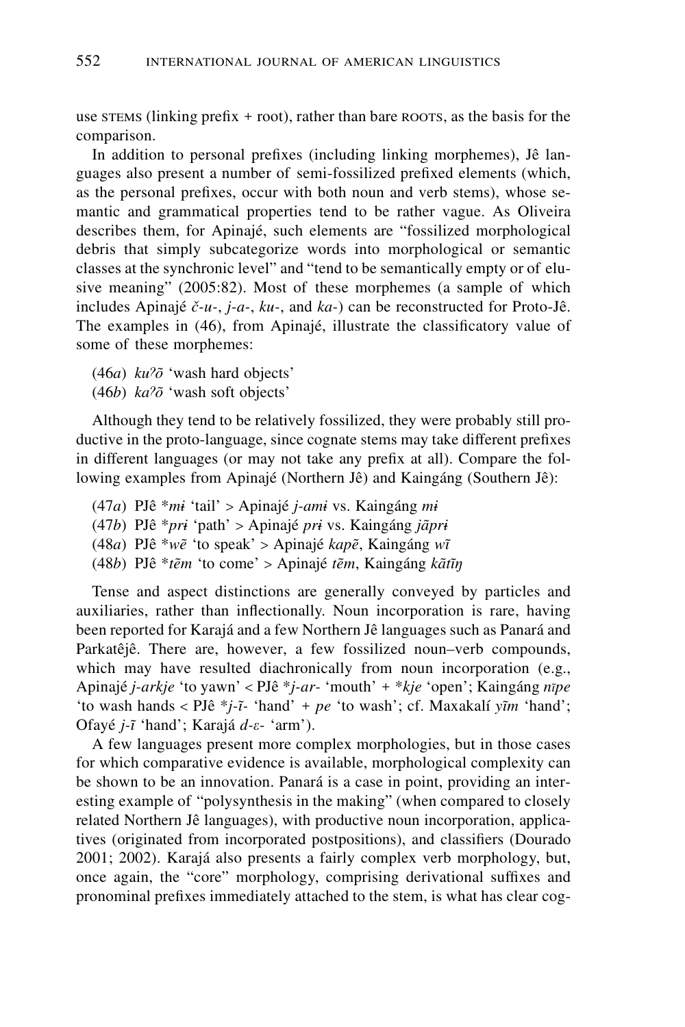use stems (linking prefix  $+$  root), rather than bare roots, as the basis for the comparison.

In addition to personal prefixes (including linking morphemes), Jê languages also present a number of semi-fossilized prefixed elements (which, as the personal prefixes, occur with both noun and verb stems), whose semantic and grammatical properties tend to be rather vague. As Oliveira describes them, for Apinajé, such elements are "fossilized morphological debris that simply subcategorize words into morphological or semantic classes at the synchronic level" and "tend to be semantically empty or of elusive meaning" (2005:82). Most of these morphemes (a sample of which includes Apinajé *c-u-*, *j-a-*, *ku-*, and *ka-*) can be reconstructed for Proto-Jê. The examples in (46), from Apinajé, illustrate the classificatory value of some of these morphemes:

- $(46a)$   $ku\delta$  'wash hard objects'
- (46*b*)  $ka$ <sup>7 $\tilde{o}$ </sup> 'wash soft objects'

Although they tend to be relatively fossilized, they were probably still productive in the proto-language, since cognate stems may take different prefixes in different languages (or may not take any prefix at all). Compare the following examples from Apinajé (Northern Jê) and Kaingáng (Southern Jê):

- (47*a*) PJê \**mI* 'tail' > Apinajé *j-amI* vs. Kaingáng *m<sup>I</sup>*
- (47*b*) PJê \**pri* 'path' > Apinajé *pri* vs. Kaingáng *jãpri*
- (48*a*) PJê \**w* $\tilde{e}$  'to speak' > Apinajé *kap* $\tilde{e}$ , Kaingáng *w*i
- (48*b*) PJê \* $t\tilde{e}m$  'to come' > Apinajé  $t\tilde{e}m$ , Kaingáng  $k\tilde{a}t\tilde{n}n$

Tense and aspect distinctions are generally conveyed by particles and auxiliaries, rather than inflectionally. Noun incorporation is rare, having been reported for Karajá and a few Northern Jê languages such as Panará and Parkatêjê. There are, however, a few fossilized noun–verb compounds, which may have resulted diachronically from noun incorporation (e.g., Apinajé *j-arkje* 'to yawn' < PJê \**j-ar-* 'mouth' + \**kje* 'open'; Kaingáng *n*i*pe* 'to wash hands < PJê \**j-*i*-* 'hand' + *pe* 'to wash'; cf. Maxakalí *y*i*m* 'hand'; Ofayé *j-*i 'hand'; Karajá *d-E-* 'arm').

A few languages present more complex morphologies, but in those cases for which comparative evidence is available, morphological complexity can be shown to be an innovation. Panará is a case in point, providing an interesting example of "polysynthesis in the making" (when compared to closely related Northern Jê languages), with productive noun incorporation, applicatives (originated from incorporated postpositions), and classifiers (Dourado 2001; 2002). Karajá also presents a fairly complex verb morphology, but, once again, the "core" morphology, comprising derivational suffixes and pronominal prefixes immediately attached to the stem, is what has clear cog-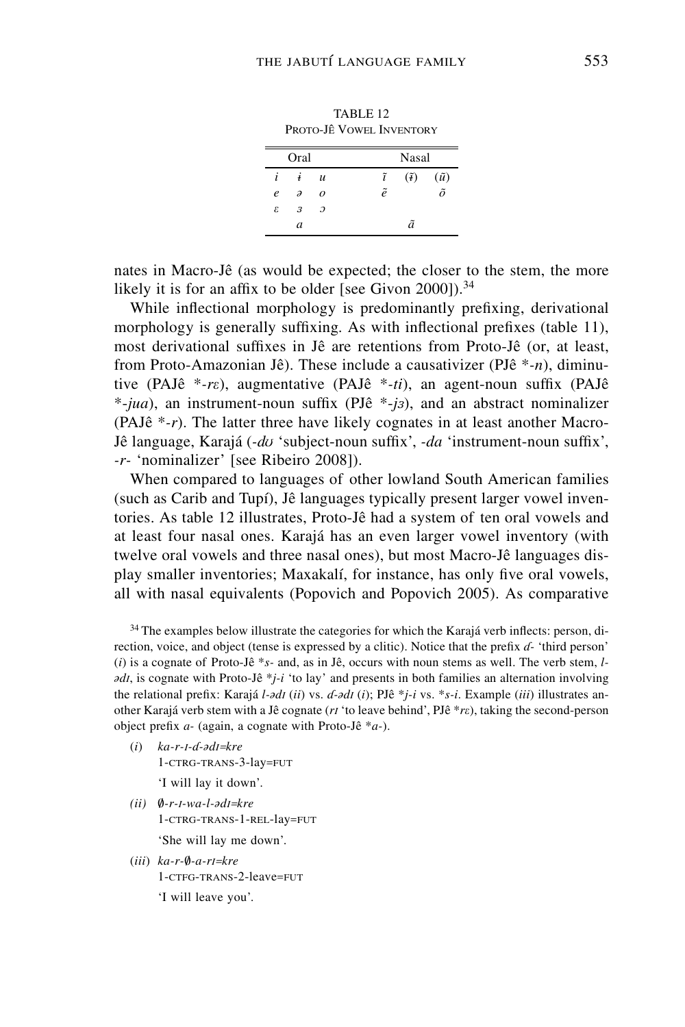|        |                       |                  | PROTO-JÊ VOWEL INVENTORY |               |               |
|--------|-----------------------|------------------|--------------------------|---------------|---------------|
|        | Oral                  |                  |                          | Nasal         |               |
| Î.     |                       | $\boldsymbol{u}$ | ĩ                        | $(\tilde{t})$ | $(\tilde{u})$ |
| $\rho$ | $\overline{\partial}$ | $\Omega$         | õ                        |               | õ             |
| £.     | 3                     | $\Omega$         |                          |               |               |
|        | a                     |                  |                          | ã             |               |

TABLE 12

nates in Macro-Jê (as would be expected; the closer to the stem, the more likely it is for an affix to be older [see Givon 2000]).<sup>34</sup>

While inflectional morphology is predominantly prefixing, derivational morphology is generally suffixing. As with inflectional prefixes (table 11), most derivational suffixes in Jê are retentions from Proto-Jê (or, at least, from Proto-Amazonian Jê). These include a causativizer (PJê \**-n*), diminutive (PAJê \**-rE*), augmentative (PAJê \**-ti*), an agent-noun suffix (PAJê \*-*jua*), an instrument-noun suffix (PJê \*-*j‰*), and an abstract nominalizer (PAJê \**-r*). The latter three have likely cognates in at least another Macro-Jê language, Karajá (*-dÜ* 'subject-noun suffix', *-da* 'instrument-noun suffix', *-r-* 'nominalizer' [see Ribeiro 2008]).

When compared to languages of other lowland South American families (such as Carib and Tupí), Jê languages typically present larger vowel inventories. As table 12 illustrates, Proto-Jê had a system of ten oral vowels and at least four nasal ones. Karajá has an even larger vowel inventory (with twelve oral vowels and three nasal ones), but most Macro-Jê languages display smaller inventories; Maxakalí, for instance, has only five oral vowels, all with nasal equivalents (Popovich and Popovich 2005). As comparative

<sup>34</sup> The examples below illustrate the categories for which the Karajá verb inflects: person, direction, voice, and object (tense is expressed by a clitic). Notice that the prefix *Î-* 'third person' (*i*) is a cognate of Proto-Jê \**s-* and, as in Jê, occurs with noun stems as well. The verb stem, *l adi*, is cognate with Proto-Jê \**j-i* 'to lay' and presents in both families an alternation involving the relational prefix: Karajá *l-´di* (*ii*) vs. *Î-´di* (*i*); PJê \**j-i* vs. \**s-i*. Example (*iii*) illustrates another Karajá verb stem with a Jê cognate (*ri* 'to leave behind', PJê \**rE*), taking the second-person object prefix *a-* (again, a cognate with Proto-Jê \**a-*).

- (*i*) *ka-r-i-Î-´di*=*kre* 1-ctrg-trans-3-lay=fut 'I will lay it down'.
- *(ii) W-r-i-wa-l-´di*=*kre* 1-ctrg-trans-1-rel-lay=fut 'She will lay me down'.
- (*iii*) *ka-r-W-a-ri*=*kre* 1-ctfg-trans-2-leave=fut 'I will leave you'.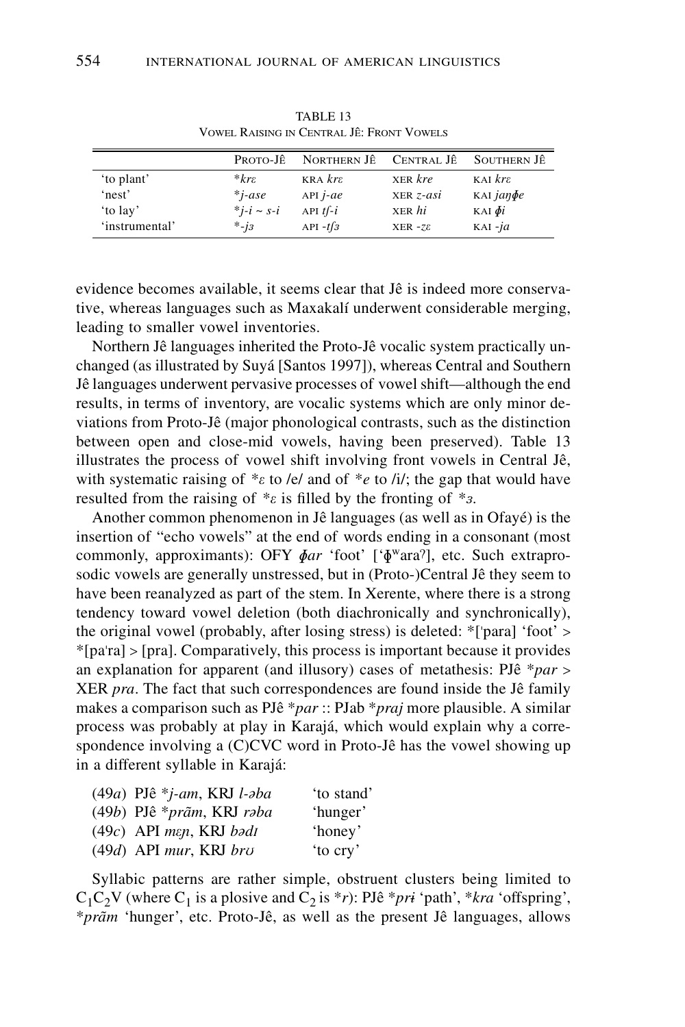|                | Proto-Jê                                    | NORTHERN JÊ        | Central Jê                  | SOUTHERN JÊ                     |
|----------------|---------------------------------------------|--------------------|-----------------------------|---------------------------------|
| 'to plant'     | $*_{kre}$                                   | $KRA$ $kr\epsilon$ | XER kre                     | $KAT$ $kr\epsilon$              |
| 'nest'         | $*$ <i>j</i> -ase                           | $API \, i-ae$      | $XER$ <i>z</i> - <i>asi</i> | KAI $\hat{i}$ an $\hat{\phi}$ e |
| 'to lay'       | * <i>i</i> - <i>i</i> ~ <i>s</i> - <i>i</i> | API $tf-i$         | XER hi                      | KAI $\phi$ <i>i</i>             |
| 'instrumental' | $*$ -j <sub>3</sub>                         | API $-t/3$         | $XER - ZE$                  | KAI $-ja$                       |

TABLE 13 Vowel Raising in Central Jê: Front Vowels

evidence becomes available, it seems clear that Jê is indeed more conservative, whereas languages such as Maxakalí underwent considerable merging, leading to smaller vowel inventories.

Northern Jê languages inherited the Proto-Jê vocalic system practically unchanged (as illustrated by Suyá [Santos 1997]), whereas Central and Southern Jê languages underwent pervasive processes of vowel shift—although the end results, in terms of inventory, are vocalic systems which are only minor deviations from Proto-Jê (major phonological contrasts, such as the distinction between open and close-mid vowels, having been preserved). Table 13 illustrates the process of vowel shift involving front vowels in Central Jê, with systematic raising of  $* \varepsilon$  to /e/ and of  $* \varepsilon$  to /i/; the gap that would have resulted from the raising of \**E* is filled by the fronting of \**‰*.

Another common phenomenon in Jê languages (as well as in Ofayé) is the insertion of "echo vowels" at the end of words ending in a consonant (most commonly, approximants): OFY  $\phi$ ar 'foot' [' $\phi$ <sup>w</sup>ara<sup>7</sup>], etc. Such extraprosodic vowels are generally unstressed, but in (Proto-)Central Jê they seem to have been reanalyzed as part of the stem. In Xerente, where there is a strong tendency toward vowel deletion (both diachronically and synchronically), the original vowel (probably, after losing stress) is deleted: \*[·para] 'foot' > \*[pa·ra] > [pra]. Comparatively, this process is important because it provides an explanation for apparent (and illusory) cases of metathesis: PJê \**par* > XER *pra*. The fact that such correspondences are found inside the Jê family makes a comparison such as PJê \**par* :: PJab \**praj* more plausible. A similar process was probably at play in Karajá, which would explain why a correspondence involving a (C)CVC word in Proto-Jê has the vowel showing up in a different syllable in Karajá:

| $(49a)$ PJê *j-am, KRJ l-əba         | 'to stand' |
|--------------------------------------|------------|
| (49b) PJê *prãm, KRJ rəba            | 'hunger'   |
| $(49c)$ API m $\epsilon$ n, KRJ bədi | 'honey'    |
| $(49d)$ API mur, KRJ bro             | 'to cry'   |

Syllabic patterns are rather simple, obstruent clusters being limited to  $C_1C_2V$  (where  $C_1$  is a plosive and  $C_2$  is \**r*): PJê \**pri* 'path', \**kra* 'offspring', \**pra\$m* 'hunger', etc. Proto-Jê, as well as the present Jê languages, allows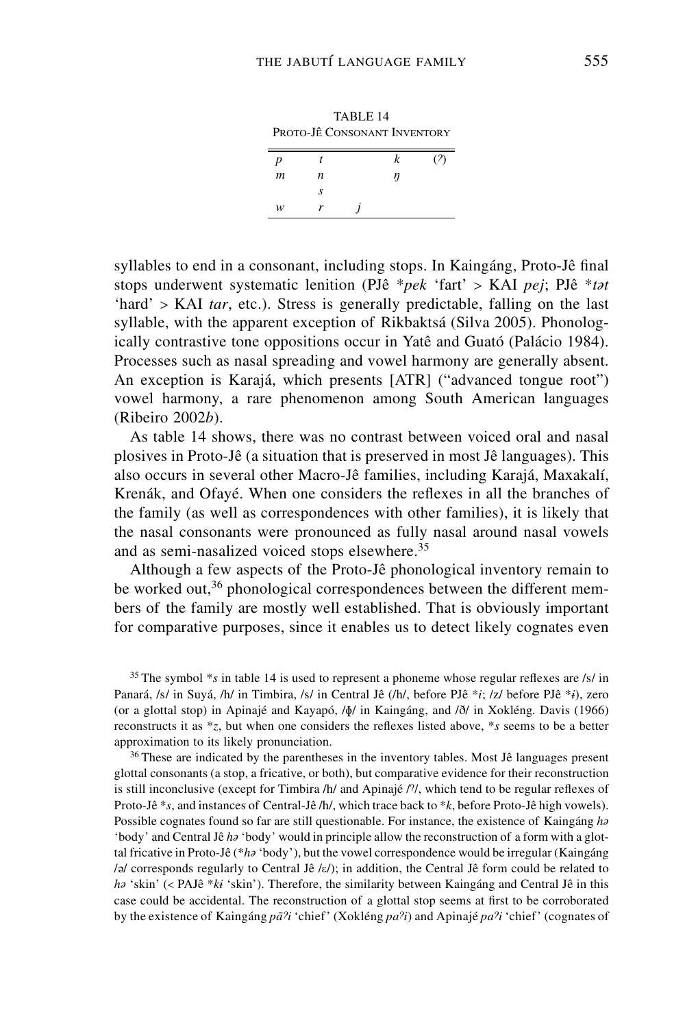TABLE 14 Proto-Jê Consonant Inventory *pt k* (*?*) *m n N s w r j* 

syllables to end in a consonant, including stops. In Kaingáng, Proto-Jê final stops underwent systematic lenition (PJê \**pek* 'fart' > KAI *pej*; PJê \**t´<sup>t</sup>* 'hard' > KAI *tar*, etc.). Stress is generally predictable, falling on the last syllable, with the apparent exception of Rikbaktsá (Silva 2005). Phonologically contrastive tone oppositions occur in Yatê and Guató (Palácio 1984). Processes such as nasal spreading and vowel harmony are generally absent. An exception is Karajá, which presents [ATR] ("advanced tongue root") vowel harmony, a rare phenomenon among South American languages (Ribeiro 2002*b*).

As table 14 shows, there was no contrast between voiced oral and nasal plosives in Proto-Jê (a situation that is preserved in most Jê languages). This also occurs in several other Macro-Jê families, including Karajá, Maxakalí, Krenák, and Ofayé. When one considers the reflexes in all the branches of the family (as well as correspondences with other families), it is likely that the nasal consonants were pronounced as fully nasal around nasal vowels and as semi-nasalized voiced stops elsewhere.<sup>35</sup>

Although a few aspects of the Proto-Jê phonological inventory remain to be worked out,<sup>36</sup> phonological correspondences between the different members of the family are mostly well established. That is obviously important for comparative purposes, since it enables us to detect likely cognates even

<sup>35</sup> The symbol \*s in table 14 is used to represent a phoneme whose regular reflexes are /s/ in Panará, /s/ in Suyá, /h/ in Timbira, /s/ in Central Jê (/h/, before PJê \**i*; /z/ before PJê \**I*), zero (or a glottal stop) in Apinajé and Kayapó,  $\sqrt{\phi}$  in Kaingáng, and  $\sqrt{\delta}$  in Xokléng. Davis (1966) reconstructs it as \**z*, but when one considers the reflexes listed above, \**s* seems to be a better approximation to its likely pronunciation.

<sup>36</sup> These are indicated by the parentheses in the inventory tables. Most Jê languages present glottal consonants (a stop, a fricative, or both), but comparative evidence for their reconstruction is still inconclusive (except for Timbira /h/ and Apinajé /?/, which tend to be regular reflexes of Proto-Jê \**s*, and instances of Central-Jê /h/, which trace back to \**k*, before Proto-Jê high vowels). Possible cognates found so far are still questionable. For instance, the existence of Kaingáng *h´* 'body' and Central Jê *h´* 'body' would in principle allow the reconstruction of a form with a glottal fricative in Proto-Jê (\**h´* 'body'), but the vowel correspondence would be irregular (Kaingáng  $\sqrt{a}$  corresponds regularly to Central Jê /ɛ/); in addition, the Central Jê form could be related to *<sup>h</sup>´* 'skin' (< PAJê \**kI* 'skin'). Therefore, the similarity between Kaingáng and Central Jê in this case could be accidental. The reconstruction of a glottal stop seems at first to be corroborated by the existence of Kaingáng *pa\$?i* 'chief' (Xokléng *pa?i*) and Apinajé *pa?i* 'chief' (cognates of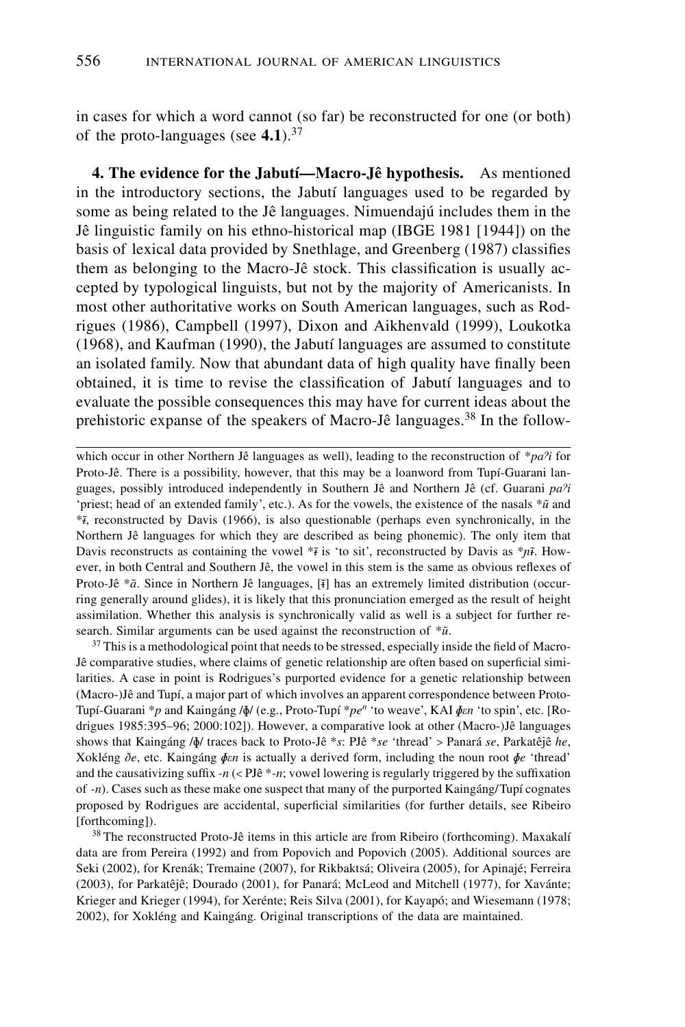in cases for which a word cannot (so far) be reconstructed for one (or both) of the proto-languages (see **4.1**).<sup>37</sup>

**4. The evidence for the Jabutí—Macro-Jê hypothesis.** As mentioned in the introductory sections, the Jabutí languages used to be regarded by some as being related to the Jê languages. Nimuendajú includes them in the Jê linguistic family on his ethno-historical map (IBGE 1981 [1944]) on the basis of lexical data provided by Snethlage, and Greenberg (1987) classifies them as belonging to the Macro-Jê stock. This classification is usually accepted by typological linguists, but not by the majority of Americanists. In most other authoritative works on South American languages, such as Rodrigues (1986), Campbell (1997), Dixon and Aikhenvald (1999), Loukotka (1968), and Kaufman (1990), the Jabutí languages are assumed to constitute an isolated family. Now that abundant data of high quality have finally been obtained, it is time to revise the classification of Jabutí languages and to evaluate the possible consequences this may have for current ideas about the prehistoric expanse of the speakers of Macro-Jê languages.<sup>38</sup> In the follow-

which occur in other Northern Jê languages as well), leading to the reconstruction of \**pa?i* for Proto-Jê. There is a possibility, however, that this may be a loanword from Tupí-Guarani languages, possibly introduced independently in Southern Jê and Northern Jê (cf. Guarani *pa?i* 'priest; head of an extended family', etc.). As for the vowels, the existence of the nasals  $*\tilde{u}$  and  $*$ ; reconstructed by Davis (1966), is also questionable (perhaps even synchronically, in the Northern Jê languages for which they are described as being phonemic). The only item that Davis reconstructs as containing the vowel \* $\tilde{\tau}$  is 'to sit', reconstructed by Davis as \* $n\tilde{\tau}$ . However, in both Central and Southern Jê, the vowel in this stem is the same as obvious reflexes of Proto-Jê \**a*. Since in Northern Jê languages, [i] has an extremely limited distribution (occurring generally around glides), it is likely that this pronunciation emerged as the result of height assimilation. Whether this analysis is synchronically valid as well is a subject for further research. Similar arguments can be used against the reconstruction of  $*$  $\tilde{u}$ .

<sup>37</sup> This is a methodological point that needs to be stressed, especially inside the field of Macro-Jê comparative studies, where claims of genetic relationship are often based on superficial similarities. A case in point is Rodrigues's purported evidence for a genetic relationship between (Macro-)Jê and Tupí, a major part of which involves an apparent correspondence between Proto-Tupí-Guarani \*p and Kaingáng / $\oint$ / (e.g., Proto-Tupí \*pe<sup>n</sup> 'to weave', KAI  $\oint$ en 'to spin', etc. [Rodrigues 1985:395–96; 2000:102]). However, a comparative look at other (Macro-)Jê languages shows that Kaingáng /F/ traces back to Proto-Jê \**s*: PJê \**se* 'thread' > Panará *se*, Parkatêjê *he*, Xokléng  $\partial e$ , etc. Kaingáng  $\phi en$  is actually a derived form, including the noun root  $\phi e$  'thread' and the causativizing suffix *-n* (< PJê \**-n*; vowel lowering is regularly triggered by the suffixation of *-n*). Cases such as these make one suspect that many of the purported Kaingáng/Tupí cognates proposed by Rodrigues are accidental, superficial similarities (for further details, see Ribeiro [forthcoming]).

38 The reconstructed Proto-Jê items in this article are from Ribeiro (forthcoming). Maxakalí data are from Pereira (1992) and from Popovich and Popovich (2005). Additional sources are Seki (2002), for Krenák; Tremaine (2007), for Rikbaktsá; Oliveira (2005), for Apinajé; Ferreira (2003), for Parkatêjê; Dourado (2001), for Panará; McLeod and Mitchell (1977), for Xavánte; Krieger and Krieger (1994), for Xerénte; Reis Silva (2001), for Kayapó; and Wiesemann (1978; 2002), for Xokléng and Kaingáng. Original transcriptions of the data are maintained.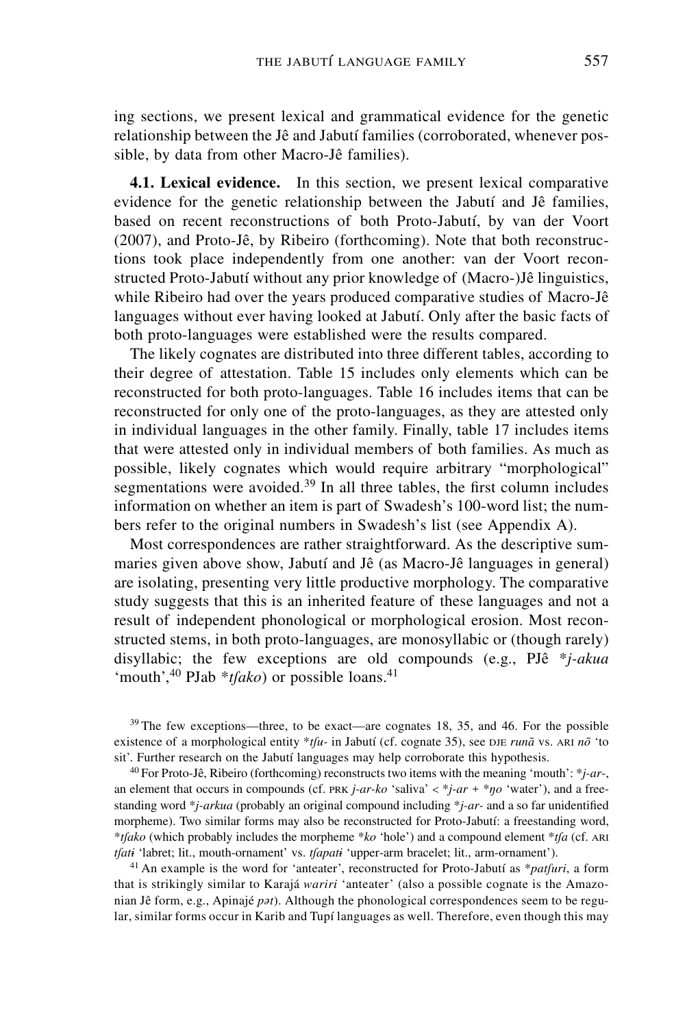ing sections, we present lexical and grammatical evidence for the genetic relationship between the Jê and Jabutí families (corroborated, whenever possible, by data from other Macro-Jê families).

**4.1. Lexical evidence.** In this section, we present lexical comparative evidence for the genetic relationship between the Jabutí and Jê families, based on recent reconstructions of both Proto-Jabutí, by van der Voort (2007), and Proto-Jê, by Ribeiro (forthcoming). Note that both reconstructions took place independently from one another: van der Voort reconstructed Proto-Jabutí without any prior knowledge of (Macro-)Jê linguistics, while Ribeiro had over the years produced comparative studies of Macro-Jê languages without ever having looked at Jabutí. Only after the basic facts of both proto-languages were established were the results compared.

The likely cognates are distributed into three different tables, according to their degree of attestation. Table 15 includes only elements which can be reconstructed for both proto-languages. Table 16 includes items that can be reconstructed for only one of the proto-languages, as they are attested only in individual languages in the other family. Finally, table 17 includes items that were attested only in individual members of both families. As much as possible, likely cognates which would require arbitrary "morphological" segmentations were avoided. $39$  In all three tables, the first column includes information on whether an item is part of Swadesh's 100-word list; the numbers refer to the original numbers in Swadesh's list (see Appendix A).

Most correspondences are rather straightforward. As the descriptive summaries given above show, Jabutí and Jê (as Macro-Jê languages in general) are isolating, presenting very little productive morphology. The comparative study suggests that this is an inherited feature of these languages and not a result of independent phonological or morphological erosion. Most reconstructed stems, in both proto-languages, are monosyllabic or (though rarely) disyllabic; the few exceptions are old compounds (e.g., PJê \**j-akua* 'mouth',<sup>40</sup> PJab  $*$ *tfako*) or possible loans.<sup>41</sup>

<sup>39</sup> The few exceptions—three, to be exact—are cognates 18, 35, and 46. For the possible existence of a morphological entity  $*$ *t* $\mu$ - in Jabutí (cf. cognate 35), see DJE *run* $\tilde{a}$  vs. ARI *n* $\tilde{o}$  'to sit'. Further research on the Jabutí languages may help corroborate this hypothesis.

40 For Proto-Jê, Ribeiro (forthcoming) reconstructs two items with the meaning 'mouth': \**j-ar*-, an element that occurs in compounds (cf. PRK *j-ar-ko* 'saliva'  $\langle \gamma^2 \rangle = ar + \gamma^2 p$  'water'), and a freestanding word \**j-arkua* (probably an original compound including \**j-ar-* and a so far unidentified morpheme). Two similar forms may also be reconstructed for Proto-Jabutí: a freestanding word, \**tfako* (which probably includes the morpheme \**ko* 'hole') and a compound element \**tfa* (cf. ARI *tfati* 'labret; lit., mouth-ornament' vs. *tfapati* 'upper-arm bracelet; lit., arm-ornament').

<sup>41</sup> An example is the word for 'anteater', reconstructed for Proto-Jabutí as  $*pathiri$ , a form that is strikingly similar to Karajá *wariri* 'anteater' (also a possible cognate is the Amazonian Jê form, e.g., Apinajé *p´t*). Although the phonological correspondences seem to be regular, similar forms occur in Karib and Tupí languages as well. Therefore, even though this may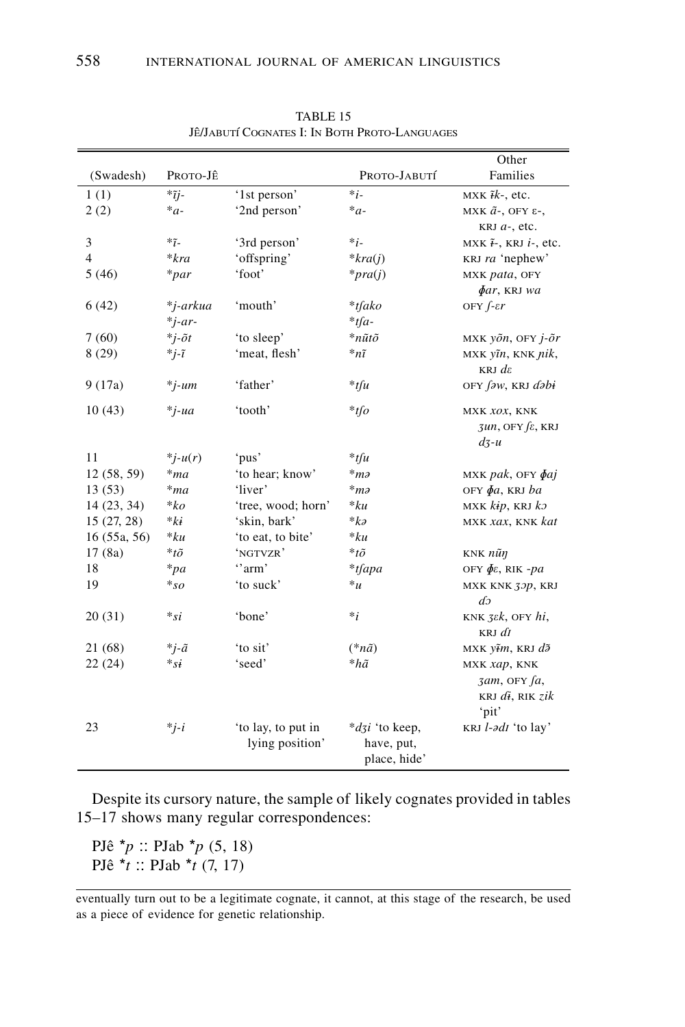|                |                    |                                       |                                              | Other                                                                             |
|----------------|--------------------|---------------------------------------|----------------------------------------------|-----------------------------------------------------------------------------------|
| (Swadesh)      | PROTO-JÊ           |                                       | PROTO-JABUTÍ                                 | Families                                                                          |
| 1(1)           | $*_{\tilde{l}j}$ . | '1st person'                          | $*_i$ .                                      | MXK $t\tilde{k}$ -, etc.                                                          |
| 2(2)           | $^*a-$             | '2nd person'                          | $^*a-$                                       | MXK $\tilde{a}$ -, OFY $\varepsilon$ -,                                           |
|                |                    |                                       |                                              | KRJ a-, etc.                                                                      |
| 3              | $*\tilde{i}$ -     | '3rd person'                          | $*_i$ .                                      | MXK $\tilde{t}$ -, KRJ $i$ -, etc.                                                |
| $\overline{4}$ | $*kra$             | 'offspring'                           | $*kra(j)$                                    | KRJ ra 'nephew'                                                                   |
| 5(46)          | $*_{par}$          | 'foot'                                | $*pra(j)$                                    | MXK pata, OFY                                                                     |
|                |                    |                                       |                                              | $\phi$ ar, KRJ wa                                                                 |
| 6(42)          | * <i>i</i> -arkua  | 'mouth'                               | $*$ tfako                                    | OFY $f$ - $\varepsilon r$                                                         |
|                | $*$ j-ar-          |                                       | $*$ tfa-                                     |                                                                                   |
| 7(60)          | $*_{i-\tilde{o}t}$ | 'to sleep'                            | $*$ nũtõ                                     | MXK yõn, OFY j-õr                                                                 |
| 8(29)          | $*_{i-i}$          | 'meat, flesh'                         | $*_{n\tilde{\imath}}$                        | MXK yĩn, KNK nik,<br>KRJ $d\varepsilon$                                           |
| 9(17a)         | $*i$ -um           | 'father'                              | $*$ tfu                                      | OFY faw, KRJ dabi                                                                 |
| 10(43)         | $*i$ -ua           | 'tooth'                               | $*$ tfo                                      | MXK xox, KNK<br>$\mathfrak{Z}un,$ OFY $\mathfrak{f}\varepsilon$ , KRJ<br>$d_5$ -u |
| 11             | $*_{j-u(r)}$       | 'pus'                                 | $*$ tfu                                      |                                                                                   |
| 12(58, 59)     | $*_{ma}$           | 'to hear; know'                       | $*_{ma}$                                     | MXK pak, OFY $\phi$ aj                                                            |
| 13(53)         | $*_{ma}$           | 'liver'                               | $*_{ma}$                                     | OFY $\phi$ a, KRJ ba                                                              |
| 14 (23, 34)    | $*_{ko}$           | 'tree, wood; horn'                    | $*_{ku}$                                     | MXK kip, KRJ ko                                                                   |
| 15 (27, 28)    | $*_{ki}$           | 'skin, bark'                          | $*k$                                         | MXK xax, KNK kat                                                                  |
| 16 (55a, 56)   | $*ku$              | 'to eat, to bite'                     | $*ku$                                        |                                                                                   |
| 17(8a)         | $*_{t\tilde{o}}$   | 'NGTVZR'                              | $*_{t\tilde{o}}$                             | KNK nũn                                                                           |
| 18             | $*_{pa}$           | "arm"                                 | $*$ tfapa                                    | OFY $\phi \varepsilon$ , RIK -pa                                                  |
| 19             | $*_{SO}$           | 'to suck'                             | $*_{u}$                                      | MXK KNK 30p, KRJ<br>ďэ                                                            |
| 20(31)         | $*_{si}$           | 'bone'                                | $*_i$                                        | KNK 3&k, OFY hi,<br>KRJ dI                                                        |
| 21 (68)        | $*_{i-\tilde{a}}$  | 'to sit'                              | $(*n\tilde{a})$                              | MXK y $\tilde{t}$ m, KRJ d $\tilde{\partial}$                                     |
| 22(24)         | $*_{Si}$           | 'seed'                                | *hã                                          | MXK xap, KNK                                                                      |
|                |                    |                                       |                                              | $\zeta$ am, OFY $fa$ ,                                                            |
|                |                    |                                       |                                              | KRJ di, RIK zik                                                                   |
|                |                    |                                       |                                              | 'pit'                                                                             |
| 23             | $*_{j-i}$          | 'to lay, to put in<br>lying position' | *dzi 'to keep,<br>have, put,<br>place, hide' | KRJ l-adi 'to lay'                                                                |

TABLE 15 Jê/Jabutí Cognates I: In Both Proto-Languages

Despite its cursory nature, the sample of likely cognates provided in tables 15–17 shows many regular correspondences:

PJê \**p* :: PJab \**p* (5, 18) PJê \**t* :: PJab \**t* (7, 17)

eventually turn out to be a legitimate cognate, it cannot, at this stage of the research, be used as a piece of evidence for genetic relationship.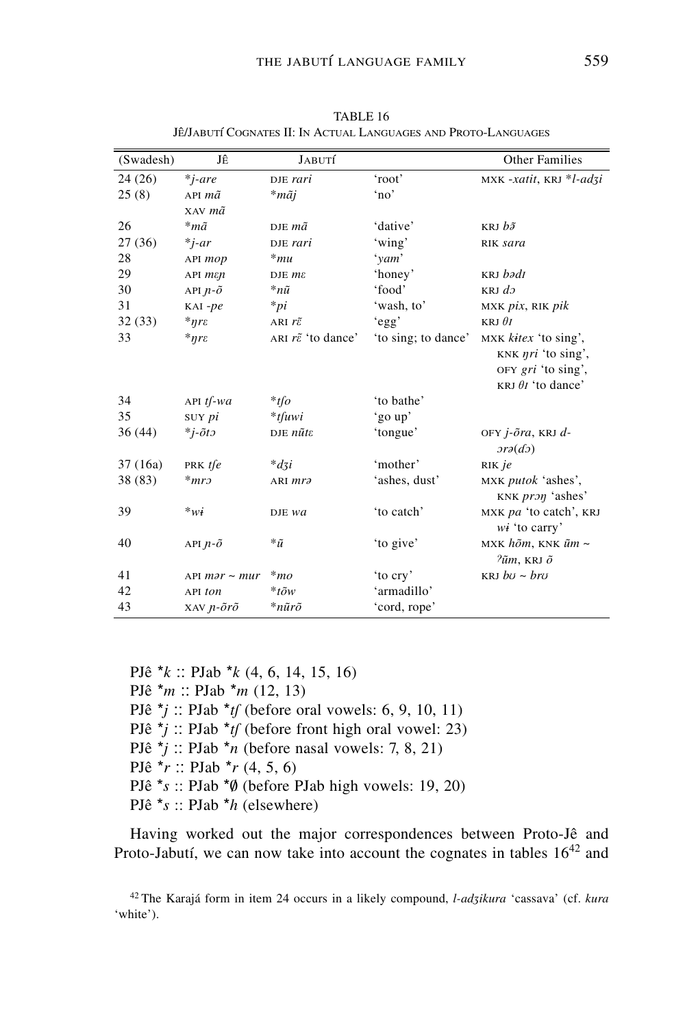| (Swadesh) | JÊ                               | <b>JABUTÍ</b>                      |                     | <b>Other Families</b>                                                                                              |
|-----------|----------------------------------|------------------------------------|---------------------|--------------------------------------------------------------------------------------------------------------------|
| 24(26)    | $*$ <i>j</i> -are                | DJE rari                           | 'root'              | MXK -xatit, KRJ *l-adzi                                                                                            |
| 25(8)     | API $m\tilde{a}$                 | *mãi                               | 'no'                |                                                                                                                    |
|           | $XAV$ $m\tilde{a}$               |                                    |                     |                                                                                                                    |
| 26        | $*$ mã                           | DJE $m\tilde{a}$                   | 'dative'            | KRJ $b\tilde{o}$                                                                                                   |
| 27(36)    | $*$ j-ar                         | DJE rari                           | 'wing'              | RIK sara                                                                                                           |
| 28        | API mop                          | $*_{mu}$                           | 'yam'               |                                                                                                                    |
| 29        | API mεn                          | DJE me                             | 'honey'             | KRJ bədi                                                                                                           |
| 30        | API $n-\tilde{o}$                | $*n\tilde{u}$                      | 'food'              | KRJ $d2$                                                                                                           |
| 31        | KAI-pe                           | $*_{pi}$                           | 'wash, to'          | MXK pix, RIK pik                                                                                                   |
| 32(33)    | $*_{\eta r \varepsilon}$         | ARI $r\tilde{\varepsilon}$         | 'egg'               | KRJ $\theta$ I                                                                                                     |
| 33        | $*_{\eta r \varepsilon}$         | ARI $r\tilde{\epsilon}$ 'to dance' | 'to sing; to dance' | MXK kitex 'to sing',<br>KNK $\eta r i$ 'to sing',<br>OFY gri 'to sing',<br><b>KRI</b> $\theta$ <i>I</i> 'to dance' |
| 34        | API $tf$ -wa                     | $*$ tfo                            | 'to bathe'          |                                                                                                                    |
| 35        | SUY pi                           | $*$ tfuwi                          | 'go up'             |                                                                                                                    |
| 36(44)    | $*_{i-\tilde{o} to}$             | $DEF$ $n\tilde{u}$ te              | 'tongue'            | OFY $i$ - $\tilde{o}$ ra, KRJ $d$ -<br>$\mathfrak{so}(d\mathfrak{d})$                                              |
| 37 (16a)  | PRK $t/e$                        | $*dzi$                             | 'mother'            | $RIK$ je                                                                                                           |
| 38 (83)   | $*$ mro                          | ARI mra                            | 'ashes, dust'       | MXK <i>putok</i> 'ashes',<br>KNK <i>pron</i> 'ashes'                                                               |
| 39        | $*_{Wi}$                         | DJE wa                             | 'to catch'          | MXK pa 'to catch', KRJ<br>$wi$ 'to carry'                                                                          |
| 40        | API $n-\tilde{o}$                | $\ddot{\tilde{u}}$                 | 'to give'           | MXK $h\tilde{o}m$ , KNK $\tilde{u}m \sim$<br>$2\tilde{u}m$ , KRJ $\tilde{o}$                                       |
| 41        | API <i>mar</i> $\sim$ <i>mur</i> | $\ast_{mo}$                        | 'to cry'            | KRI bu ~ bru                                                                                                       |
| 42        | API ton                          | $*_{t\tilde{o}w}$                  | 'armadillo'         |                                                                                                                    |
| 43        | XAV $n$ - $\tilde{o}r\tilde{o}$  | $*$ nũrõ                           | 'cord, rope'        |                                                                                                                    |

TABLE 16 Jê/Jabutí Cognates II: In Actual Languages and Proto-Languages

PJê \**k* :: PJab \**k* (4, 6, 14, 15, 16) PJê \**m* :: PJab \**m* (12, 13) PJê \**j* :: PJab \**tS* (before oral vowels: 6, 9, 10, 11) PJê \**j* :: PJab \**tf* (before front high oral vowel: 23) PJê \**j* :: PJab \**n* (before nasal vowels: 7, 8, 21) PJê \**r* :: PJab \**r* (4, 5, 6) PJê \*s: PJab \*Ø (before PJab high vowels: 19, 20) PJê \**s* :: PJab \**h* (elsewhere)

Having worked out the major correspondences between Proto-Jê and Proto-Jabutí, we can now take into account the cognates in tables  $16^{42}$  and

42 The Karajá form in item 24 occurs in a likely compound, *l-adJikura* 'cassava' (cf. *kura* 'white').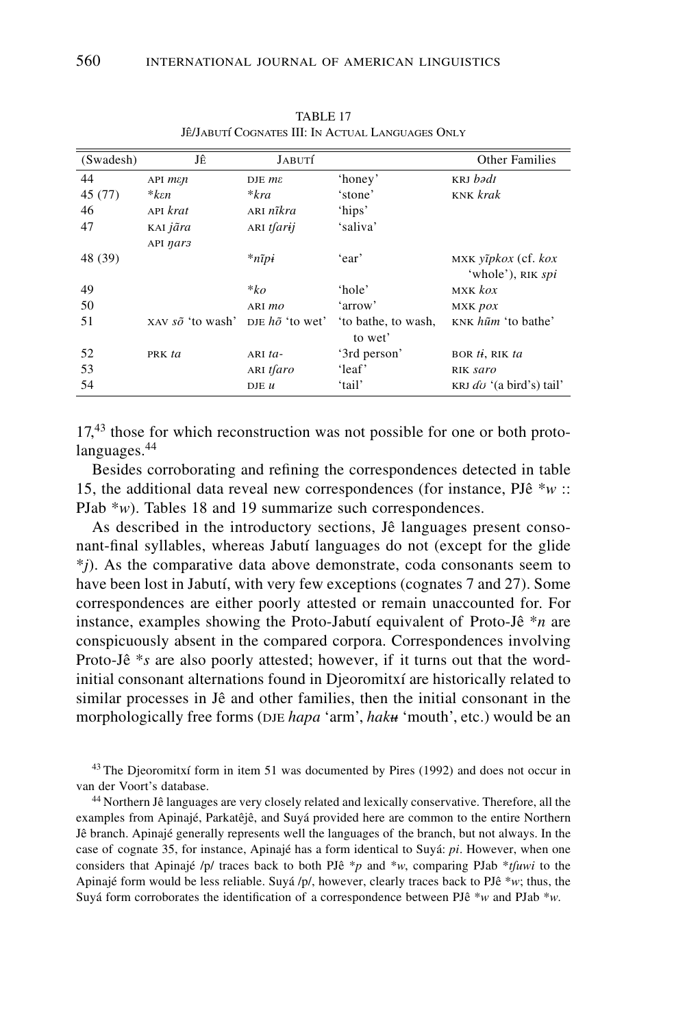| (Swadesh) | JÊ                         | JABUTÍ                    |                    | <b>Other Families</b>           |
|-----------|----------------------------|---------------------------|--------------------|---------------------------------|
| 44        | API men                    | $DJE$ $mc$                | 'honey'            | KRJ <i>b</i> ədi                |
| 45(77)    | $*_{k\epsilon n}$          | *kra                      | 'stone'            | KNK <i>krak</i>                 |
| 46        | API <i>krat</i>            | ARI nikra                 | 'hips'             |                                 |
| 47        | KAI jãra                   | ARI $tfarij$              | 'saliva'           |                                 |
|           | API nars                   |                           |                    |                                 |
| 48 (39)   |                            | $*$ nĩpi                  | 'ear'              | MXK yipkox (cf. kox             |
|           |                            |                           |                    | 'whole'), RIK spi               |
| 49        |                            | $*_{ko}$                  | 'hole'             | $M X K k \alpha x$              |
| 50        |                            | ARI <i>mo</i>             | 'arrow'            | MXK pox                         |
| 51        | $XAV S\tilde{o}$ 'to wash' | DIE $h\tilde{o}$ 'to wet' | to bathe, to wash, | KNK hũm 'to bathe'              |
|           |                            |                           | to wet'            |                                 |
| 52        | PRK ta                     | $ARI$ ta-                 | '3rd person'       | BOR ti, RIK ta                  |
| 53        |                            | ARI $tfaro$               | 'leaf'             | RIK saro                        |
| 54        |                            | $DJE$ $u$                 | 'tail'             | KRJ $d\sigma$ '(a bird's) tail' |

TABLE 17 Jê/Jabutí Cognates III: In Actual Languages Only

17,<sup>43</sup> those for which reconstruction was not possible for one or both protolanguages.<sup>44</sup>

Besides corroborating and refining the correspondences detected in table 15, the additional data reveal new correspondences (for instance, PJê \**w* :: PJab \**w*). Tables 18 and 19 summarize such correspondences.

As described in the introductory sections, Jê languages present consonant-final syllables, whereas Jabutí languages do not (except for the glide \**j*). As the comparative data above demonstrate, coda consonants seem to have been lost in Jabutí, with very few exceptions (cognates 7 and 27). Some correspondences are either poorly attested or remain unaccounted for. For instance, examples showing the Proto-Jabutí equivalent of Proto-Jê \**n* are conspicuously absent in the compared corpora. Correspondences involving Proto-Jê \**s* are also poorly attested; however, if it turns out that the wordinitial consonant alternations found in Djeoromitxí are historically related to similar processes in Jê and other families, then the initial consonant in the morphologically free forms (DJE *hapa* 'arm', *hak*<sup> $\mu$ </sup> 'mouth', etc.) would be an

<sup>43</sup> The Djeoromitxí form in item 51 was documented by Pires (1992) and does not occur in van der Voort's database.

44 Northern Jê languages are very closely related and lexically conservative. Therefore, all the examples from Apinajé, Parkatêjê, and Suyá provided here are common to the entire Northern Jê branch. Apinajé generally represents well the languages of the branch, but not always. In the case of cognate 35, for instance, Apinajé has a form identical to Suyá: *pi*. However, when one considers that Apinajé /p/ traces back to both PJê  $\ast p$  and  $\ast w$ , comparing PJab  $\ast$ *tfuwi* to the Apinajé form would be less reliable. Suyá /p/, however, clearly traces back to PJê \**w*; thus, the Suyá form corroborates the identification of a correspondence between PJê \**w* and PJab \**w*.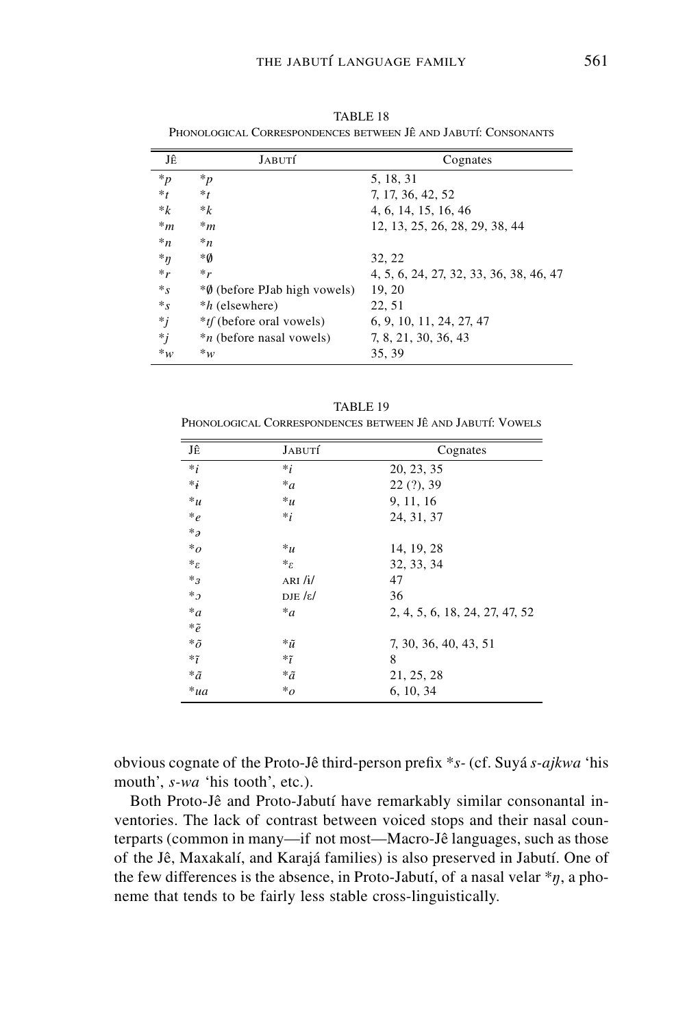| JÊ       | <b>JABUTÍ</b>                    | Cognates                                |
|----------|----------------------------------|-----------------------------------------|
| $\ast_p$ | $\ast_p$                         | 5, 18, 31                               |
| $*_t$    | $*_t$                            | 7, 17, 36, 42, 52                       |
| $*_{k}$  | $*_{k}$                          | 4, 6, 14, 15, 16, 46                    |
| $*_{m}$  | $*_{m}$                          | 12, 13, 25, 26, 28, 29, 38, 44          |
| $n^*$    | $n^*$                            |                                         |
| $*\eta$  | ∗Ø                               | 32, 22                                  |
| $*_r$    | r                                | 4, 5, 6, 24, 27, 32, 33, 36, 38, 46, 47 |
| $*_{S}$  | *Ø (before PJab high vowels)     | 19.20                                   |
| $*_{S}$  | $*h$ (elsewhere)                 | 22, 51                                  |
| *j       | <i>*tf</i> (before oral vowels)  | 6, 9, 10, 11, 24, 27, 47                |
| *j       | * <i>n</i> (before nasal vowels) | 7, 8, 21, 30, 36, 43                    |
| $*_{w}$  | $\ast_{W}$                       | 35.39                                   |

TABLE 18 Phonological Correspondences between Jê and Jabutí: Consonants

TABLE 19 Phonological Correspondences between Jê and Jabutí: Vowels

| JÊ                | <b>JABUTÍ</b>                   | Cognates                       |
|-------------------|---------------------------------|--------------------------------|
| $*_i$             | $*_i$                           | 20, 23, 35                     |
| $*_i$             | $a^*a$                          | $22(?)$ , 39                   |
| $*_{\mathcal{U}}$ | $*_{\mathcal{U}}$               | 9, 11, 16                      |
| $e^*$             | $*_i$                           | 24, 31, 37                     |
| $*_3$             |                                 |                                |
| $^*$ o            | $*_{u}$                         | 14, 19, 28                     |
| $*_\varepsilon$   | $*_c$                           | 32, 33, 34                     |
| $*_{3}$           | $ARI/\frac{1}{4}$               | 47                             |
| $*_{\mathcal{D}}$ | DJE $\frac{\epsilon}{\epsilon}$ | 36                             |
| $^*a$             | $a^*a$                          | 2, 4, 5, 6, 18, 24, 27, 47, 52 |
| $*\tilde{e}$      |                                 |                                |
| $*\tilde{o}$      | *ũ                              | 7, 30, 36, 40, 43, 51          |
| $*\tilde{i}$      | $\ddot{r}$                      | 8                              |
| ${}^*\tilde{a}$   | ${}^*\tilde{a}$                 | 21, 25, 28                     |
| $*ua$             | $^*o$                           | 6, 10, 34                      |

obvious cognate of the Proto-Jê third-person prefix \**s-* (cf. Suyá *s-ajkwa* 'his mouth', *s-wa* 'his tooth', etc.).

Both Proto-Jê and Proto-Jabutí have remarkably similar consonantal inventories. The lack of contrast between voiced stops and their nasal counterparts (common in many—if not most—Macro-Jê languages, such as those of the Jê, Maxakalí, and Karajá families) is also preserved in Jabutí. One of the few differences is the absence, in Proto-Jabutí, of a nasal velar  $*_y$ , a phoneme that tends to be fairly less stable cross-linguistically.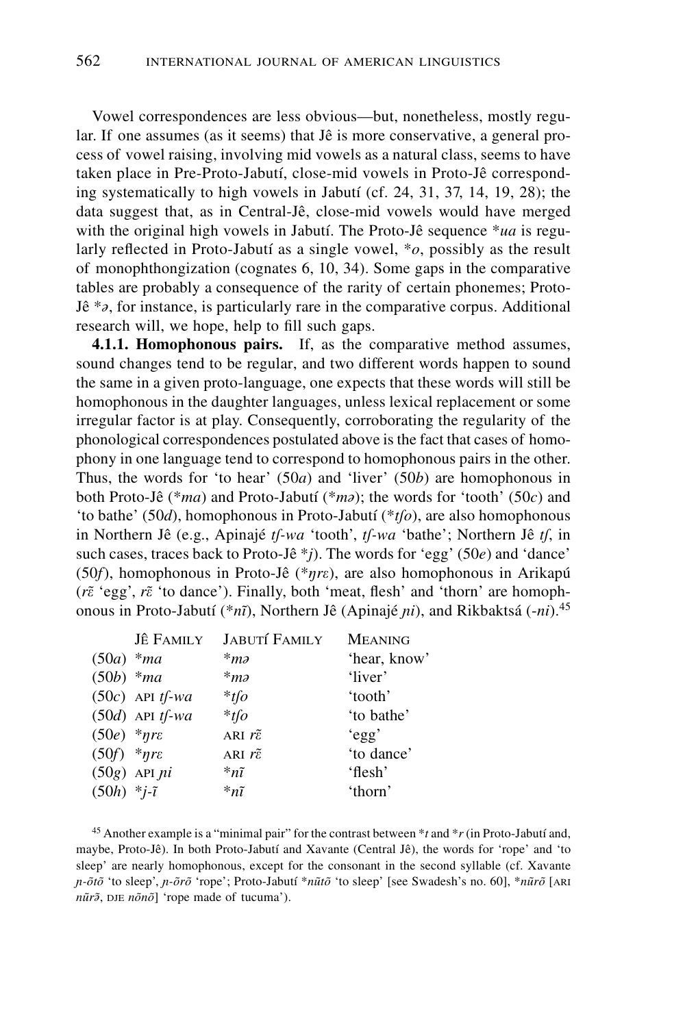Vowel correspondences are less obvious—but, nonetheless, mostly regular. If one assumes (as it seems) that Jê is more conservative, a general process of vowel raising, involving mid vowels as a natural class, seems to have taken place in Pre-Proto-Jabutí, close-mid vowels in Proto-Jê corresponding systematically to high vowels in Jabutí (cf. 24, 31, 37, 14, 19, 28); the data suggest that, as in Central-Jê, close-mid vowels would have merged with the original high vowels in Jabutí. The Proto-Jê sequence \**ua* is regularly reflected in Proto-Jabutí as a single vowel, \**o*, possibly as the result of monophthongization (cognates 6, 10, 34). Some gaps in the comparative tables are probably a consequence of the rarity of certain phonemes; Proto-Jê  $*_{\partial}$ , for instance, is particularly rare in the comparative corpus. Additional research will, we hope, help to fill such gaps.

**4.1.1. Homophonous pairs.** If, as the comparative method assumes, sound changes tend to be regular, and two different words happen to sound the same in a given proto-language, one expects that these words will still be homophonous in the daughter languages, unless lexical replacement or some irregular factor is at play. Consequently, corroborating the regularity of the phonological correspondences postulated above is the fact that cases of homophony in one language tend to correspond to homophonous pairs in the other. Thus, the words for 'to hear' (50*a*) and 'liver' (50*b*) are homophonous in both Proto-Jê (\**ma*) and Proto-Jabutí (\**m´*); the words for 'tooth' (50*c*) and 'to bathe' (50*d*), homophonous in Proto-Jabutí ( $*(f\rho)$ , are also homophonous in Northern Jê (e.g., Apinajé *tf*-wa 'tooth', *tf*-wa 'bathe'; Northern Jê *tf*, in such cases, traces back to Proto-Jê \**j*). The words for 'egg' (50*e*) and 'dance' (50*f*), homophonous in Proto-Jê (\**NrE*), are also homophonous in Arikapú ( $r\tilde{\epsilon}$  'egg',  $r\tilde{\epsilon}$  'to dance'). Finally, both 'meat, flesh' and 'thorn' are homophonous in Proto-Jabutí (\**n*ĩ), Northern Jê (Apinajé *ni*), and Rikbaktsá (-*ni*).<sup>45</sup>

|                                | <b>JÊ FAMILY</b>     | <b>JABUTÍ FAMILY</b>       | <b>MEANING</b> |
|--------------------------------|----------------------|----------------------------|----------------|
| $(50a)$ *ma                    |                      | $*_{ma}$                   | 'hear, know'   |
| $(50b)$ *ma                    |                      | $*_{m_{\partial}}$         | 'liver'        |
|                                | $(50c)$ API $tf$ -wa | $*$ tfo                    | 'tooth'        |
|                                | $(50d)$ API $tf$ -wa | $*$ tfo                    | 'to bathe'     |
| $(50e)$ * $\eta r \varepsilon$ |                      | ARI $r\tilde{\varepsilon}$ | 'egg'          |
| $(50f)$ *nrε                   |                      | ARI $r\tilde{\varepsilon}$ | 'to dance'     |
|                                | $(50g)$ API $ni$     | $n\tilde{i}$               | 'flesh'        |
| $(50h) *j-\tilde{i}$           |                      | $*_{n\tilde{\imath}}$      | 'thorn'        |

45 Another example is a "minimal pair" for the contrast between \**t* and \**r* (in Proto-Jabutí and, maybe, Proto-Jê). In both Proto-Jabutí and Xavante (Central Jê), the words for 'rope' and 'to sleep' are nearly homophonous, except for the consonant in the second syllable (cf. Xavante n-õtõ 'to sleep', n-õrõ 'rope'; Proto-Jabutí \*nũtõ 'to sleep' [see Swadesh's no. 60], \*nũrõ [ARI  $n\tilde{u}r\tilde{\delta}$ , DJE  $n\tilde{\delta}n\tilde{\delta}$  'rope made of tucuma').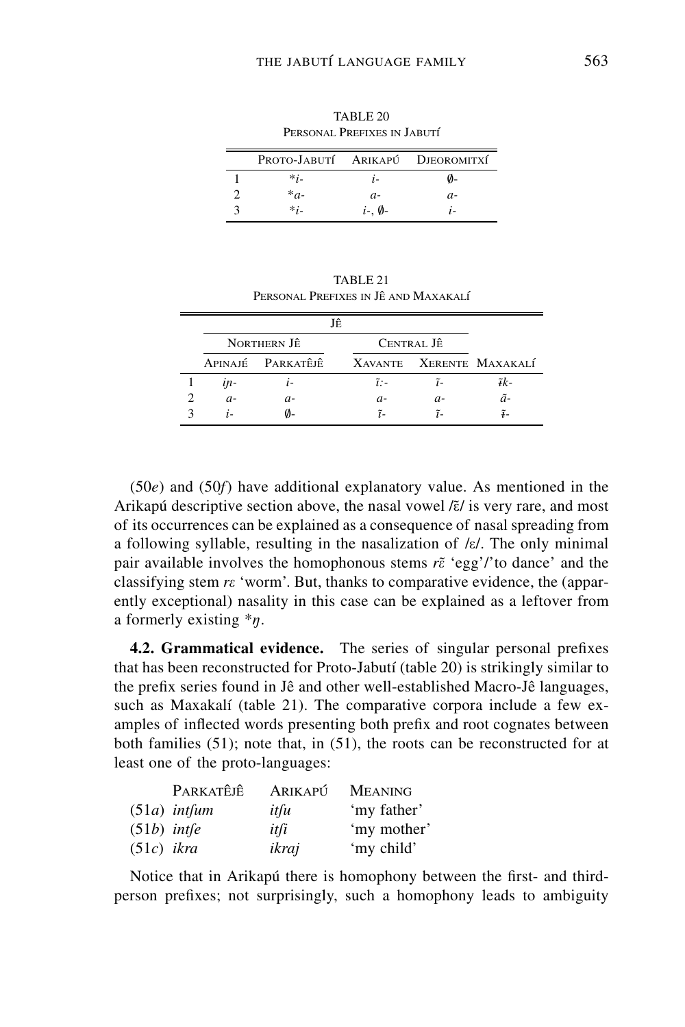| PROTO-JABUTÍ ARIKAPÚ DJEOROMITXÍ |         |      |
|----------------------------------|---------|------|
| $*_{i-}$                         |         | ທ-   |
| $a$ -                            | $a-$    | $a-$ |
| $*_{i}$                          | $i - 0$ |      |

TABLE 20 Personal Prefixes in Jabutí

TABLE 21 Personal Prefixes in Jê and Maxakalí

|                    |                   | Jê            |                        |                          |
|--------------------|-------------------|---------------|------------------------|--------------------------|
| <b>NORTHERN JE</b> |                   |               |                        |                          |
|                    | APINAJÉ PARKATÊJÊ |               |                        | XAVANTE XERENTE MAXAKALÍ |
| $in$ -             |                   | $\tilde{i}$ . | ĩ-                     | ĩk-                      |
| $a-$               | $a-$              | $a-$          | $a-$                   | $\tilde{a}$ -            |
| $1 -$              | n-                | ĩ-            | $\tilde{\mathbf{r}}$ - |                          |

(50*e*) and (50*f*) have additional explanatory value. As mentioned in the Arikapú descriptive section above, the nasal vowel  $\frac{1}{\epsilon}$  is very rare, and most of its occurrences can be explained as a consequence of nasal spreading from a following syllable, resulting in the nasalization of  $\frac{\xi}{\xi}$ . The only minimal pair available involves the homophonous stems  $r\tilde{\epsilon}$  'egg'/'to dance' and the classifying stem *rE* 'worm'. But, thanks to comparative evidence, the (apparently exceptional) nasality in this case can be explained as a leftover from a formerly existing \**N*.

**4.2. Grammatical evidence.** The series of singular personal prefixes that has been reconstructed for Proto-Jabutí (table 20) is strikingly similar to the prefix series found in Jê and other well-established Macro-Jê languages, such as Maxakalí (table 21). The comparative corpora include a few examples of inflected words presenting both prefix and root cognates between both families (51); note that, in (51), the roots can be reconstructed for at least one of the proto-languages:

|               | PARKATÊJÊ      | ARIKAPÚ | <b>MEANING</b> |
|---------------|----------------|---------|----------------|
|               | $(51a)$ intfum | itſu    | 'my father'    |
| $(51b)$ intfe |                | itfi    | 'my mother'    |
| $(51c)$ ikra  |                | ikrai   | 'my child'     |

Notice that in Arikapú there is homophony between the first- and thirdperson prefixes; not surprisingly, such a homophony leads to ambiguity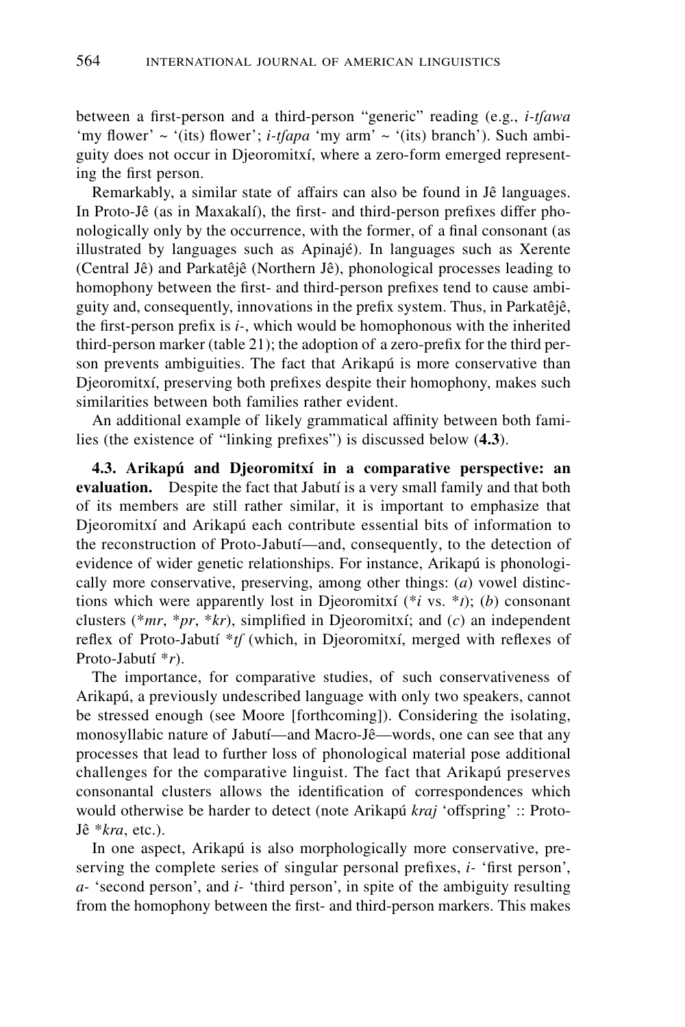between a first-person and a third-person "generic" reading (e.g., *i-tfawa* 'my flower' ~ '(its) flower'; *i-tfapa* 'my arm' ~ '(its) branch'). Such ambiguity does not occur in Djeoromitxí, where a zero-form emerged representing the first person.

Remarkably, a similar state of affairs can also be found in Jê languages. In Proto-Jê (as in Maxakalí), the first- and third-person prefixes differ phonologically only by the occurrence, with the former, of a final consonant (as illustrated by languages such as Apinajé). In languages such as Xerente (Central Jê) and Parkatêjê (Northern Jê), phonological processes leading to homophony between the first- and third-person prefixes tend to cause ambiguity and, consequently, innovations in the prefix system. Thus, in Parkatêjê, the first-person prefix is *i-*, which would be homophonous with the inherited third-person marker (table 21); the adoption of a zero-prefix for the third person prevents ambiguities. The fact that Arikapú is more conservative than Djeoromitxí, preserving both prefixes despite their homophony, makes such similarities between both families rather evident.

An additional example of likely grammatical affinity between both families (the existence of "linking prefixes") is discussed below (**4.3**).

**4.3. Arikapú and Djeoromitxí in a comparative perspective: an evaluation.** Despite the fact that Jabutí is a very small family and that both of its members are still rather similar, it is important to emphasize that Djeoromitxí and Arikapú each contribute essential bits of information to the reconstruction of Proto-Jabutí—and, consequently, to the detection of evidence of wider genetic relationships. For instance, Arikapú is phonologically more conservative, preserving, among other things: (*a*) vowel distinctions which were apparently lost in Djeoromitxí (\**i* vs. \**i*); (*b*) consonant clusters (\**mr*, \**pr*, \**kr*), simplified in Djeoromitxí; and (*c*) an independent reflex of Proto-Jabutí \**tf* (which, in Djeoromitxí, merged with reflexes of Proto-Jabutí \**r*).

The importance, for comparative studies, of such conservativeness of Arikapú, a previously undescribed language with only two speakers, cannot be stressed enough (see Moore [forthcoming]). Considering the isolating, monosyllabic nature of Jabutí—and Macro-Jê—words, one can see that any processes that lead to further loss of phonological material pose additional challenges for the comparative linguist. The fact that Arikapú preserves consonantal clusters allows the identification of correspondences which would otherwise be harder to detect (note Arikapú *kraj* 'offspring' :: Proto-Jê \**kra*, etc.).

In one aspect, Arikapú is also morphologically more conservative, preserving the complete series of singular personal prefixes, *i-* 'first person', *a-* 'second person', and *i-* 'third person', in spite of the ambiguity resulting from the homophony between the first- and third-person markers. This makes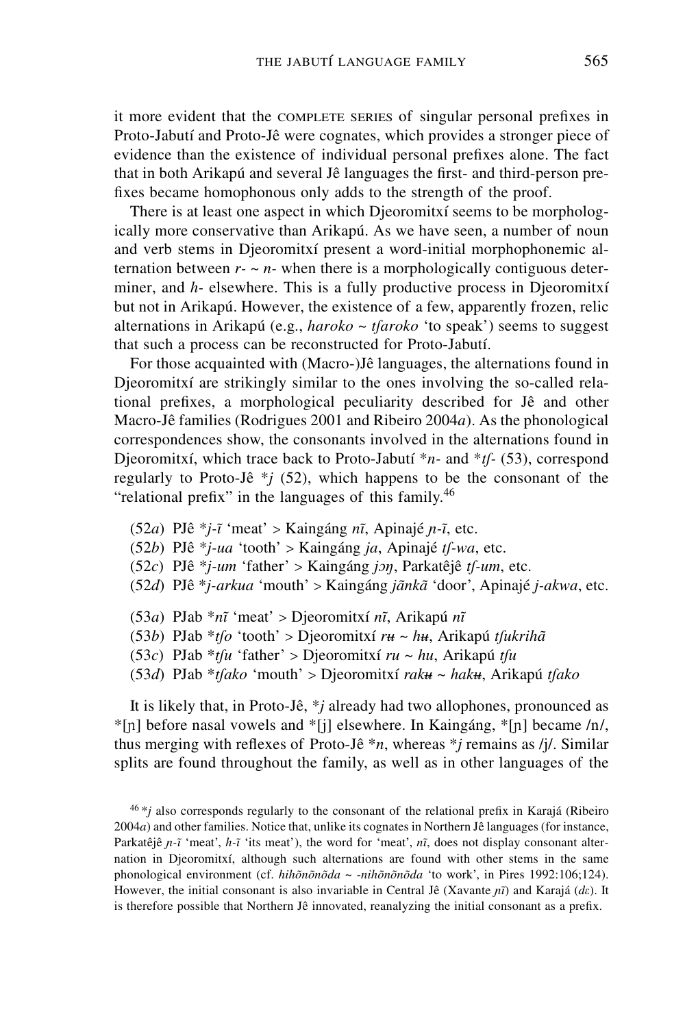it more evident that the COMPLETE SERIES of singular personal prefixes in Proto-Jabutí and Proto-Jê were cognates, which provides a stronger piece of evidence than the existence of individual personal prefixes alone. The fact that in both Arikapú and several Jê languages the first- and third-person prefixes became homophonous only adds to the strength of the proof.

There is at least one aspect in which Djeoromitxí seems to be morphologically more conservative than Arikapú. As we have seen, a number of noun and verb stems in Djeoromitxí present a word-initial morphophonemic alternation between  $r - \gamma$  when there is a morphologically contiguous determiner, and *h-* elsewhere. This is a fully productive process in Djeoromitxí but not in Arikapú. However, the existence of a few, apparently frozen, relic alternations in Arikapú (e.g., *haroko* ~ *tfaroko* 'to speak') seems to suggest that such a process can be reconstructed for Proto-Jabutí.

For those acquainted with (Macro-)Jê languages, the alternations found in Djeoromitxí are strikingly similar to the ones involving the so-called relational prefixes, a morphological peculiarity described for Jê and other Macro-Jê families (Rodrigues 2001 and Ribeiro 2004*a*). As the phonological correspondences show, the consonants involved in the alternations found in Djeoromitxí, which trace back to Proto-Jabutí \**n*- and \**t*<sup> $f$ </sup>- (53), correspond regularly to Proto-Jê  $\frac{*j}{j}$  (52), which happens to be the consonant of the "relational prefix" in the languages of this family.<sup>46</sup>

- (52*a*) PJê \**j*- $\tilde{i}$  'meat' > Kaingáng  $n\tilde{i}$ , Apinajé  $n-\tilde{i}$ , etc.
- (52*b*) PJê \**j-ua* 'tooth' > Kaingáng *ja*, Apinajé *tf-wa*, etc.
- (52*c*) PJê \**j-um* 'father' > Kaingáng *jon*, Parkatêjê *tf-um*, etc.
- (52*d*) PJê \**j-arkua* 'mouth' > Kaingáng *jãnkã* 'door', Apinajé *j-akwa*, etc.
- (53*a*) PJab \**n*i 'meat' > Djeoromitxí *n*i, Arikapú *n*<sup>i</sup>
- (53*b*) PJab \**tfo* 'tooth' > Djeoromitxí  $r\mu \sim h\mu$ , Arikapú *tfukrihã*
- (53*c*) PJab \**tfu* 'father' > Djeoromitxí *ru* ~ *hu*, Arikapú *tfu*
- (53*d*) PJab \**tfako* 'mouth' > Djeoromitxí *rak* $\mu$  ~ *hak* $\mu$ , Arikapú *tfako*

It is likely that, in Proto-Jê, \**j* already had two allophones, pronounced as \*[ˆ] before nasal vowels and \*[j] elsewhere. In Kaingáng, \*[ˆ] became /n/, thus merging with reflexes of Proto-Jê \**n*, whereas \**j* remains as /j/. Similar splits are found throughout the family, as well as in other languages of the

46 \**j* also corresponds regularly to the consonant of the relational prefix in Karajá (Ribeiro 2004*a*) and other families. Notice that, unlike its cognates in Northern Jê languages (for instance, Parkatêjê  $p - \tilde{i}$  'meat',  $h - \tilde{i}$  'its meat'), the word for 'meat',  $n\tilde{i}$ , does not display consonant alternation in Djeoromitxí, although such alternations are found with other stems in the same phonological environment (cf. *hihõnõnõda* ~ -*nihõnõnõda* 'to work', in Pires 1992:106;124). However, the initial consonant is also invariable in Central Jê (Xavante *ˆ*i) and Karajá (*dE*). It is therefore possible that Northern Jê innovated, reanalyzing the initial consonant as a prefix.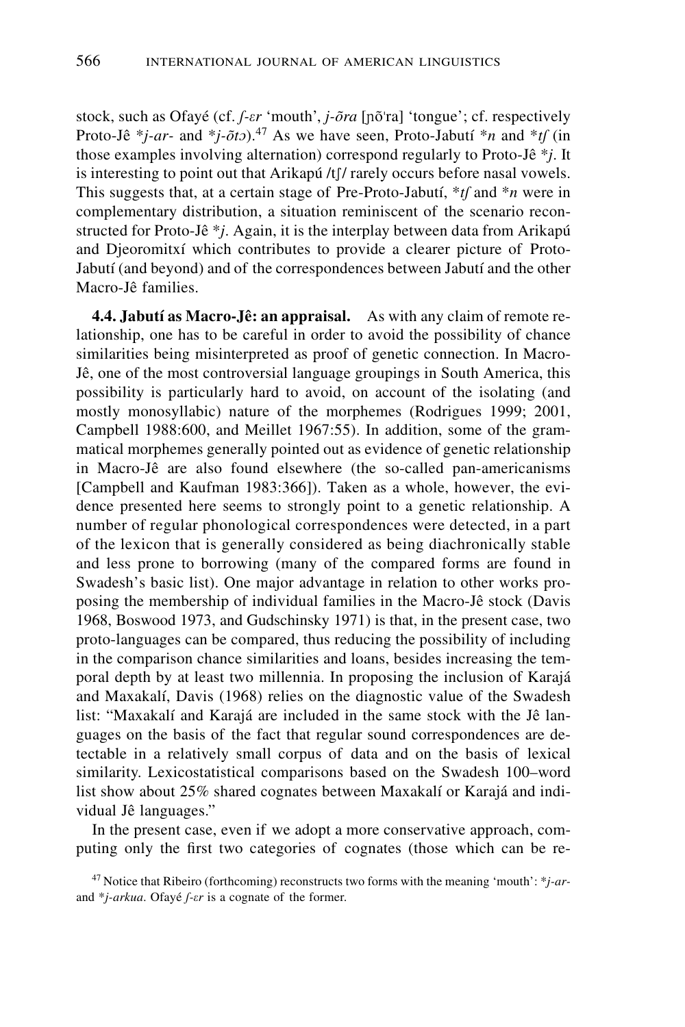stock, such as Ofayé (cf. *f-er* 'mouth', *j-õra* [nõ'ra] 'tongue'; cf. respectively Proto-Jê  $*_{i}ar$ - and  $*_{i}ar$ <sup>-</sup> As we have seen, Proto-Jabutí  $*_{n}$  and  $*_{tf}$  (in those examples involving alternation) correspond regularly to Proto-Jê \**j*. It is interesting to point out that Arikapú  $/t$  arely occurs before nasal vowels. This suggests that, at a certain stage of Pre-Proto-Jabutí, \**tf* and \**n* were in complementary distribution, a situation reminiscent of the scenario reconstructed for Proto-Jê \**j*. Again, it is the interplay between data from Arikapú and Djeoromitxí which contributes to provide a clearer picture of Proto-Jabutí (and beyond) and of the correspondences between Jabutí and the other Macro-Jê families.

**4.4. Jabutí as Macro-Jê: an appraisal.** As with any claim of remote relationship, one has to be careful in order to avoid the possibility of chance similarities being misinterpreted as proof of genetic connection. In Macro-Jê, one of the most controversial language groupings in South America, this possibility is particularly hard to avoid, on account of the isolating (and mostly monosyllabic) nature of the morphemes (Rodrigues 1999; 2001, Campbell 1988:600, and Meillet 1967:55). In addition, some of the grammatical morphemes generally pointed out as evidence of genetic relationship in Macro-Jê are also found elsewhere (the so-called pan-americanisms [Campbell and Kaufman 1983:366]). Taken as a whole, however, the evidence presented here seems to strongly point to a genetic relationship. A number of regular phonological correspondences were detected, in a part of the lexicon that is generally considered as being diachronically stable and less prone to borrowing (many of the compared forms are found in Swadesh's basic list). One major advantage in relation to other works proposing the membership of individual families in the Macro-Jê stock (Davis 1968, Boswood 1973, and Gudschinsky 1971) is that, in the present case, two proto-languages can be compared, thus reducing the possibility of including in the comparison chance similarities and loans, besides increasing the temporal depth by at least two millennia. In proposing the inclusion of Karajá and Maxakalí, Davis (1968) relies on the diagnostic value of the Swadesh list: "Maxakalí and Karajá are included in the same stock with the Jê languages on the basis of the fact that regular sound correspondences are detectable in a relatively small corpus of data and on the basis of lexical similarity. Lexicostatistical comparisons based on the Swadesh 100–word list show about 25% shared cognates between Maxakalí or Karajá and individual Jê languages."

In the present case, even if we adopt a more conservative approach, computing only the first two categories of cognates (those which can be re-

47 Notice that Ribeiro (forthcoming) reconstructs two forms with the meaning 'mouth': \**j-ar*and \**j-arkua*. Ofayé *f-* $\epsilon r$  is a cognate of the former.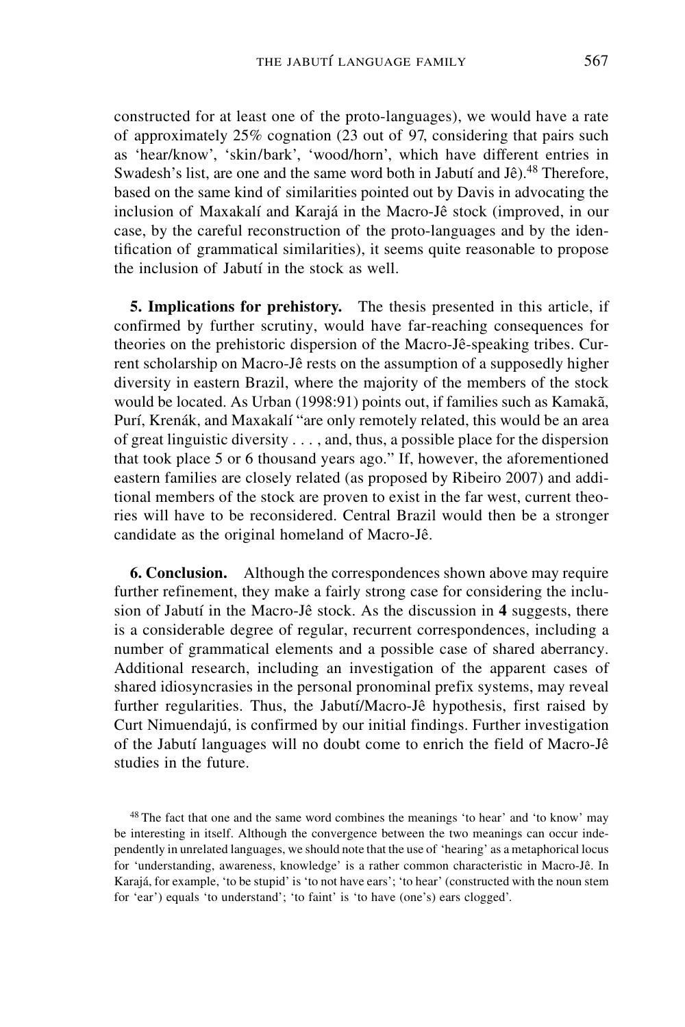constructed for at least one of the proto-languages), we would have a rate of approximately 25% cognation (23 out of 97, considering that pairs such as 'hear/know', 'skin/bark', 'wood/horn', which have different entries in Swadesh's list, are one and the same word both in Jabutí and Jê).<sup>48</sup> Therefore, based on the same kind of similarities pointed out by Davis in advocating the inclusion of Maxakalí and Karajá in the Macro-Jê stock (improved, in our case, by the careful reconstruction of the proto-languages and by the identification of grammatical similarities), it seems quite reasonable to propose the inclusion of Jabutí in the stock as well.

**5. Implications for prehistory.** The thesis presented in this article, if confirmed by further scrutiny, would have far-reaching consequences for theories on the prehistoric dispersion of the Macro-Jê-speaking tribes. Current scholarship on Macro-Jê rests on the assumption of a supposedly higher diversity in eastern Brazil, where the majority of the members of the stock would be located. As Urban (1998:91) points out, if families such as Kamakã, Purí, Krenák, and Maxakalí "are only remotely related, this would be an area of great linguistic diversity . . . , and, thus, a possible place for the dispersion that took place 5 or 6 thousand years ago." If, however, the aforementioned eastern families are closely related (as proposed by Ribeiro 2007) and additional members of the stock are proven to exist in the far west, current theories will have to be reconsidered. Central Brazil would then be a stronger candidate as the original homeland of Macro-Jê.

**6. Conclusion.** Although the correspondences shown above may require further refinement, they make a fairly strong case for considering the inclusion of Jabutí in the Macro-Jê stock. As the discussion in **4** suggests, there is a considerable degree of regular, recurrent correspondences, including a number of grammatical elements and a possible case of shared aberrancy. Additional research, including an investigation of the apparent cases of shared idiosyncrasies in the personal pronominal prefix systems, may reveal further regularities. Thus, the Jabutí/Macro-Jê hypothesis, first raised by Curt Nimuendajú, is confirmed by our initial findings. Further investigation of the Jabutí languages will no doubt come to enrich the field of Macro-Jê studies in the future.

<sup>&</sup>lt;sup>48</sup> The fact that one and the same word combines the meanings 'to hear' and 'to know' may be interesting in itself. Although the convergence between the two meanings can occur independently in unrelated languages, we should note that the use of 'hearing' as a metaphorical locus for 'understanding, awareness, knowledge' is a rather common characteristic in Macro-Jê. In Karajá, for example, 'to be stupid' is 'to not have ears'; 'to hear' (constructed with the noun stem for 'ear') equals 'to understand'; 'to faint' is 'to have (one's) ears clogged'.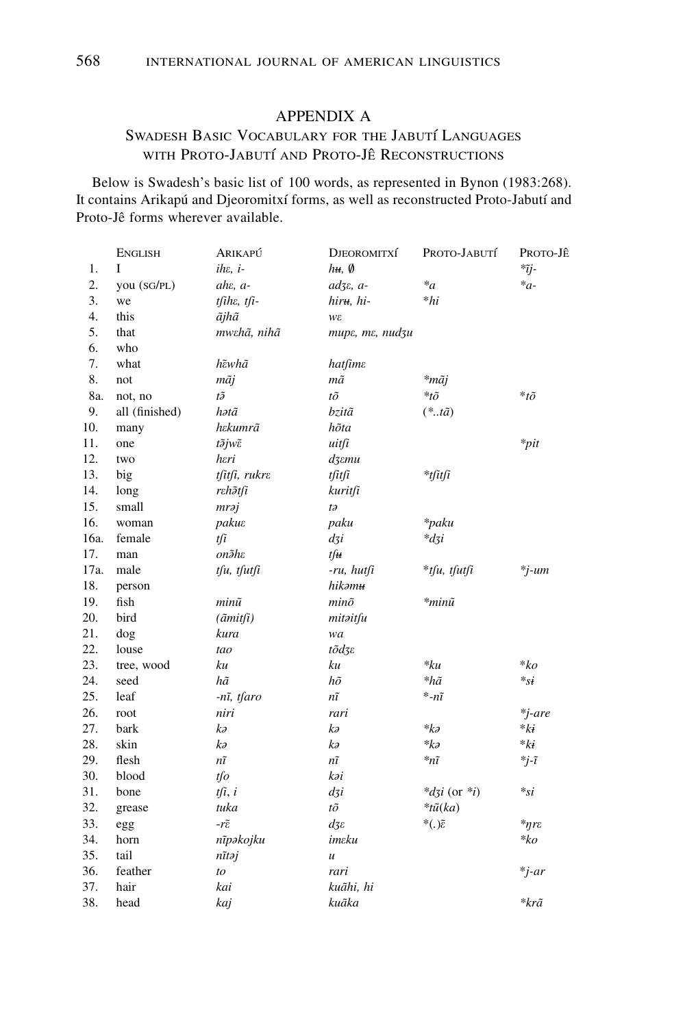# APPENDIX A

## Swadesh Basic Vocabulary for the Jabutí Languages with Proto-Jabutí and Proto-Jê Reconstructions

Below is Swadesh's basic list of 100 words, as represented in Bynon (1983:268). It contains Arikapú and Djeoromitxí forms, as well as reconstructed Proto-Jabutí and Proto-Jê forms wherever available.

|      | <b>ENGLISH</b> | ARIKAPÚ                         | <b>DJEOROMITXÍ</b>                                     | PROTO-JABUTÍ                      | PROTO-JÊ                 |
|------|----------------|---------------------------------|--------------------------------------------------------|-----------------------------------|--------------------------|
| 1.   | I              | $i$ h $\varepsilon$ , $i$ -     | $h_{\mathcal{H}}, \emptyset$                           |                                   | $*_{\tilde{U}}$ -        |
| 2.   | you (SG/PL)    | ahe, a-                         | $ad\zeta\epsilon$ , $a$ -                              | $a^*a$                            | $a$ -                    |
| 3.   | we             | $t$ fih $\varepsilon$ , $t$ fi- | hiru, hi-                                              | $*hi$                             |                          |
| 4.   | this           | ãihã                            | wε                                                     |                                   |                          |
| 5.   | that           | mwehã, nihã                     | $m\mu p\varepsilon$ , $m\varepsilon$ , $n\mu d\zeta u$ |                                   |                          |
| 6.   | who            |                                 |                                                        |                                   |                          |
| 7.   | what           | hĩwhã                           | hatfime                                                |                                   |                          |
| 8.   | not            | mãj                             | $m\tilde{a}$                                           | *mãj                              |                          |
| 8a.  | not, no        | $t\tilde{\partial}$             | $t\tilde{o}$                                           | $*_{t\tilde{o}}$                  | $*_{t\tilde{o}}$         |
| 9.   | all (finished) | hətã                            | bzitã                                                  | $(*t\tilde{a})$                   |                          |
| 10.  | many           | hekumrã                         | hõta                                                   |                                   |                          |
| 11.  | one            | tõjwe                           | uitfi                                                  |                                   | *pit                     |
| 12.  | two            | heri                            | $d$ z $\epsilon$ mu                                    |                                   |                          |
| 13.  | big            | tfitfi, rukre                   | tfitfi                                                 | $*$ tfitfi                        |                          |
| 14.  | long           | rehõtfi                         | kuritfi                                                |                                   |                          |
| 15.  | small          | mrəj                            | $t\partial$                                            |                                   |                          |
| 16.  | woman          | pakue                           | paku                                                   | $*$ paku                          |                          |
| 16a. | female         | t/i                             | dzi                                                    | $*dzi$                            |                          |
| 17.  | man            | onãhe                           | $t/\mathcal{H}$                                        |                                   |                          |
| 17a. | male           | $t$ fu, $t$ futfi               | -ru, hutfi                                             | *tfu, tfutfi                      | $*i$ -um                 |
| 18.  | person         |                                 | hikəmu                                                 |                                   |                          |
| 19.  | fish           | minũ                            | $min\tilde{o}$                                         | $*min\tilde{u}$                   |                          |
| 20.  | bird           | $(\tilde{a}mit\tilde{f})$       | mitaitfu                                               |                                   |                          |
| 21.  | dog            | kura                            | wa                                                     |                                   |                          |
| 22.  | louse          | tao                             | tõdze                                                  |                                   |                          |
| 23.  | tree, wood     | kи                              | ku                                                     | $*ku$                             | $*ko$                    |
| 24.  | seed           | hã                              | hõ                                                     | *hã                               | $*_{{\mathit{Si}}}$      |
| 25.  | leaf           | - $n\tilde{\imath}$ , tfaro     | $n\tilde{\imath}$                                      | $*$ -nĩ                           |                          |
| 26.  | root           | niri                            | rari                                                   |                                   | *j-are                   |
| 27.  | bark           | kә                              | kә                                                     | $\ast k$                          | $*_{ki}$                 |
| 28.  | skin           | kә                              | kә                                                     | $*_{k2}$                          | $*_{ki}$                 |
| 29.  | flesh          | nĩ                              | nĩ                                                     | *nĩ                               | $*_{i-i}$                |
| 30.  | blood          | $t \int_0$                      | kəi                                                    |                                   |                          |
| 31.  | bone           | t/i, i                          | dzi                                                    | $*dj$ <i>i</i> (or $*$ <i>i</i> ) | $*_{{\mathfrak s} i}$    |
| 32.  | grease         | tuka                            | $t\tilde{o}$                                           | $*$ tũ(ka)                        |                          |
| 33.  | egg            | -r̃č                            | $d$ 3 $\varepsilon$                                    | $*(.)\tilde{\varepsilon}$         | $*_{\eta r \varepsilon}$ |
| 34.  | horn           | nīpakojku                       | imeku                                                  |                                   | $*_{ko}$                 |
| 35.  | tail           | nĩtəj                           | $\mathfrak u$                                          |                                   |                          |
| 36.  | feather        | to                              | rari                                                   |                                   | $*$ j-ar                 |
| 37.  | hair           | kai                             | kuãhi, hi                                              |                                   |                          |
| 38.  | head           | kaj                             | kuãka                                                  |                                   | *krã                     |
|      |                |                                 |                                                        |                                   |                          |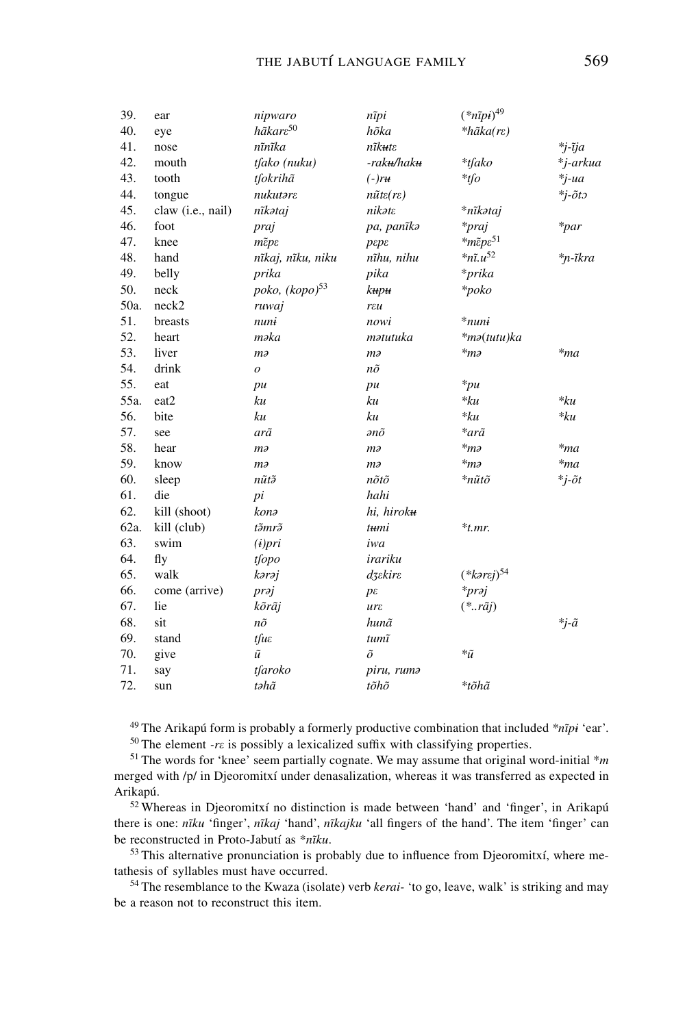| 39.  | ear               | nipwaro                         | nĩpi                                       | $(*n\tilde{\iota}pi)^{49}$            |                     |
|------|-------------------|---------------------------------|--------------------------------------------|---------------------------------------|---------------------|
| 40.  | eye               | hãkars <sup>50</sup>            | hõka                                       | *hãka(rɛ)                             |                     |
| 41.  | nose              | nĩnĩka                          | nīkute                                     |                                       | $*$ j-ĩja           |
| 42.  | mouth             | tfako (nuku)                    | -raku/haku                                 | $*$ tfako                             | *j-arkua            |
| 43.  | tooth             | tfokrihã                        | $(-)r$ <i>H</i>                            | $*$ tfo                               | $*j$ -ua            |
| 44.  | tongue            | nukutəre                        | $n\tilde{u}$ t $\varepsilon(r\varepsilon)$ |                                       | $*$ j-õt $\sigma$   |
| 45.  | claw (i.e., nail) | nikataj                         | nikəte                                     | *nĩkətaj                              |                     |
| 46.  | foot              | praj                            | pa, panīka                                 | *praj                                 | $*_{par}$           |
| 47.  | knee              | $m\tilde{\epsilon}p\varepsilon$ | рере                                       | $*$ m $\varepsilon p\varepsilon^{51}$ |                     |
| 48.  | hand              | nīkaj, nīku, niku               | nĩhu, nihu                                 | $*n\tilde{\iota}.u^{52}$              | *n-ĩkra             |
| 49.  | belly             | prika                           | pika                                       | *prika                                |                     |
| 50.  | neck              | poko, (kopo) <sup>53</sup>      | k <del>u</del> p <del>u</del>              | $*_{poko}$                            |                     |
| 50a. | neck2             | ruwaj                           | reu                                        |                                       |                     |
| 51.  | breasts           | nuni                            | nowi                                       | $*$ nuni                              |                     |
| 52.  | heart             | məka                            | mətutuka                                   | *mə(tutu)ka                           |                     |
| 53.  | liver             | m <sub>∂</sub>                  | mə                                         | *mə                                   | $*_{ma}$            |
| 54.  | drink             | $\boldsymbol{o}$                | nõ                                         |                                       |                     |
| 55.  | eat               | pu                              | pu                                         | $*_{pu}$                              |                     |
| 55a. | eat2              | ku                              | kи                                         | *ku                                   | $*ku$               |
| 56.  | bite              | kи                              | kи                                         | $*ku$                                 | $*ku$               |
| 57.  | see               | arã                             | ənõ                                        | *arã                                  |                     |
| 58.  | hear              | mә                              | mə                                         | $*_{m\partial}$                       | $*_{ma}$            |
| 59.  | know              | тә                              | mə                                         | *mə                                   | $*_{ma}$            |
| 60.  | sleep             | nũtõ                            | $n\tilde{o} t\tilde{o}$                    | $*$ nũtõ                              | $*j$ - $\tilde{o}t$ |
| 61.  | die               | pi                              | hahi                                       |                                       |                     |
| 62.  | kill (shoot)      | konə                            | hi, hiroku                                 |                                       |                     |
| 62a. | kill (club)       | təmrə                           | t <del>u</del> mi                          | $*_{t.mr.}$                           |                     |
| 63.  | swim              | (i) pri                         | iwa                                        |                                       |                     |
| 64.  | fly               | tfopo                           | irariku                                    |                                       |                     |
| 65.  | walk              | kərəj                           | dzekire                                    | $(*karej)$ <sup>54</sup>              |                     |
| 66.  | come (arrive)     | prəj                            | $p\varepsilon$                             | *prəj                                 |                     |
| 67.  | lie               | kõrãj                           | ure                                        | $(*.r\tilde{a}j)$                     |                     |
| 68.  | sit               | $n\tilde{o}$                    | hunã                                       |                                       | $*_{i-\tilde{a}}$   |
| 69.  | stand             | $t$ fu $\varepsilon$            | tumĩ                                       |                                       |                     |
| 70.  | give              | ũ                               | $\tilde{o}$                                | $\ddot{\tilde{u}}$                    |                     |
| 71.  | say               | tfaroko                         | piru, rumə                                 |                                       |                     |
| 72.  | sun               | təhã                            | tõhõ                                       | *tõhã                                 |                     |

<sup>49</sup> The Arikapú form is probably a formerly productive combination that included  $*n\tilde{i}pi$ <sup>*'*</sup>ear'.  $50$  The element *-r* $\epsilon$  is possibly a lexicalized suffix with classifying properties.

51 The words for 'knee' seem partially cognate. We may assume that original word-initial \**m* merged with /p/ in Djeoromitxí under denasalization, whereas it was transferred as expected in Arikapú.

52 Whereas in Djeoromitxí no distinction is made between 'hand' and 'finger', in Arikapú there is one: *n*i*ku* 'finger', *n*i*kaj* 'hand', *n*i*kajku* 'all fingers of the hand'. The item 'finger' can be reconstructed in Proto-Jabutí as \**n*i*ku*.

<sup>53</sup> This alternative pronunciation is probably due to influence from Djeoromitxí, where metathesis of syllables must have occurred.

54 The resemblance to the Kwaza (isolate) verb *kerai-* 'to go, leave, walk' is striking and may be a reason not to reconstruct this item.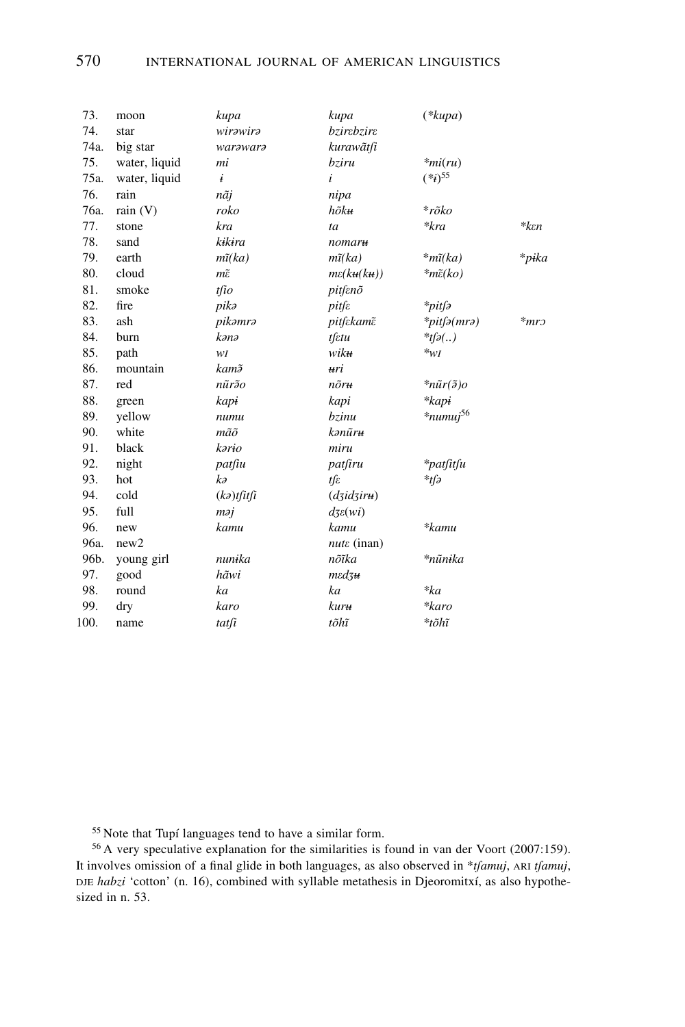| 73.  | moon          | kupa                 | kupa                                       | $(*kupa)$                                    |  |
|------|---------------|----------------------|--------------------------------------------|----------------------------------------------|--|
| 74.  | star          | wirəwirə             | bzirebzire                                 |                                              |  |
| 74a. | big star      | warəwarə             | kurawãtfi                                  |                                              |  |
| 75.  | water, liquid | mi                   | bziru                                      | $*mi(ru)$                                    |  |
| 75a. | water, liquid | į                    | i                                          | $(*_i)^{55}$                                 |  |
| 76.  | rain          | nãj                  | nipa                                       |                                              |  |
| 76a. | rain $(V)$    | roko                 | hõk <del>u</del>                           | *rõko                                        |  |
| 77.  | stone         | kra                  | ta                                         | *kra<br>$*_{\mathit{k\epsilon n}}$           |  |
| 78.  | sand          | kikira               | nomaru                                     |                                              |  |
| 79.  | earth         | $m\tilde{\iota}(ka)$ | $m\tilde{\iota}(ka)$                       | $*m̃(ka)$<br>$*$ pika                        |  |
| 80.  | cloud         | mẽ                   | $m\varepsilon(k\mathcal{H}(k\mathcal{H}))$ | $*$ m $\tilde{\epsilon}$ (ko)                |  |
| 81.  | smoke         | tfio                 | pitfenõ                                    |                                              |  |
| 82.  | fire          | pikə                 | $pit \epsilon$                             | $*$ pitfə                                    |  |
| 83.  | ash           | pikəmrə              | pitfekame                                  | $*pif_{\partial}(m r_{\partial})$<br>$*$ mro |  |
| 84.  | burn          | kənə                 | $t$ f $\epsilon$ tu                        | $*$ t $\beta(.)$                             |  |
| 85.  | path          | $W\!I$               | wiku                                       | $*_{WI}$                                     |  |
| 86.  | mountain      | kamõ                 | нri                                        |                                              |  |
| 87.  | red           | nũrõo                | nõr <del>u</del>                           | $*n\tilde{u}r(\tilde{a})o$                   |  |
| 88.  | green         | kapi                 | kapi                                       | $*kapi$                                      |  |
| 89.  | yellow        | numu                 | bzinu                                      | $*$ numuj <sup>56</sup>                      |  |
| 90.  | white         | mãõ                  | kənüru                                     |                                              |  |
| 91.  | black         | kərio                | miru                                       |                                              |  |
| 92.  | night         | patfiu               | patfiru                                    | $*$ <i>patfitfu</i>                          |  |
| 93.  | hot           | kә                   | $t/\varepsilon$                            | $*$ tsə                                      |  |
| 94.  | cold          | $(k\partial)$ tfitfi | (dzidziru)                                 |                                              |  |
| 95.  | full          | məj                  | $d\mathfrak{z}\varepsilon(wi)$             |                                              |  |
| 96.  | new           | kamu                 | kamu                                       | $*$ kamu                                     |  |
| 96a. | new2          |                      | $nute$ (inan)                              |                                              |  |
| 96b. | young girl    | nunika               | nõĩka                                      | *nũnika                                      |  |
| 97.  | good          | hãwi                 | $medz$ #                                   |                                              |  |
| 98.  | round         | ka                   | ka                                         | $*ka$                                        |  |
| 99.  | dry           | karo                 | <i>kur</i> u                               | *karo                                        |  |
| 100. | name          | tatfi                | tõhĩ                                       | $*$ tõhĩ                                     |  |

55 Note that Tupí languages tend to have a similar form.

56 A very speculative explanation for the similarities is found in van der Voort (2007:159). It involves omission of a final glide in both languages, as also observed in \**t*/*amuj*, ARI *t*/*amuj*, DJE habzi 'cotton' (n. 16), combined with syllable metathesis in Djeoromitxí, as also hypothesized in n. 53.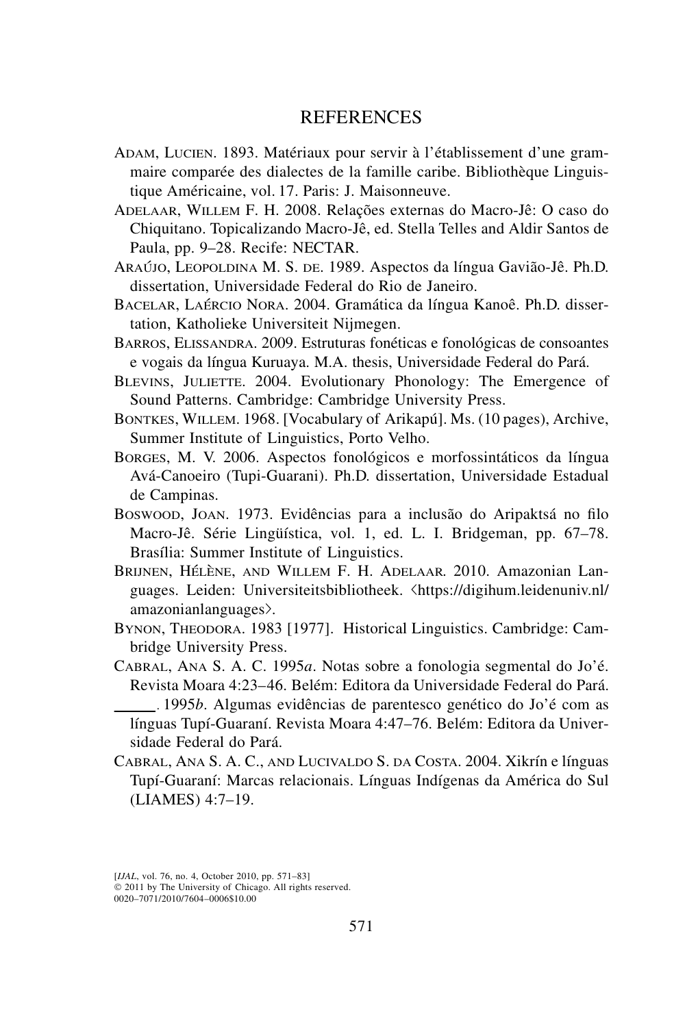## REFERENCES

- ADAM, LUCIEN. 1893. Matériaux pour servir à l'établissement d'une grammaire comparée des dialectes de la famille caribe. Bibliothèque Linguistique Américaine, vol. 17. Paris: J. Maisonneuve.
- Adelaar, Willem F. H. 2008. Relações externas do Macro-Jê: O caso do Chiquitano. Topicalizando Macro-Jê, ed. Stella Telles and Aldir Santos de Paula, pp. 9–28. Recife: NECTAR.
- Araújo, Leopoldina M. S. de. 1989. Aspectos da língua Gavião-Jê. Ph.D. dissertation, Universidade Federal do Rio de Janeiro.
- Bacelar, Laércio Nora. 2004. Gramática da língua Kanoê. Ph.D. dissertation, Katholieke Universiteit Nijmegen.
- Barros, Elissandra. 2009. Estruturas fonéticas e fonológicas de consoantes e vogais da língua Kuruaya. M.A. thesis, Universidade Federal do Pará.
- BLEVINS, JULIETTE. 2004. Evolutionary Phonology: The Emergence of Sound Patterns. Cambridge: Cambridge University Press.
- BONTKES, WILLEM. 1968. [Vocabulary of Arikapú]. Ms. (10 pages), Archive, Summer Institute of Linguistics, Porto Velho.
- Borges, M. V. 2006. Aspectos fonológicos e morfossintáticos da língua Avá-Canoeiro (Tupi-Guarani). Ph.D. dissertation, Universidade Estadual de Campinas.
- Boswood, Joan. 1973. Evidências para a inclusão do Aripaktsá no filo Macro-Jê. Série Lingüística, vol. 1, ed. L. I. Bridgeman, pp. 67–78. Brasília: Summer Institute of Linguistics.
- Brijnen, Hélène, and Willem F. H. Adelaar. 2010. Amazonian Languages. Leiden: Universiteitsbibliotheek. <https://digihum.leidenuniv.nl/ amazonianlanguages>.
- BYNON, THEODORA. 1983 [1977]. Historical Linguistics. Cambridge: Cambridge University Press.
- Cabral, Ana S. A. C. 1995*a*. Notas sobre a fonologia segmental do Jo'é. Revista Moara 4:23–46. Belém: Editora da Universidade Federal do Pará. . 1995*b*. Algumas evidências de parentesco genético do Jo'é com as línguas Tupí-Guaraní. Revista Moara 4:47–76. Belém: Editora da Univer
	- sidade Federal do Pará.
- Cabral, Ana S. A. C., and Lucivaldo S. da Costa. 2004. Xikrín e línguas Tupí-Guaraní: Marcas relacionais. Línguas Indígenas da América do Sul (LIAMES) 4:7–19.

<sup>[</sup>*IJAL*, vol. 76, no. 4, October 2010, pp. 571-83]  $© 2011$  by The University of Chicago. All rights reserved.

<sup>0020–7071/2010/7604–0006\$10.00</sup>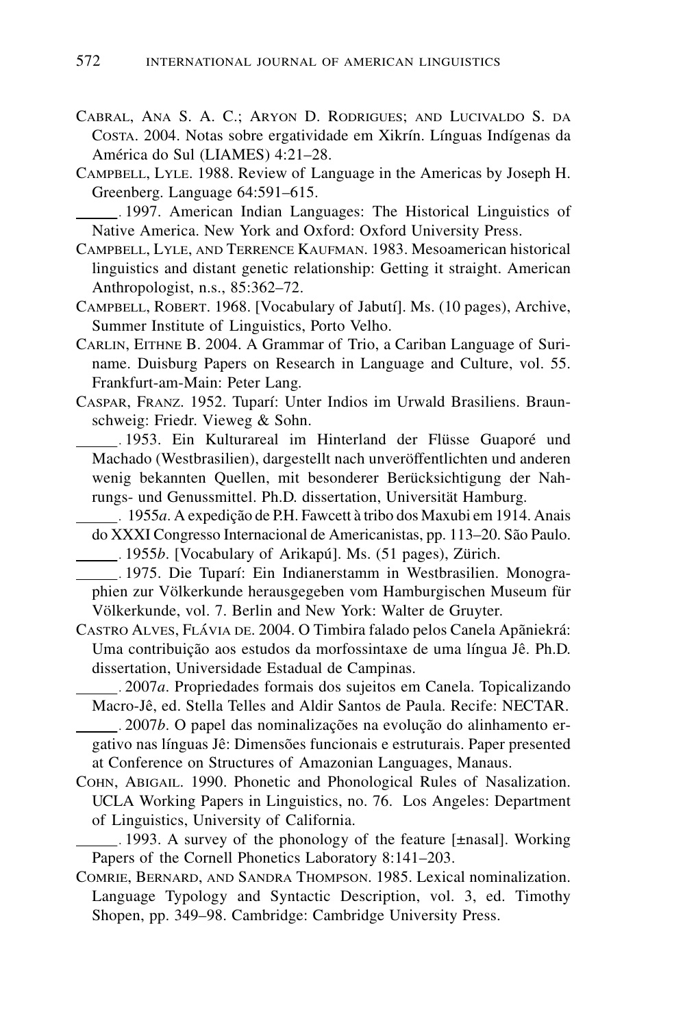- Cabral, Ana S. A. C.; Aryon D. Rodrigues; and Lucivaldo S. da Costa. 2004. Notas sobre ergatividade em Xikrín. Línguas Indígenas da América do Sul (LIAMES) 4:21–28.
- Campbell, Lyle. 1988. Review of Language in the Americas by Joseph H. Greenberg. Language 64:591–615.

. 1997. American Indian Languages: The Historical Linguistics of Native America. New York and Oxford: Oxford University Press.

- Campbell, Lyle, and Terrence Kaufman. 1983. Mesoamerican historical linguistics and distant genetic relationship: Getting it straight. American Anthropologist, n.s., 85:362–72.
- Campbell, Robert. 1968. [Vocabulary of Jabutí]. Ms. (10 pages), Archive, Summer Institute of Linguistics, Porto Velho.
- Carlin, Eithne B. 2004. A Grammar of Trio, a Cariban Language of Suriname. Duisburg Papers on Research in Language and Culture, vol. 55. Frankfurt-am-Main: Peter Lang.
- Caspar, Franz. 1952. Tuparí: Unter Indios im Urwald Brasiliens. Braunschweig: Friedr. Vieweg & Sohn.
	- . 1953. Ein Kulturareal im Hinterland der Flüsse Guaporé und Machado (Westbrasilien), dargestellt nach unveröffentlichten und anderen wenig bekannten Quellen, mit besonderer Berücksichtigung der Nahrungs- und Genussmittel. Ph.D. dissertation, Universität Hamburg.
- . 1955*a*. A expedição de P.H. Fawcett à tribo dos Maxubi em 1914. Anais do XXXI Congresso Internacional de Americanistas, pp. 113–20. São Paulo. . 1955*b*. [Vocabulary of Arikapú]. Ms. (51 pages), Zürich.
- . 1975. Die Tuparí: Ein Indianerstamm in Westbrasilien. Monographien zur Völkerkunde herausgegeben vom Hamburgischen Museum für Völkerkunde, vol. 7. Berlin and New York: Walter de Gruyter.
- Castro Alves, Flávia de. 2004. O Timbira falado pelos Canela Apãniekrá: Uma contribuição aos estudos da morfossintaxe de uma língua Jê. Ph.D. dissertation, Universidade Estadual de Campinas.
	- . 2007*a*. Propriedades formais dos sujeitos em Canela. Topicalizando Macro-Jê, ed. Stella Telles and Aldir Santos de Paula. Recife: NECTAR. . 2007*b*. O papel das nominalizações na evolução do alinhamento ergativo nas línguas Jê: Dimensões funcionais e estruturais. Paper presented

at Conference on Structures of Amazonian Languages, Manaus.

Cohn, Abigail. 1990. Phonetic and Phonological Rules of Nasalization. UCLA Working Papers in Linguistics, no. 76. Los Angeles: Department of Linguistics, University of California.

. 1993. A survey of the phonology of the feature [±nasal]. Working Papers of the Cornell Phonetics Laboratory 8:141–203.

Comrie, Bernard, and Sandra Thompson. 1985. Lexical nominalization. Language Typology and Syntactic Description, vol. 3, ed. Timothy Shopen, pp. 349–98. Cambridge: Cambridge University Press.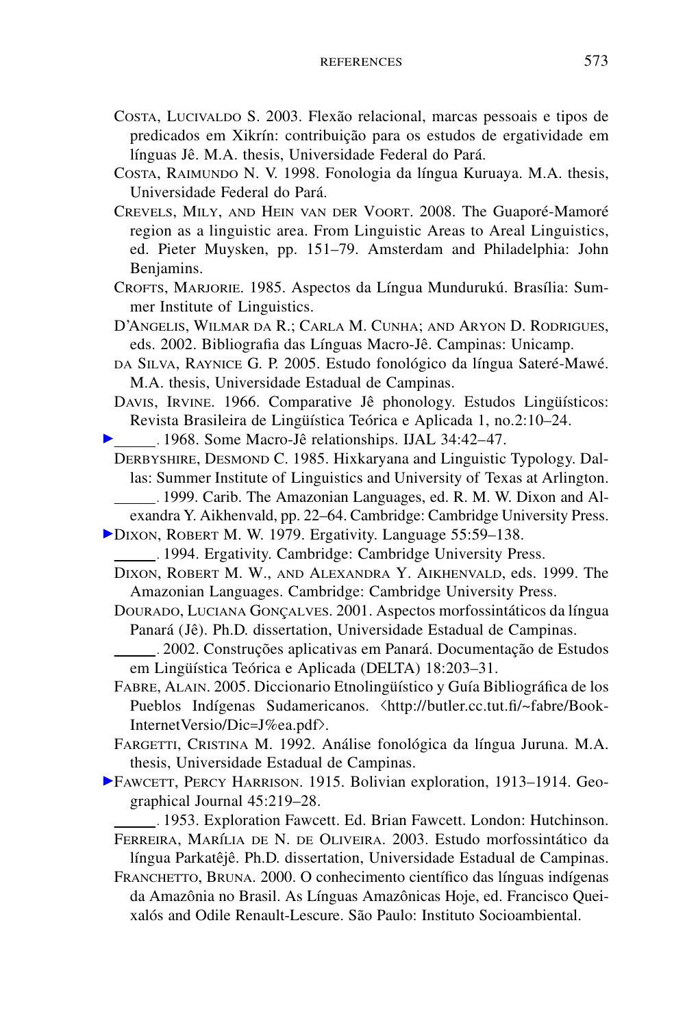- Costa, Lucivaldo S. 2003. Flexão relacional, marcas pessoais e tipos de predicados em Xikrín: contribuição para os estudos de ergatividade em línguas Jê. M.A. thesis, Universidade Federal do Pará.
- Costa, Raimundo N. V. 1998. Fonologia da língua Kuruaya. M.A. thesis, Universidade Federal do Pará.
- Crevels, Mily, and Hein van der Voort. 2008. The Guaporé-Mamoré region as a linguistic area. From Linguistic Areas to Areal Linguistics, ed. Pieter Muysken, pp. 151–79. Amsterdam and Philadelphia: John Benjamins.
- CROFTS, MARJORIE. 1985. Aspectos da Língua Mundurukú. Brasília: Summer Institute of Linguistics.
- D'Angelis, Wilmar da R.; Carla M. Cunha; and Aryon D. Rodrigues, eds. 2002. Bibliografia das Línguas Macro-Jê. Campinas: Unicamp.
- da Silva, Raynice G. P. 2005. Estudo fonológico da língua Sateré-Mawé. M.A. thesis, Universidade Estadual de Campinas.
- Davis, Irvine. 1966. Comparative Jê phonology. Estudos Lingüísticos: Revista Brasileira de Lingüística Teórica e Aplicada 1, no.2:10–24.
- ▶ 1968. Some Macro-Jê relationships. IJAL 34:42–47.
	- DERBYSHIRE, DESMOND C. 1985. Hixkaryana and Linguistic Typology. Dallas: Summer Institute of Linguistics and University of Texas at Arlington. . 1999. Carib. The Amazonian Languages, ed. R. M. W. Dixon and Al
		- exandra Y. Aikhenvald, pp. 22–64. Cambridge: Cambridge University Press.

Dixon, Robert M. W. 1979. Ergativity. Language 55:59–138. . 1994. Ergativity. Cambridge: Cambridge University Press.

- DIXON, ROBERT M. W., AND ALEXANDRA Y. AIKHENVALD, eds. 1999. The Amazonian Languages. Cambridge: Cambridge University Press.
- Dourado, Luciana Gonçalves. 2001. Aspectos morfossintáticos da língua Panará (Jê). Ph.D. dissertation, Universidade Estadual de Campinas.
	- . 2002. Construções aplicativas em Panará. Documentação de Estudos em Lingüística Teórica e Aplicada (DELTA) 18:203–31.
- Fabre, Alain. 2005. Diccionario Etnolingüístico y Guía Bibliográfica de los Pueblos Indígenas Sudamericanos. <http://butler.cc.tut.fi/~fabre/Book-InternetVersio/Dic=J%ea.pdf>.
- FARGETTI, CRISTINA M. 1992. Análise fonológica da língua Juruna. M.A. thesis, Universidade Estadual de Campinas.
- Fawcett, Percy Harrison. 1915. Bolivian exploration, 1913–1914. Geographical Journal 45:219–28.

. 1953. Exploration Fawcett. Ed. Brian Fawcett. London: Hutchinson. Ferreira, Marília de N. de Oliveira. 2003. Estudo morfossintático da

língua Parkatêjê. Ph.D. dissertation, Universidade Estadual de Campinas.

FRANCHETTO, BRUNA. 2000. O conhecimento científico das línguas indígenas da Amazônia no Brasil. As Línguas Amazônicas Hoje, ed. Francisco Queixalós and Odile Renault-Lescure. São Paulo: Instituto Socioambiental.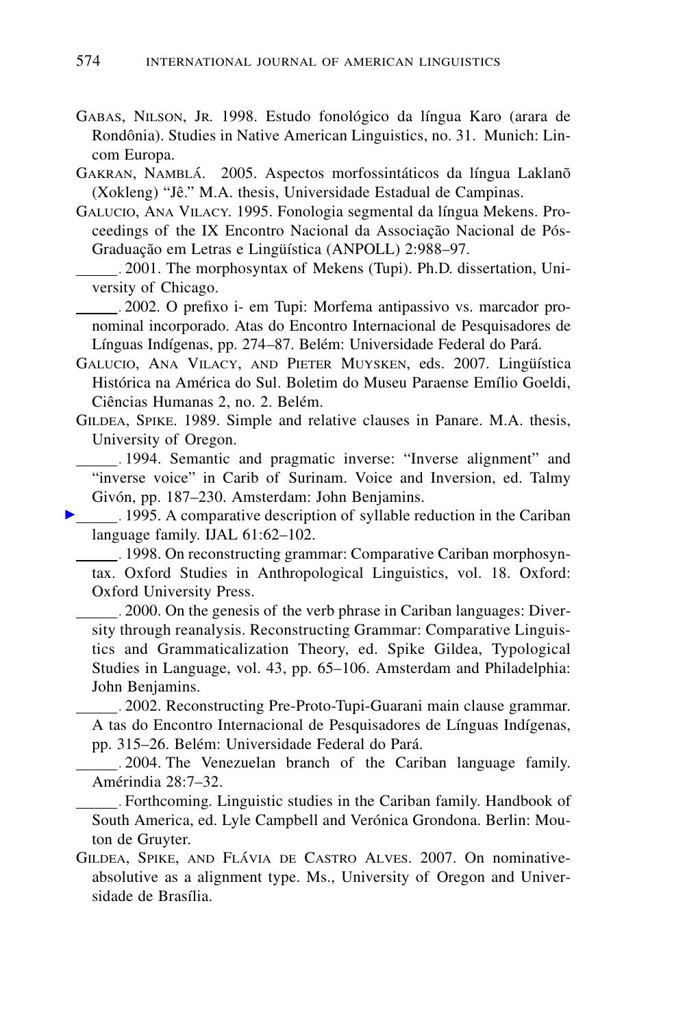- Gabas, Nilson, Jr. 1998. Estudo fonológico da língua Karo (arara de Rondônia). Studies in Native American Linguistics, no. 31. Munich: Lincom Europa.
- Gakran, Namblá. 2005. Aspectos morfossintáticos da língua Laklanõ (Xokleng) "Jê." M.A. thesis, Universidade Estadual de Campinas.
- Galucio, Ana Vilacy. 1995. Fonologia segmental da língua Mekens. Proceedings of the IX Encontro Nacional da Associação Nacional de Pós-Graduação em Letras e Lingüística (ANPOLL) 2:988–97.

. 2001. The morphosyntax of Mekens (Tupi). Ph.D. dissertation, University of Chicago.

. 2002. O prefixo i- em Tupi: Morfema antipassivo vs. marcador pronominal incorporado. Atas do Encontro Internacional de Pesquisadores de Línguas Indígenas, pp. 274–87. Belém: Universidade Federal do Pará.

- Galucio, Ana Vilacy, and Pieter Muysken, eds. 2007. Lingüística Histórica na América do Sul. Boletim do Museu Paraense Emílio Goeldi, Ciências Humanas 2, no. 2. Belém.
- GILDEA, SPIKE. 1989. Simple and relative clauses in Panare. M.A. thesis, University of Oregon.
	- . 1994. Semantic and pragmatic inverse: "Inverse alignment" and "inverse voice" in Carib of Surinam. Voice and Inversion, ed. Talmy Givón, pp. 187–230. Amsterdam: John Benjamins.
- 1995. A comparative description of syllable reduction in the Cariban language family. IJAL 61:62–102.
	- . 1998. On reconstructing grammar: Comparative Cariban morphosyntax. Oxford Studies in Anthropological Linguistics, vol. 18. Oxford: Oxford University Press.
		- . 2000. On the genesis of the verb phrase in Cariban languages: Diversity through reanalysis. Reconstructing Grammar: Comparative Linguistics and Grammaticalization Theory, ed. Spike Gildea, Typological Studies in Language, vol. 43, pp. 65–106. Amsterdam and Philadelphia: John Benjamins.

. 2002. Reconstructing Pre-Proto-Tupi-Guarani main clause grammar. A tas do Encontro Internacional de Pesquisadores de Línguas Indígenas, pp. 315–26. Belém: Universidade Federal do Pará.

. 2004. The Venezuelan branch of the Cariban language family. Amérindia 28:7–32.

. Forthcoming. Linguistic studies in the Cariban family. Handbook of South America, ed. Lyle Campbell and Verónica Grondona. Berlin: Mouton de Gruyter.

Gildea, Spike, and Flávia de Castro Alves. 2007. On nominativeabsolutive as a alignment type. Ms., University of Oregon and Universidade de Brasília.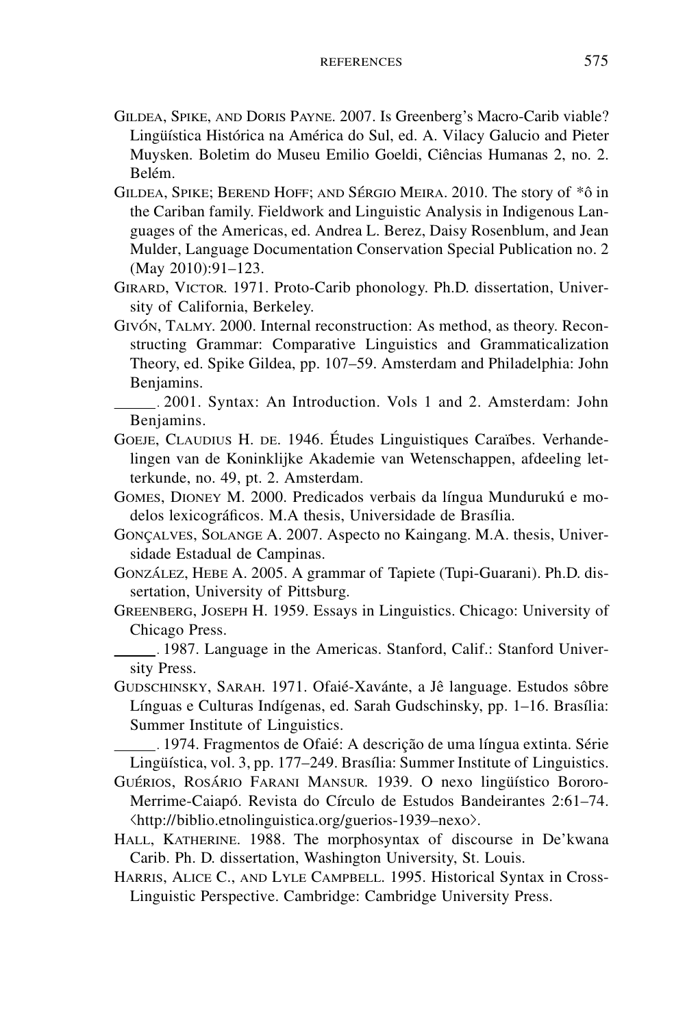- Gildea, Spike, and Doris Payne. 2007. Is Greenberg's Macro-Carib viable? Lingüística Histórica na América do Sul, ed. A. Vilacy Galucio and Pieter Muysken. Boletim do Museu Emilio Goeldi, Ciências Humanas 2, no. 2. Belém.
- Gildea, Spike; Berend Hoff; and Sérgio Meira. 2010. The story of \*ô in the Cariban family. Fieldwork and Linguistic Analysis in Indigenous Languages of the Americas, ed. Andrea L. Berez, Daisy Rosenblum, and Jean Mulder, Language Documentation Conservation Special Publication no. 2 (May 2010):91–123.
- GIRARD, VICTOR. 1971. Proto-Carib phonology. Ph.D. dissertation, University of California, Berkeley.
- Givón, Talmy. 2000. Internal reconstruction: As method, as theory. Reconstructing Grammar: Comparative Linguistics and Grammaticalization Theory, ed. Spike Gildea, pp. 107–59. Amsterdam and Philadelphia: John Benjamins.

. 2001. Syntax: An Introduction. Vols 1 and 2. Amsterdam: John Benjamins.

- GOEJE, CLAUDIUS H. DE. 1946. Études Linguistiques Caraïbes. Verhandelingen van de Koninklijke Akademie van Wetenschappen, afdeeling letterkunde, no. 49, pt. 2. Amsterdam.
- Gomes, Dioney M. 2000. Predicados verbais da língua Mundurukú e modelos lexicográficos. M.A thesis, Universidade de Brasília.
- Gonçalves, Solange A. 2007. Aspecto no Kaingang. M.A. thesis, Universidade Estadual de Campinas.
- González, Hebe A. 2005. A grammar of Tapiete (Tupi-Guarani). Ph.D. dissertation, University of Pittsburg.
- Greenberg, Joseph H. 1959. Essays in Linguistics. Chicago: University of Chicago Press.

. 1987. Language in the Americas. Stanford, Calif.: Stanford University Press.

Gudschinsky, Sarah. 1971. Ofaié-Xavánte, a Jê language. Estudos sôbre Línguas e Culturas Indígenas, ed. Sarah Gudschinsky, pp. 1–16. Brasília: Summer Institute of Linguistics.

. 1974. Fragmentos de Ofaié: A descrição de uma língua extinta. Série Lingüística, vol. 3, pp. 177–249. Brasília: Summer Institute of Linguistics.

- Guérios, Rosário Farani Mansur. 1939. O nexo lingüístico Bororo-Merrime-Caiapó. Revista do Círculo de Estudos Bandeirantes 2:61–74. <http://biblio.etnolinguistica.org/guerios-1939–nexo>.
- HALL, KATHERINE. 1988. The morphosyntax of discourse in De'kwana Carib. Ph. D. dissertation, Washington University, St. Louis.

Harris, Alice C., and Lyle Campbell. 1995. Historical Syntax in Cross-Linguistic Perspective. Cambridge: Cambridge University Press.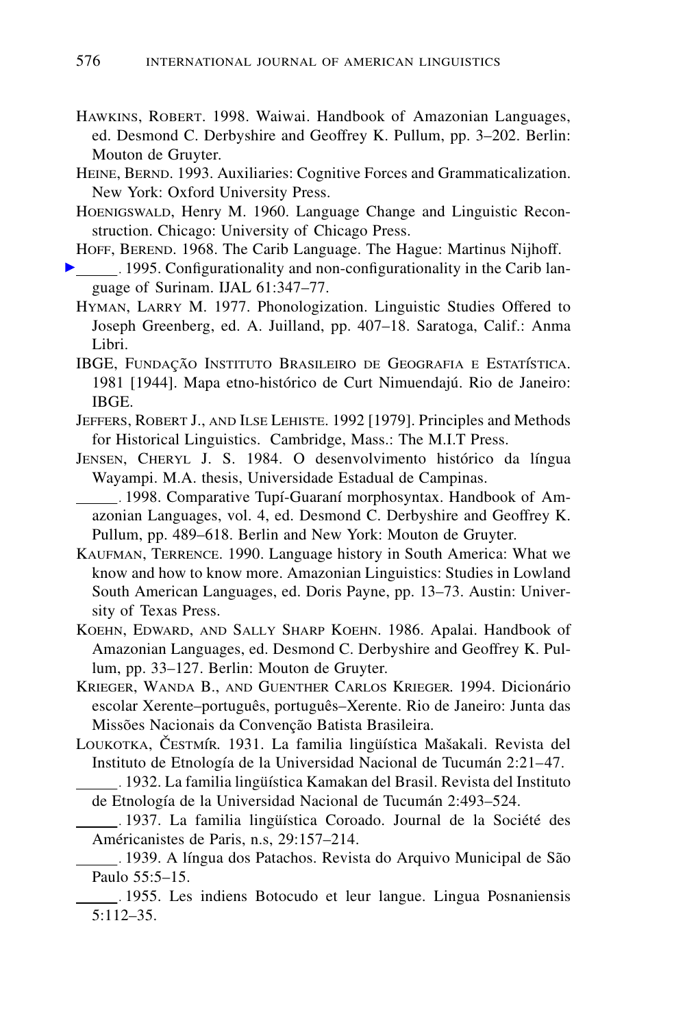- HAWKINS, ROBERT. 1998. Waiwai. Handbook of Amazonian Languages, ed. Desmond C. Derbyshire and Geoffrey K. Pullum, pp. 3–202. Berlin: Mouton de Gruyter.
- HEINE, BERND. 1993. Auxiliaries: Cognitive Forces and Grammaticalization. New York: Oxford University Press.
- HOENIGSWALD, Henry M. 1960. Language Change and Linguistic Reconstruction. Chicago: University of Chicago Press.
- HOFF, BEREND. 1968. The Carib Language. The Hague: Martinus Nijhoff.
- . 1995. Configurationality and non-configurationality in the Carib language of Surinam. IJAL 61:347–77.
	- HYMAN, LARRY M. 1977. Phonologization. Linguistic Studies Offered to Joseph Greenberg, ed. A. Juilland, pp. 407–18. Saratoga, Calif.: Anma Libri.
	- IBGE, Fundação Instituto Brasileiro de Geografia e Estatística. 1981 [1944]. Mapa etno-histórico de Curt Nimuendajú. Rio de Janeiro: IBGE.
	- Jeffers, Robert J., and Ilse Lehiste. 1992 [1979]. Principles and Methods for Historical Linguistics. Cambridge, Mass.: The M.I.T Press.
	- JENSEN, CHERYL J. S. 1984. O desenvolvimento histórico da língua Wayampi. M.A. thesis, Universidade Estadual de Campinas.

. 1998. Comparative Tupí-Guaraní morphosyntax. Handbook of Amazonian Languages, vol. 4, ed. Desmond C. Derbyshire and Geoffrey K. Pullum, pp. 489–618. Berlin and New York: Mouton de Gruyter.

- Kaufman, Terrence. 1990. Language history in South America: What we know and how to know more. Amazonian Linguistics: Studies in Lowland South American Languages, ed. Doris Payne, pp. 13–73. Austin: University of Texas Press.
- Koehn, Edward, and Sally Sharp Koehn. 1986. Apalai. Handbook of Amazonian Languages, ed. Desmond C. Derbyshire and Geoffrey K. Pullum, pp. 33–127. Berlin: Mouton de Gruyter.
- Krieger, Wanda B., and Guenther Carlos Krieger. 1994. Dicionário escolar Xerente–português, português–Xerente. Rio de Janeiro: Junta das Missões Nacionais da Convenção Batista Brasileira.
- LOUKOTKA, ČESTMÍR. 1931. La familia lingüística Mašakali. Revista del Instituto de Etnología de la Universidad Nacional de Tucumán 2:21–47.
	- . 1932. La familia lingüística Kamakan del Brasil. Revista del Instituto de Etnología de la Universidad Nacional de Tucumán 2:493–524.
	- . 1937. La familia lingüística Coroado. Journal de la Société des Américanistes de Paris, n.s, 29:157–214.
	- . 1939. A língua dos Patachos. Revista do Arquivo Municipal de São Paulo 55:5–15.
	- . 1955. Les indiens Botocudo et leur langue. Lingua Posnaniensis 5:112–35.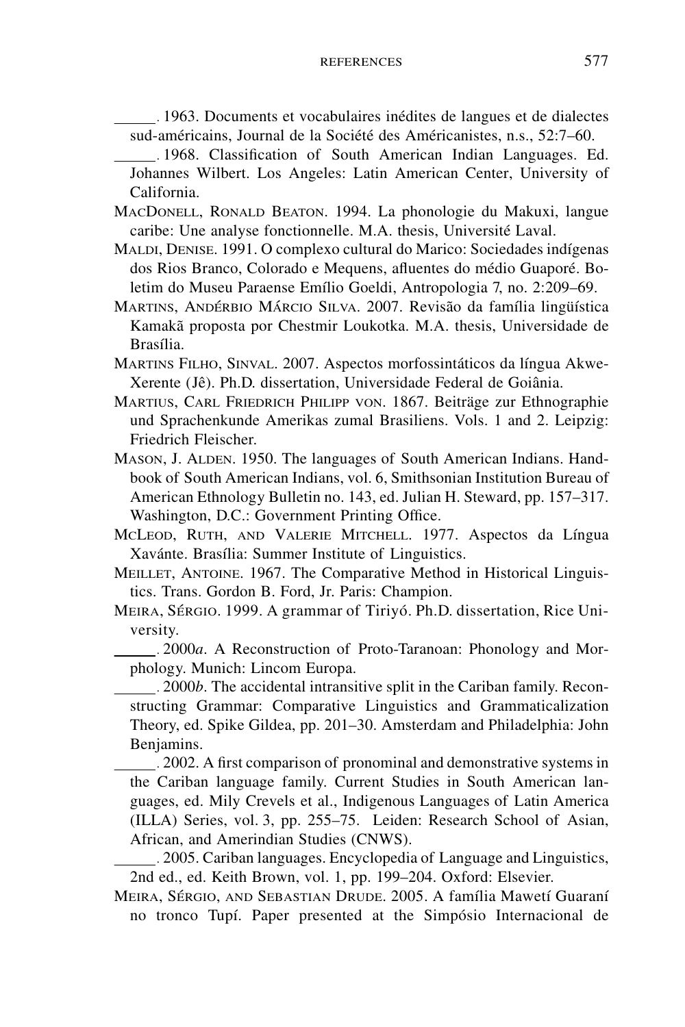### REFERENCES 577

. 1963. Documents et vocabulaires inédites de langues et de dialectes sud-américains, Journal de la Société des Américanistes, n.s., 52:7–60.

. 1968. Classification of South American Indian Languages. Ed. Johannes Wilbert. Los Angeles: Latin American Center, University of California.

- MacDonell, Ronald Beaton. 1994. La phonologie du Makuxi, langue caribe: Une analyse fonctionnelle. M.A. thesis, Université Laval.
- Maldi, Denise. 1991. O complexo cultural do Marico: Sociedades indígenas dos Rios Branco, Colorado e Mequens, afluentes do médio Guaporé. Boletim do Museu Paraense Emílio Goeldi, Antropologia 7, no. 2:209–69.
- Martins, Andérbio Márcio Silva. 2007. Revisão da família lingüística Kamakã proposta por Chestmir Loukotka. M.A. thesis, Universidade de Brasília.
- Martins Filho, Sinval. 2007. Aspectos morfossintáticos da língua Akwe-Xerente (Jê). Ph.D. dissertation, Universidade Federal de Goiânia.
- Martius, Carl Friedrich Philipp von. 1867. Beiträge zur Ethnographie und Sprachenkunde Amerikas zumal Brasiliens. Vols. 1 and 2. Leipzig: Friedrich Fleischer.
- MASON, J. ALDEN. 1950. The languages of South American Indians. Handbook of South American Indians, vol. 6, Smithsonian Institution Bureau of American Ethnology Bulletin no. 143, ed. Julian H. Steward, pp. 157–317. Washington, D.C.: Government Printing Office.
- McLeod, Ruth, and Valerie Mitchell. 1977. Aspectos da Língua Xavánte. Brasília: Summer Institute of Linguistics.
- MEILLET, ANTOINE. 1967. The Comparative Method in Historical Linguistics. Trans. Gordon B. Ford, Jr. Paris: Champion.
- Meira, Sérgio. 1999. A grammar of Tiriyó. Ph.D. dissertation, Rice University.

. 2000*a*. A Reconstruction of Proto-Taranoan: Phonology and Morphology. Munich: Lincom Europa.

. 2000*b*. The accidental intransitive split in the Cariban family. Reconstructing Grammar: Comparative Linguistics and Grammaticalization Theory, ed. Spike Gildea, pp. 201–30. Amsterdam and Philadelphia: John Benjamins.

. 2002. A first comparison of pronominal and demonstrative systems in the Cariban language family. Current Studies in South American languages, ed. Mily Crevels et al., Indigenous Languages of Latin America (ILLA) Series, vol. 3, pp. 255–75. Leiden: Research School of Asian, African, and Amerindian Studies (CNWS).

. 2005. Cariban languages. Encyclopedia of Language and Linguistics, 2nd ed., ed. Keith Brown, vol. 1, pp. 199–204. Oxford: Elsevier.

Meira, Sérgio, and Sebastian Drude. 2005. A família Mawetí Guaraní no tronco Tupí. Paper presented at the Simpósio Internacional de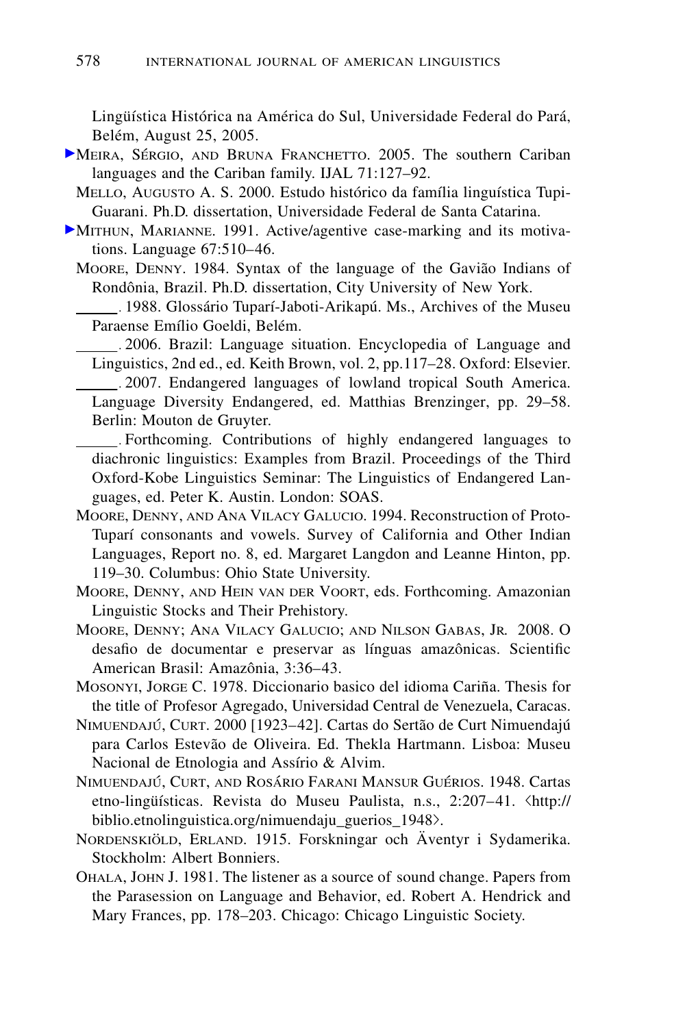Lingüística Histórica na América do Sul, Universidade Federal do Pará, Belém, August 25, 2005.

- MEIRA, SÉRGIO, AND BRUNA FRANCHETTO. 2005. The southern Cariban languages and the Cariban family. IJAL 71:127–92.
	- Mello, Augusto A. S. 2000. Estudo histórico da família linguística Tupi-Guarani. Ph.D. dissertation, Universidade Federal de Santa Catarina.
- MITHUN, MARIANNE. 1991. Active/agentive case-marking and its motivations. Language 67:510–46.
	- Moore, Denny. 1984. Syntax of the language of the Gavião Indians of Rondônia, Brazil. Ph.D. dissertation, City University of New York.

. 2006. Brazil: Language situation. Encyclopedia of Language and Linguistics, 2nd ed., ed. Keith Brown, vol. 2, pp.117–28. Oxford: Elsevier.

. 2007. Endangered languages of lowland tropical South America. Language Diversity Endangered, ed. Matthias Brenzinger, pp. 29–58. Berlin: Mouton de Gruyter.

- . Forthcoming. Contributions of highly endangered languages to diachronic linguistics: Examples from Brazil. Proceedings of the Third Oxford-Kobe Linguistics Seminar: The Linguistics of Endangered Languages, ed. Peter K. Austin. London: SOAS.
- Moore, Denny, and Ana Vilacy Galucio. 1994. Reconstruction of Proto-Tuparí consonants and vowels. Survey of California and Other Indian Languages, Report no. 8, ed. Margaret Langdon and Leanne Hinton, pp. 119–30. Columbus: Ohio State University.
- Moore, Denny, and Hein van der Voort, eds. Forthcoming. Amazonian Linguistic Stocks and Their Prehistory.
- Moore, Denny; Ana Vilacy Galucio; and Nilson Gabas, Jr. 2008. O desafio de documentar e preservar as línguas amazônicas. Scientific American Brasil: Amazônia, 3:36–43.
- Mosonyi, Jorge C. 1978. Diccionario basico del idioma Cariña. Thesis for the title of Profesor Agregado, Universidad Central de Venezuela, Caracas.
- Nimuendajú, Curt. 2000 [1923–42]. Cartas do Sertão de Curt Nimuendajú para Carlos Estevão de Oliveira. Ed. Thekla Hartmann. Lisboa: Museu Nacional de Etnologia and Assírio & Alvim.
- Nimuendajú, Curt, and Rosário Farani Mansur Guérios. 1948. Cartas etno-lingüísticas. Revista do Museu Paulista, n.s., 2:207–41. <http:// biblio.etnolinguistica.org/nimuendaju\_guerios\_1948>.
- Nordenskiöld, Erland. 1915. Forskningar och Äventyr i Sydamerika. Stockholm: Albert Bonniers.
- Ohala, John J. 1981. The listener as a source of sound change. Papers from the Parasession on Language and Behavior, ed. Robert A. Hendrick and Mary Frances, pp. 178–203. Chicago: Chicago Linguistic Society.

<sup>. 1988.</sup> Glossário Tuparí-Jaboti-Arikapú. Ms., Archives of the Museu Paraense Emílio Goeldi, Belém.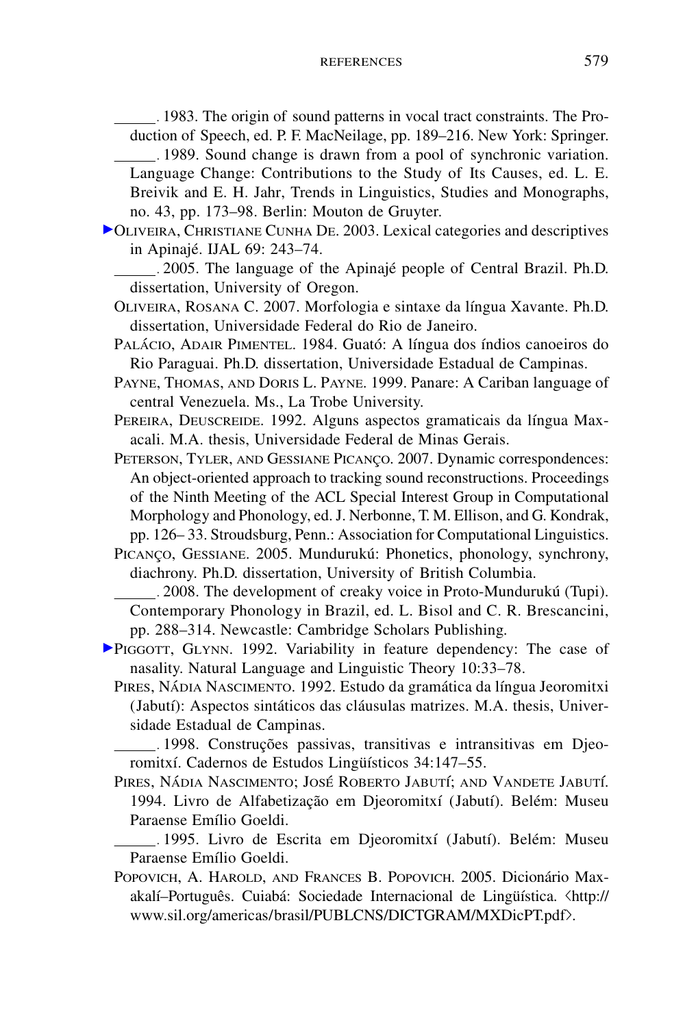. 1983. The origin of sound patterns in vocal tract constraints. The Production of Speech, ed. P. F. MacNeilage, pp. 189–216. New York: Springer.

. 1989. Sound change is drawn from a pool of synchronic variation. Language Change: Contributions to the Study of Its Causes, ed. L. E. Breivik and E. H. Jahr, Trends in Linguistics, Studies and Monographs, no. 43, pp. 173–98. Berlin: Mouton de Gruyter.

Oliveira, Christiane Cunha De. 2003. Lexical categories and descriptives in Apinajé. IJAL 69: 243–74.

. 2005. The language of the Apinajé people of Central Brazil. Ph.D. dissertation, University of Oregon.

- Oliveira, Rosana C. 2007. Morfologia e sintaxe da língua Xavante. Ph.D. dissertation, Universidade Federal do Rio de Janeiro.
- PALÁCIO, ADAIR PIMENTEL. 1984. Guató: A língua dos índios canoeiros do Rio Paraguai. Ph.D. dissertation, Universidade Estadual de Campinas.
- Payne, Thomas, and Doris L. Payne. 1999. Panare: A Cariban language of central Venezuela. Ms., La Trobe University.
- PEREIRA, DEUSCREIDE. 1992. Alguns aspectos gramaticais da língua Maxacali. M.A. thesis, Universidade Federal de Minas Gerais.
- PETERSON, TYLER, AND GESSIANE PICANÇO. 2007. Dynamic correspondences: An object-oriented approach to tracking sound reconstructions. Proceedings of the Ninth Meeting of the ACL Special Interest Group in Computational Morphology and Phonology, ed. J. Nerbonne, T. M. Ellison, and G. Kondrak, pp. 126– 33. Stroudsburg, Penn.: Association for Computational Linguistics.
- Picanço, Gessiane. 2005. Mundurukú: Phonetics, phonology, synchrony, diachrony. Ph.D. dissertation, University of British Columbia.

. 2008. The development of creaky voice in Proto-Mundurukú (Tupi). Contemporary Phonology in Brazil, ed. L. Bisol and C. R. Brescancini, pp. 288–314. Newcastle: Cambridge Scholars Publishing.

- PIGGOTT, GLYNN. 1992. Variability in feature dependency: The case of nasality. Natural Language and Linguistic Theory 10:33–78.
	- Pires, Nádia Nascimento. 1992. Estudo da gramática da língua Jeoromitxi (Jabutí): Aspectos sintáticos das cláusulas matrizes. M.A. thesis, Universidade Estadual de Campinas.

. 1998. Construções passivas, transitivas e intransitivas em Djeoromitxí. Cadernos de Estudos Lingüísticos 34:147–55.

- Pires, Nádia Nascimento; José Roberto Jabutí; and Vandete Jabutí. 1994. Livro de Alfabetização em Djeoromitxí (Jabutí). Belém: Museu Paraense Emílio Goeldi.
- . 1995. Livro de Escrita em Djeoromitxí (Jabutí). Belém: Museu Paraense Emílio Goeldi.
- POPOVICH, A. HAROLD, AND FRANCES B. POPOVICH. 2005. Dicionário Maxakalí–Português. Cuiabá: Sociedade Internacional de Lingüística. <http:// www.sil.org/americas/brasil/PUBLCNS/DICTGRAM/MXDicPT.pdf>.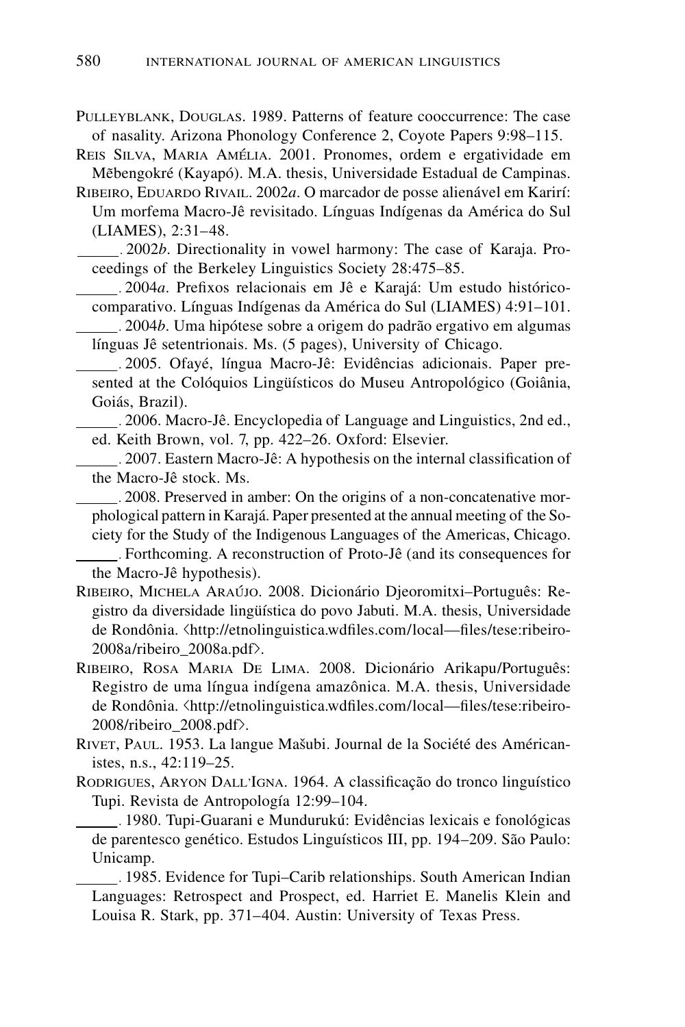Pulleyblank, Douglas. 1989. Patterns of feature cooccurrence: The case of nasality. Arizona Phonology Conference 2, Coyote Papers 9:98–115.

Reis Silva, Maria Amélia. 2001. Pronomes, ordem e ergatividade em Mebengokré (Kayapó). M.A. thesis, Universidade Estadual de Campinas.

RIBEIRO, EDUARDO RIVAIL. 2002a. O marcador de posse alienável em Karirí: Um morfema Macro-Jê revisitado. Línguas Indígenas da América do Sul (LIAMES), 2:31–48.

. 2002*b*. Directionality in vowel harmony: The case of Karaja. Proceedings of the Berkeley Linguistics Society 28:475–85.

. 2004*a*. Prefixos relacionais em Jê e Karajá: Um estudo históricocomparativo. Línguas Indígenas da América do Sul (LIAMES) 4:91–101.

. 2004*b*. Uma hipótese sobre a origem do padrão ergativo em algumas línguas Jê setentrionais. Ms. (5 pages), University of Chicago.

. 2005. Ofayé, língua Macro-Jê: Evidências adicionais. Paper presented at the Colóquios Lingüísticos do Museu Antropológico (Goiânia, Goiás, Brazil).

. 2006. Macro-Jê. Encyclopedia of Language and Linguistics, 2nd ed., ed. Keith Brown, vol. 7, pp. 422–26. Oxford: Elsevier.

. 2007. Eastern Macro-Jê: A hypothesis on the internal classification of the Macro-Jê stock. Ms.

. 2008. Preserved in amber: On the origins of a non-concatenative morphological pattern in Karajá. Paper presented at the annual meeting of the Society for the Study of the Indigenous Languages of the Americas, Chicago.

. Forthcoming. A reconstruction of Proto-Jê (and its consequences for the Macro-Jê hypothesis).

Ribeiro, Michela Araújo. 2008. Dicionário Djeoromitxi–Português: Registro da diversidade lingüística do povo Jabuti. M.A. thesis, Universidade de Rondônia. <http://etnolinguistica.wdfiles.com/local—files/tese:ribeiro-2008a/ribeiro\_2008a.pdf>.

Ribeiro, Rosa Maria De Lima. 2008. Dicionário Arikapu/Português: Registro de uma língua indígena amazônica. M.A. thesis, Universidade de Rondônia. <http://etnolinguistica.wdfiles.com/local—files/tese:ribeiro-2008/ribeiro\_2008.pdf>.

RIVET, PAUL. 1953. La langue Mašubi. Journal de la Société des Américanistes, n.s., 42:119–25.

Rodrigues, Aryon Dall'Igna. 1964. A classificação do tronco linguístico Tupi. Revista de Antropología 12:99–104.

. 1980. Tupi-Guarani e Mundurukú: Evidências lexicais e fonológicas de parentesco genético. Estudos Linguísticos III, pp. 194–209. São Paulo: Unicamp.

. 1985. Evidence for Tupi–Carib relationships. South American Indian Languages: Retrospect and Prospect, ed. Harriet E. Manelis Klein and Louisa R. Stark, pp. 371–404. Austin: University of Texas Press.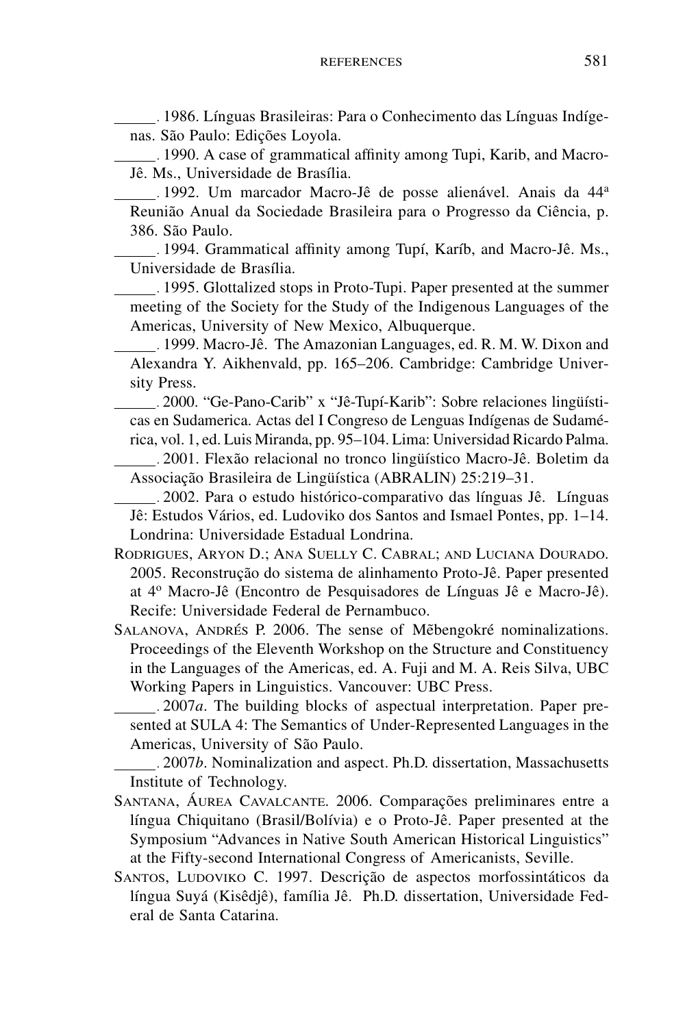. 1986. Línguas Brasileiras: Para o Conhecimento das Línguas Indígenas. São Paulo: Edições Loyola.

. 1990. A case of grammatical affinity among Tupi, Karib, and Macro-Jê. Ms., Universidade de Brasília.

. 1992. Um marcador Macro-Jê de posse alienável. Anais da 44<sup>a</sup> Reunião Anual da Sociedade Brasileira para o Progresso da Ciência, p. 386. São Paulo.

. 1994. Grammatical affinity among Tupí, Karíb, and Macro-Jê. Ms., Universidade de Brasília.

. 1995. Glottalized stops in Proto-Tupi. Paper presented at the summer meeting of the Society for the Study of the Indigenous Languages of the Americas, University of New Mexico, Albuquerque.

. 1999. Macro-Jê. The Amazonian Languages, ed. R. M. W. Dixon and Alexandra Y. Aikhenvald, pp. 165–206. Cambridge: Cambridge University Press.

. 2000. "Ge-Pano-Carib" x "Jê-Tupí-Karib": Sobre relaciones lingüísticas en Sudamerica. Actas del I Congreso de Lenguas Indígenas de Sudamérica, vol. 1, ed. Luis Miranda, pp. 95–104. Lima: Universidad Ricardo Palma.

. 2001. Flexão relacional no tronco lingüístico Macro-Jê. Boletim da Associação Brasileira de Lingüística (ABRALIN) 25:219–31.

. 2002. Para o estudo histórico-comparativo das línguas Jê. Línguas Jê: Estudos Vários, ed. Ludoviko dos Santos and Ismael Pontes, pp. 1–14. Londrina: Universidade Estadual Londrina.

- Rodrigues, Aryon D.; Ana Suelly C. Cabral; and Luciana Dourado. 2005. Reconstrução do sistema de alinhamento Proto-Jê. Paper presented at 4o Macro-Jê (Encontro de Pesquisadores de Línguas Jê e Macro-Jê). Recife: Universidade Federal de Pernambuco.
- SALANOVA, ANDRÉS P. 2006. The sense of Metbengokré nominalizations. Proceedings of the Eleventh Workshop on the Structure and Constituency in the Languages of the Americas, ed. A. Fuji and M. A. Reis Silva, UBC Working Papers in Linguistics. Vancouver: UBC Press.

. 2007*a*. The building blocks of aspectual interpretation. Paper presented at SULA 4: The Semantics of Under-Represented Languages in the Americas, University of São Paulo.

. 2007*b*. Nominalization and aspect. Ph.D. dissertation, Massachusetts Institute of Technology.

- Santana, Áurea Cavalcante. 2006. Comparações preliminares entre a língua Chiquitano (Brasil/Bolívia) e o Proto-Jê. Paper presented at the Symposium "Advances in Native South American Historical Linguistics" at the Fifty-second International Congress of Americanists, Seville.
- SANTOS, LUDOVIKO C. 1997. Descrição de aspectos morfossintáticos da língua Suyá (Kisêdjê), família Jê. Ph.D. dissertation, Universidade Federal de Santa Catarina.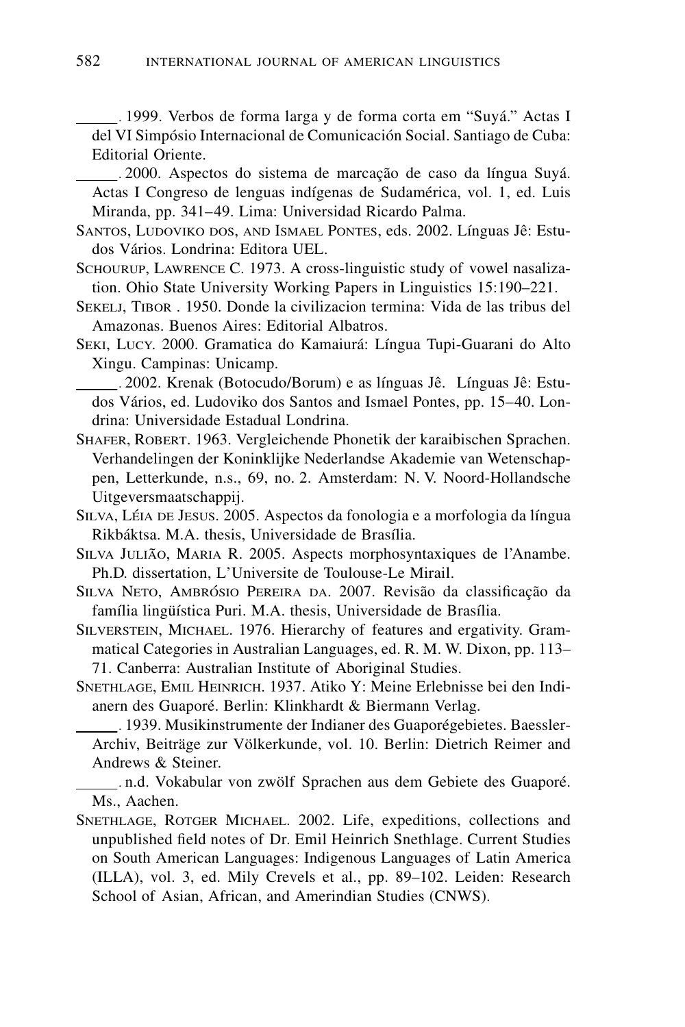. 1999. Verbos de forma larga y de forma corta em "Suyá." Actas I del VI Simpósio Internacional de Comunicación Social. Santiago de Cuba: Editorial Oriente.

. 2000. Aspectos do sistema de marcação de caso da língua Suyá. Actas I Congreso de lenguas indígenas de Sudamérica, vol. 1, ed. Luis Miranda, pp. 341–49. Lima: Universidad Ricardo Palma.

- Santos, Ludoviko dos, and Ismael Pontes, eds. 2002. Línguas Jê: Estudos Vários. Londrina: Editora UEL.
- Schourup, Lawrence C. 1973. A cross-linguistic study of vowel nasalization. Ohio State University Working Papers in Linguistics 15:190–221.
- Sekelj, Tibor . 1950. Donde la civilizacion termina: Vida de las tribus del Amazonas. Buenos Aires: Editorial Albatros.
- Seki, Lucy. 2000. Gramatica do Kamaiurá: Língua Tupi-Guarani do Alto Xingu. Campinas: Unicamp.

. 2002. Krenak (Botocudo/Borum) e as línguas Jê. Línguas Jê: Estudos Vários, ed. Ludoviko dos Santos and Ismael Pontes, pp. 15–40. Londrina: Universidade Estadual Londrina.

Shafer, Robert. 1963. Vergleichende Phonetik der karaibischen Sprachen. Verhandelingen der Koninklijke Nederlandse Akademie van Wetenschappen, Letterkunde, n.s., 69, no. 2. Amsterdam: N. V. Noord-Hollandsche Uitgeversmaatschappij.

Silva, Léia de Jesus. 2005. Aspectos da fonologia e a morfologia da língua Rikbáktsa. M.A. thesis, Universidade de Brasília.

- Silva Julião, Maria R. 2005. Aspects morphosyntaxiques de l'Anambe. Ph.D. dissertation, L'Universite de Toulouse-Le Mirail.
- Silva Neto, Ambrósio Pereira da. 2007. Revisão da classificação da família lingüística Puri. M.A. thesis, Universidade de Brasília.
- SILVERSTEIN, MICHAEL. 1976. Hierarchy of features and ergativity. Grammatical Categories in Australian Languages, ed. R. M. W. Dixon, pp. 113– 71. Canberra: Australian Institute of Aboriginal Studies.
- SNETHLAGE, EMIL HEINRICH. 1937. Atiko Y: Meine Erlebnisse bei den Indianern des Guaporé. Berlin: Klinkhardt & Biermann Verlag.

. 1939. Musikinstrumente der Indianer des Guaporégebietes. Baessler-Archiv, Beiträge zur Völkerkunde, vol. 10. Berlin: Dietrich Reimer and Andrews & Steiner.

. n.d. Vokabular von zwölf Sprachen aus dem Gebiete des Guaporé. Ms., Aachen.

SNETHLAGE, ROTGER MICHAEL. 2002. Life, expeditions, collections and unpublished field notes of Dr. Emil Heinrich Snethlage. Current Studies on South American Languages: Indigenous Languages of Latin America (ILLA), vol. 3, ed. Mily Crevels et al., pp. 89–102. Leiden: Research School of Asian, African, and Amerindian Studies (CNWS).